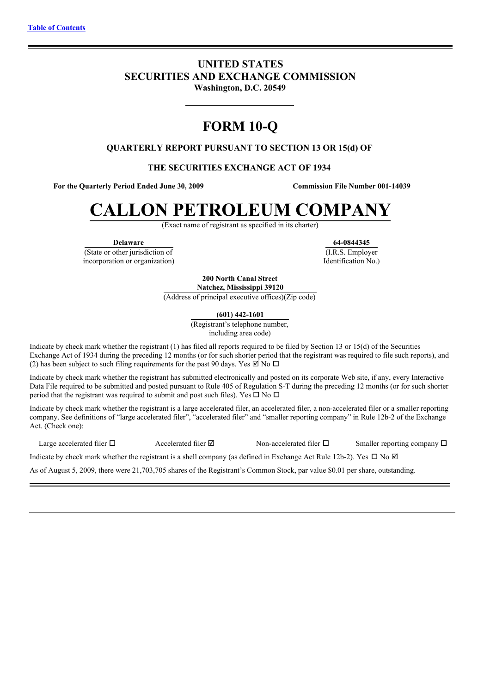# <span id="page-0-0"></span>**UNITED STATES SECURITIES AND EXCHANGE COMMISSION Washington, D.C. 20549**

# **FORM 10-Q**

**QUARTERLY REPORT PURSUANT TO SECTION 13 OR 15(d) OF**

**THE SECURITIES EXCHANGE ACT OF 1934**

**For the Quarterly Period Ended June 30, 2009 Commission File Number 001-14039**

# **CALLON PETROLEUM COMPANY**

(Exact name of registrant as specified in its charter)

(State or other jurisdiction of incorporation or organization)

**Delaware 64-0844345** (I.R.S. Employer

Identification No.)

**200 North Canal Street**

**Natchez, Mississippi 39120** (Address of principal executive offices)(Zip code)

**(601) 442-1601**

(Registrant's telephone number, including area code)

Indicate by check mark whether the registrant (1) has filed all reports required to be filed by Section 13 or 15(d) of the Securities Exchange Act of 1934 during the preceding 12 months (or for such shorter period that the registrant was required to file such reports), and (2) has been subject to such filing requirements for the past 90 days. Yes  $\boxtimes$  No  $\Box$ 

Indicate by check mark whether the registrant has submitted electronically and posted on its corporate Web site, if any, every Interactive Data File required to be submitted and posted pursuant to Rule 405 of Regulation S-T during the preceding 12 months (or for such shorter period that the registrant was required to submit and post such files). Yes  $\square$  No  $\square$ 

Indicate by check mark whether the registrant is a large accelerated filer, an accelerated filer, a non-accelerated filer or a smaller reporting company. See definitions of "large accelerated filer", "accelerated filer" and "smaller reporting company" in Rule 12b-2 of the Exchange Act. (Check one):

Large accelerated filer  $\square$  Accelerated filer  $\square$  Non-accelerated filer  $\square$  Smaller reporting company  $\square$ 

Indicate by check mark whether the registrant is a shell company (as defined in Exchange Act Rule 12b-2). Yes  $\Box$  No  $\Box$ 

As of August 5, 2009, there were 21,703,705 shares of the Registrant's Common Stock, par value \$0.01 per share, outstanding.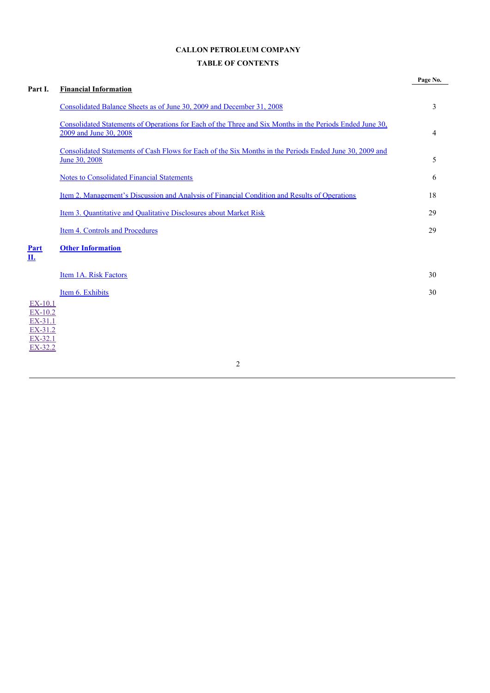# **CALLON PETROLEUM COMPANY**

# **TABLE OF CONTENTS**

| Part I.                  | <b>Financial Information</b>                                                                                                       | Page No. |
|--------------------------|------------------------------------------------------------------------------------------------------------------------------------|----------|
|                          | Consolidated Balance Sheets as of June 30, 2009 and December 31, 2008                                                              | 3        |
|                          |                                                                                                                                    |          |
|                          | Consolidated Statements of Operations for Each of the Three and Six Months in the Periods Ended June 30,<br>2009 and June 30, 2008 | 4        |
|                          | Consolidated Statements of Cash Flows for Each of the Six Months in the Periods Ended June 30, 2009 and<br>June 30, 2008           | 5        |
|                          | <b>Notes to Consolidated Financial Statements</b>                                                                                  | 6        |
|                          | Item 2. Management's Discussion and Analysis of Financial Condition and Results of Operations                                      | 18       |
|                          | Item 3. Quantitative and Qualitative Disclosures about Market Risk                                                                 | 29       |
|                          | Item 4. Controls and Procedures                                                                                                    | 29       |
| <b>Part</b><br><u>п.</u> | <b>Other Information</b>                                                                                                           |          |
|                          | Item 1A. Risk Factors                                                                                                              | 30       |
|                          | Item 6. Exhibits                                                                                                                   | 30       |
| $EX-10.1$<br>EX-10.2     |                                                                                                                                    |          |
| EX-31.1<br>EX-31.2       |                                                                                                                                    |          |
| EX-32.1<br>EX-32.2       |                                                                                                                                    |          |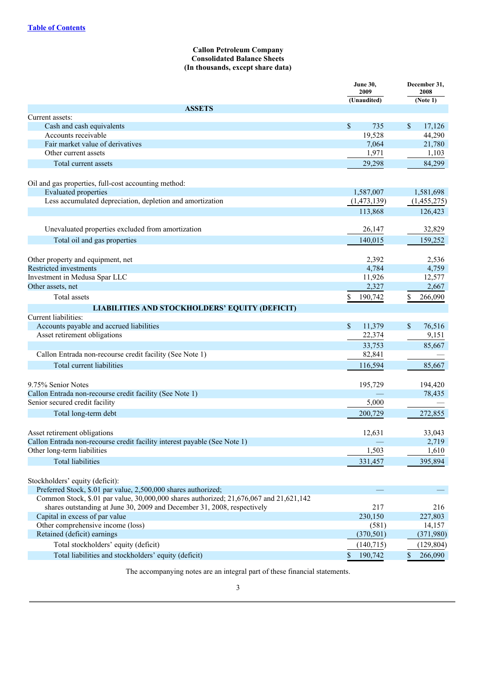#### **Callon Petroleum Company Consolidated Balance Sheets (In thousands, except share data)**

| (Unaudited)<br>(Note 1)<br><b>ASSETS</b><br>Current assets:<br>$\boldsymbol{\mathsf{S}}$<br>$\mathbb{S}$<br>Cash and cash equivalents<br>735<br>17,126<br>19,528<br>44,290<br>Accounts receivable<br>Fair market value of derivatives<br>7,064<br>21,780<br>1,971<br>1,103<br>Other current assets<br>29,298<br>84,299<br>Total current assets<br>Oil and gas properties, full-cost accounting method:<br><b>Evaluated properties</b><br>1,587,007<br>1,581,698<br>Less accumulated depreciation, depletion and amortization<br>(1,455,275)<br>(1,473,139)<br>113,868<br>126,423<br>Unevaluated properties excluded from amortization<br>26,147<br>32,829<br>Total oil and gas properties<br>140,015<br>159,252<br>Other property and equipment, net<br>2,392<br>2,536<br>Restricted investments<br>4,784<br>4,759<br>Investment in Medusa Spar LLC<br>11,926<br>12,577<br>2,327<br>2,667<br>Other assets, net<br>190,742<br>266,090<br>Total assets<br>\$<br>\$<br><b>LIABILITIES AND STOCKHOLDERS' EQUITY (DEFICIT)</b><br>Current liabilities:<br>Accounts payable and accrued liabilities<br>$\mathbb{S}$<br>11,379<br>\$<br>76,516<br>Asset retirement obligations<br>22,374<br>9,151<br>33,753<br>85,667<br>Callon Entrada non-recourse credit facility (See Note 1)<br>82,841<br>Total current liabilities<br>116,594<br>85,667<br>9.75% Senior Notes<br>194,420<br>195,729<br>Callon Entrada non-recourse credit facility (See Note 1)<br>78,435<br>Senior secured credit facility<br>5,000<br>Total long-term debt<br>272,855<br>200,729<br>Asset retirement obligations<br>12,631<br>33,043<br>Callon Entrada non-recourse credit facility interest payable (See Note 1)<br>2,719<br>1,503<br>1,610<br>Other long-term liabilities<br>Total liabilities<br>331,457<br>395,894<br>Stockholders' equity (deficit):<br>Preferred Stock, \$.01 par value, 2,500,000 shares authorized;<br>Common Stock, \$.01 par value, 30,000,000 shares authorized; 21,676,067 and 21,621,142<br>shares outstanding at June 30, 2009 and December 31, 2008, respectively<br>217<br>216<br>Capital in excess of par value<br>230,150<br>227,803<br>Other comprehensive income (loss)<br>(581)<br>14,157<br>Retained (deficit) earnings<br>(370, 501)<br>(371,980)<br>Total stockholders' equity (deficit)<br>(129, 804)<br>(140, 715)<br>Total liabilities and stockholders' equity (deficit)<br>190,742<br>266,090<br>S<br>S | <b>June 30,</b><br>2009 | December 31,<br>2008 |
|-----------------------------------------------------------------------------------------------------------------------------------------------------------------------------------------------------------------------------------------------------------------------------------------------------------------------------------------------------------------------------------------------------------------------------------------------------------------------------------------------------------------------------------------------------------------------------------------------------------------------------------------------------------------------------------------------------------------------------------------------------------------------------------------------------------------------------------------------------------------------------------------------------------------------------------------------------------------------------------------------------------------------------------------------------------------------------------------------------------------------------------------------------------------------------------------------------------------------------------------------------------------------------------------------------------------------------------------------------------------------------------------------------------------------------------------------------------------------------------------------------------------------------------------------------------------------------------------------------------------------------------------------------------------------------------------------------------------------------------------------------------------------------------------------------------------------------------------------------------------------------------------------------------------------------------------------------------------------------------------------------------------------------------------------------------------------------------------------------------------------------------------------------------------------------------------------------------------------------------------------------------------------------------------------------------------------------------------------------------------------------------------------------------------------|-------------------------|----------------------|
|                                                                                                                                                                                                                                                                                                                                                                                                                                                                                                                                                                                                                                                                                                                                                                                                                                                                                                                                                                                                                                                                                                                                                                                                                                                                                                                                                                                                                                                                                                                                                                                                                                                                                                                                                                                                                                                                                                                                                                                                                                                                                                                                                                                                                                                                                                                                                                                                                       |                         |                      |
|                                                                                                                                                                                                                                                                                                                                                                                                                                                                                                                                                                                                                                                                                                                                                                                                                                                                                                                                                                                                                                                                                                                                                                                                                                                                                                                                                                                                                                                                                                                                                                                                                                                                                                                                                                                                                                                                                                                                                                                                                                                                                                                                                                                                                                                                                                                                                                                                                       |                         |                      |
|                                                                                                                                                                                                                                                                                                                                                                                                                                                                                                                                                                                                                                                                                                                                                                                                                                                                                                                                                                                                                                                                                                                                                                                                                                                                                                                                                                                                                                                                                                                                                                                                                                                                                                                                                                                                                                                                                                                                                                                                                                                                                                                                                                                                                                                                                                                                                                                                                       |                         |                      |
|                                                                                                                                                                                                                                                                                                                                                                                                                                                                                                                                                                                                                                                                                                                                                                                                                                                                                                                                                                                                                                                                                                                                                                                                                                                                                                                                                                                                                                                                                                                                                                                                                                                                                                                                                                                                                                                                                                                                                                                                                                                                                                                                                                                                                                                                                                                                                                                                                       |                         |                      |
|                                                                                                                                                                                                                                                                                                                                                                                                                                                                                                                                                                                                                                                                                                                                                                                                                                                                                                                                                                                                                                                                                                                                                                                                                                                                                                                                                                                                                                                                                                                                                                                                                                                                                                                                                                                                                                                                                                                                                                                                                                                                                                                                                                                                                                                                                                                                                                                                                       |                         |                      |
|                                                                                                                                                                                                                                                                                                                                                                                                                                                                                                                                                                                                                                                                                                                                                                                                                                                                                                                                                                                                                                                                                                                                                                                                                                                                                                                                                                                                                                                                                                                                                                                                                                                                                                                                                                                                                                                                                                                                                                                                                                                                                                                                                                                                                                                                                                                                                                                                                       |                         |                      |
|                                                                                                                                                                                                                                                                                                                                                                                                                                                                                                                                                                                                                                                                                                                                                                                                                                                                                                                                                                                                                                                                                                                                                                                                                                                                                                                                                                                                                                                                                                                                                                                                                                                                                                                                                                                                                                                                                                                                                                                                                                                                                                                                                                                                                                                                                                                                                                                                                       |                         |                      |
|                                                                                                                                                                                                                                                                                                                                                                                                                                                                                                                                                                                                                                                                                                                                                                                                                                                                                                                                                                                                                                                                                                                                                                                                                                                                                                                                                                                                                                                                                                                                                                                                                                                                                                                                                                                                                                                                                                                                                                                                                                                                                                                                                                                                                                                                                                                                                                                                                       |                         |                      |
|                                                                                                                                                                                                                                                                                                                                                                                                                                                                                                                                                                                                                                                                                                                                                                                                                                                                                                                                                                                                                                                                                                                                                                                                                                                                                                                                                                                                                                                                                                                                                                                                                                                                                                                                                                                                                                                                                                                                                                                                                                                                                                                                                                                                                                                                                                                                                                                                                       |                         |                      |
|                                                                                                                                                                                                                                                                                                                                                                                                                                                                                                                                                                                                                                                                                                                                                                                                                                                                                                                                                                                                                                                                                                                                                                                                                                                                                                                                                                                                                                                                                                                                                                                                                                                                                                                                                                                                                                                                                                                                                                                                                                                                                                                                                                                                                                                                                                                                                                                                                       |                         |                      |
|                                                                                                                                                                                                                                                                                                                                                                                                                                                                                                                                                                                                                                                                                                                                                                                                                                                                                                                                                                                                                                                                                                                                                                                                                                                                                                                                                                                                                                                                                                                                                                                                                                                                                                                                                                                                                                                                                                                                                                                                                                                                                                                                                                                                                                                                                                                                                                                                                       |                         |                      |
|                                                                                                                                                                                                                                                                                                                                                                                                                                                                                                                                                                                                                                                                                                                                                                                                                                                                                                                                                                                                                                                                                                                                                                                                                                                                                                                                                                                                                                                                                                                                                                                                                                                                                                                                                                                                                                                                                                                                                                                                                                                                                                                                                                                                                                                                                                                                                                                                                       |                         |                      |
|                                                                                                                                                                                                                                                                                                                                                                                                                                                                                                                                                                                                                                                                                                                                                                                                                                                                                                                                                                                                                                                                                                                                                                                                                                                                                                                                                                                                                                                                                                                                                                                                                                                                                                                                                                                                                                                                                                                                                                                                                                                                                                                                                                                                                                                                                                                                                                                                                       |                         |                      |
|                                                                                                                                                                                                                                                                                                                                                                                                                                                                                                                                                                                                                                                                                                                                                                                                                                                                                                                                                                                                                                                                                                                                                                                                                                                                                                                                                                                                                                                                                                                                                                                                                                                                                                                                                                                                                                                                                                                                                                                                                                                                                                                                                                                                                                                                                                                                                                                                                       |                         |                      |
|                                                                                                                                                                                                                                                                                                                                                                                                                                                                                                                                                                                                                                                                                                                                                                                                                                                                                                                                                                                                                                                                                                                                                                                                                                                                                                                                                                                                                                                                                                                                                                                                                                                                                                                                                                                                                                                                                                                                                                                                                                                                                                                                                                                                                                                                                                                                                                                                                       |                         |                      |
|                                                                                                                                                                                                                                                                                                                                                                                                                                                                                                                                                                                                                                                                                                                                                                                                                                                                                                                                                                                                                                                                                                                                                                                                                                                                                                                                                                                                                                                                                                                                                                                                                                                                                                                                                                                                                                                                                                                                                                                                                                                                                                                                                                                                                                                                                                                                                                                                                       |                         |                      |
|                                                                                                                                                                                                                                                                                                                                                                                                                                                                                                                                                                                                                                                                                                                                                                                                                                                                                                                                                                                                                                                                                                                                                                                                                                                                                                                                                                                                                                                                                                                                                                                                                                                                                                                                                                                                                                                                                                                                                                                                                                                                                                                                                                                                                                                                                                                                                                                                                       |                         |                      |
|                                                                                                                                                                                                                                                                                                                                                                                                                                                                                                                                                                                                                                                                                                                                                                                                                                                                                                                                                                                                                                                                                                                                                                                                                                                                                                                                                                                                                                                                                                                                                                                                                                                                                                                                                                                                                                                                                                                                                                                                                                                                                                                                                                                                                                                                                                                                                                                                                       |                         |                      |
|                                                                                                                                                                                                                                                                                                                                                                                                                                                                                                                                                                                                                                                                                                                                                                                                                                                                                                                                                                                                                                                                                                                                                                                                                                                                                                                                                                                                                                                                                                                                                                                                                                                                                                                                                                                                                                                                                                                                                                                                                                                                                                                                                                                                                                                                                                                                                                                                                       |                         |                      |
|                                                                                                                                                                                                                                                                                                                                                                                                                                                                                                                                                                                                                                                                                                                                                                                                                                                                                                                                                                                                                                                                                                                                                                                                                                                                                                                                                                                                                                                                                                                                                                                                                                                                                                                                                                                                                                                                                                                                                                                                                                                                                                                                                                                                                                                                                                                                                                                                                       |                         |                      |
|                                                                                                                                                                                                                                                                                                                                                                                                                                                                                                                                                                                                                                                                                                                                                                                                                                                                                                                                                                                                                                                                                                                                                                                                                                                                                                                                                                                                                                                                                                                                                                                                                                                                                                                                                                                                                                                                                                                                                                                                                                                                                                                                                                                                                                                                                                                                                                                                                       |                         |                      |
|                                                                                                                                                                                                                                                                                                                                                                                                                                                                                                                                                                                                                                                                                                                                                                                                                                                                                                                                                                                                                                                                                                                                                                                                                                                                                                                                                                                                                                                                                                                                                                                                                                                                                                                                                                                                                                                                                                                                                                                                                                                                                                                                                                                                                                                                                                                                                                                                                       |                         |                      |
|                                                                                                                                                                                                                                                                                                                                                                                                                                                                                                                                                                                                                                                                                                                                                                                                                                                                                                                                                                                                                                                                                                                                                                                                                                                                                                                                                                                                                                                                                                                                                                                                                                                                                                                                                                                                                                                                                                                                                                                                                                                                                                                                                                                                                                                                                                                                                                                                                       |                         |                      |
|                                                                                                                                                                                                                                                                                                                                                                                                                                                                                                                                                                                                                                                                                                                                                                                                                                                                                                                                                                                                                                                                                                                                                                                                                                                                                                                                                                                                                                                                                                                                                                                                                                                                                                                                                                                                                                                                                                                                                                                                                                                                                                                                                                                                                                                                                                                                                                                                                       |                         |                      |
|                                                                                                                                                                                                                                                                                                                                                                                                                                                                                                                                                                                                                                                                                                                                                                                                                                                                                                                                                                                                                                                                                                                                                                                                                                                                                                                                                                                                                                                                                                                                                                                                                                                                                                                                                                                                                                                                                                                                                                                                                                                                                                                                                                                                                                                                                                                                                                                                                       |                         |                      |
|                                                                                                                                                                                                                                                                                                                                                                                                                                                                                                                                                                                                                                                                                                                                                                                                                                                                                                                                                                                                                                                                                                                                                                                                                                                                                                                                                                                                                                                                                                                                                                                                                                                                                                                                                                                                                                                                                                                                                                                                                                                                                                                                                                                                                                                                                                                                                                                                                       |                         |                      |
|                                                                                                                                                                                                                                                                                                                                                                                                                                                                                                                                                                                                                                                                                                                                                                                                                                                                                                                                                                                                                                                                                                                                                                                                                                                                                                                                                                                                                                                                                                                                                                                                                                                                                                                                                                                                                                                                                                                                                                                                                                                                                                                                                                                                                                                                                                                                                                                                                       |                         |                      |
|                                                                                                                                                                                                                                                                                                                                                                                                                                                                                                                                                                                                                                                                                                                                                                                                                                                                                                                                                                                                                                                                                                                                                                                                                                                                                                                                                                                                                                                                                                                                                                                                                                                                                                                                                                                                                                                                                                                                                                                                                                                                                                                                                                                                                                                                                                                                                                                                                       |                         |                      |
|                                                                                                                                                                                                                                                                                                                                                                                                                                                                                                                                                                                                                                                                                                                                                                                                                                                                                                                                                                                                                                                                                                                                                                                                                                                                                                                                                                                                                                                                                                                                                                                                                                                                                                                                                                                                                                                                                                                                                                                                                                                                                                                                                                                                                                                                                                                                                                                                                       |                         |                      |
|                                                                                                                                                                                                                                                                                                                                                                                                                                                                                                                                                                                                                                                                                                                                                                                                                                                                                                                                                                                                                                                                                                                                                                                                                                                                                                                                                                                                                                                                                                                                                                                                                                                                                                                                                                                                                                                                                                                                                                                                                                                                                                                                                                                                                                                                                                                                                                                                                       |                         |                      |
|                                                                                                                                                                                                                                                                                                                                                                                                                                                                                                                                                                                                                                                                                                                                                                                                                                                                                                                                                                                                                                                                                                                                                                                                                                                                                                                                                                                                                                                                                                                                                                                                                                                                                                                                                                                                                                                                                                                                                                                                                                                                                                                                                                                                                                                                                                                                                                                                                       |                         |                      |
|                                                                                                                                                                                                                                                                                                                                                                                                                                                                                                                                                                                                                                                                                                                                                                                                                                                                                                                                                                                                                                                                                                                                                                                                                                                                                                                                                                                                                                                                                                                                                                                                                                                                                                                                                                                                                                                                                                                                                                                                                                                                                                                                                                                                                                                                                                                                                                                                                       |                         |                      |
|                                                                                                                                                                                                                                                                                                                                                                                                                                                                                                                                                                                                                                                                                                                                                                                                                                                                                                                                                                                                                                                                                                                                                                                                                                                                                                                                                                                                                                                                                                                                                                                                                                                                                                                                                                                                                                                                                                                                                                                                                                                                                                                                                                                                                                                                                                                                                                                                                       |                         |                      |
|                                                                                                                                                                                                                                                                                                                                                                                                                                                                                                                                                                                                                                                                                                                                                                                                                                                                                                                                                                                                                                                                                                                                                                                                                                                                                                                                                                                                                                                                                                                                                                                                                                                                                                                                                                                                                                                                                                                                                                                                                                                                                                                                                                                                                                                                                                                                                                                                                       |                         |                      |
|                                                                                                                                                                                                                                                                                                                                                                                                                                                                                                                                                                                                                                                                                                                                                                                                                                                                                                                                                                                                                                                                                                                                                                                                                                                                                                                                                                                                                                                                                                                                                                                                                                                                                                                                                                                                                                                                                                                                                                                                                                                                                                                                                                                                                                                                                                                                                                                                                       |                         |                      |
|                                                                                                                                                                                                                                                                                                                                                                                                                                                                                                                                                                                                                                                                                                                                                                                                                                                                                                                                                                                                                                                                                                                                                                                                                                                                                                                                                                                                                                                                                                                                                                                                                                                                                                                                                                                                                                                                                                                                                                                                                                                                                                                                                                                                                                                                                                                                                                                                                       |                         |                      |
|                                                                                                                                                                                                                                                                                                                                                                                                                                                                                                                                                                                                                                                                                                                                                                                                                                                                                                                                                                                                                                                                                                                                                                                                                                                                                                                                                                                                                                                                                                                                                                                                                                                                                                                                                                                                                                                                                                                                                                                                                                                                                                                                                                                                                                                                                                                                                                                                                       |                         |                      |
|                                                                                                                                                                                                                                                                                                                                                                                                                                                                                                                                                                                                                                                                                                                                                                                                                                                                                                                                                                                                                                                                                                                                                                                                                                                                                                                                                                                                                                                                                                                                                                                                                                                                                                                                                                                                                                                                                                                                                                                                                                                                                                                                                                                                                                                                                                                                                                                                                       |                         |                      |
|                                                                                                                                                                                                                                                                                                                                                                                                                                                                                                                                                                                                                                                                                                                                                                                                                                                                                                                                                                                                                                                                                                                                                                                                                                                                                                                                                                                                                                                                                                                                                                                                                                                                                                                                                                                                                                                                                                                                                                                                                                                                                                                                                                                                                                                                                                                                                                                                                       |                         |                      |
|                                                                                                                                                                                                                                                                                                                                                                                                                                                                                                                                                                                                                                                                                                                                                                                                                                                                                                                                                                                                                                                                                                                                                                                                                                                                                                                                                                                                                                                                                                                                                                                                                                                                                                                                                                                                                                                                                                                                                                                                                                                                                                                                                                                                                                                                                                                                                                                                                       |                         |                      |
|                                                                                                                                                                                                                                                                                                                                                                                                                                                                                                                                                                                                                                                                                                                                                                                                                                                                                                                                                                                                                                                                                                                                                                                                                                                                                                                                                                                                                                                                                                                                                                                                                                                                                                                                                                                                                                                                                                                                                                                                                                                                                                                                                                                                                                                                                                                                                                                                                       |                         |                      |
|                                                                                                                                                                                                                                                                                                                                                                                                                                                                                                                                                                                                                                                                                                                                                                                                                                                                                                                                                                                                                                                                                                                                                                                                                                                                                                                                                                                                                                                                                                                                                                                                                                                                                                                                                                                                                                                                                                                                                                                                                                                                                                                                                                                                                                                                                                                                                                                                                       |                         |                      |
|                                                                                                                                                                                                                                                                                                                                                                                                                                                                                                                                                                                                                                                                                                                                                                                                                                                                                                                                                                                                                                                                                                                                                                                                                                                                                                                                                                                                                                                                                                                                                                                                                                                                                                                                                                                                                                                                                                                                                                                                                                                                                                                                                                                                                                                                                                                                                                                                                       |                         |                      |
|                                                                                                                                                                                                                                                                                                                                                                                                                                                                                                                                                                                                                                                                                                                                                                                                                                                                                                                                                                                                                                                                                                                                                                                                                                                                                                                                                                                                                                                                                                                                                                                                                                                                                                                                                                                                                                                                                                                                                                                                                                                                                                                                                                                                                                                                                                                                                                                                                       |                         |                      |
|                                                                                                                                                                                                                                                                                                                                                                                                                                                                                                                                                                                                                                                                                                                                                                                                                                                                                                                                                                                                                                                                                                                                                                                                                                                                                                                                                                                                                                                                                                                                                                                                                                                                                                                                                                                                                                                                                                                                                                                                                                                                                                                                                                                                                                                                                                                                                                                                                       |                         |                      |
|                                                                                                                                                                                                                                                                                                                                                                                                                                                                                                                                                                                                                                                                                                                                                                                                                                                                                                                                                                                                                                                                                                                                                                                                                                                                                                                                                                                                                                                                                                                                                                                                                                                                                                                                                                                                                                                                                                                                                                                                                                                                                                                                                                                                                                                                                                                                                                                                                       |                         |                      |
|                                                                                                                                                                                                                                                                                                                                                                                                                                                                                                                                                                                                                                                                                                                                                                                                                                                                                                                                                                                                                                                                                                                                                                                                                                                                                                                                                                                                                                                                                                                                                                                                                                                                                                                                                                                                                                                                                                                                                                                                                                                                                                                                                                                                                                                                                                                                                                                                                       |                         |                      |
|                                                                                                                                                                                                                                                                                                                                                                                                                                                                                                                                                                                                                                                                                                                                                                                                                                                                                                                                                                                                                                                                                                                                                                                                                                                                                                                                                                                                                                                                                                                                                                                                                                                                                                                                                                                                                                                                                                                                                                                                                                                                                                                                                                                                                                                                                                                                                                                                                       |                         |                      |

The accompanying notes are an integral part of these financial statements.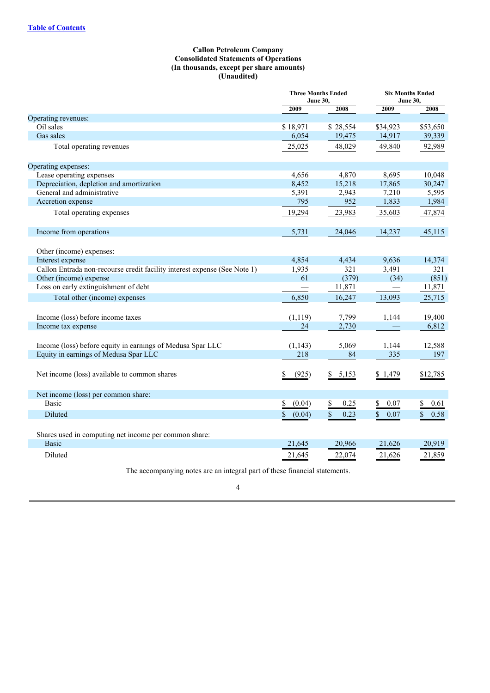### **Callon Petroleum Company Consolidated Statements of Operations (In thousands, except per share amounts) (Unaudited)**

|                                                                           | <b>Three Months Ended</b><br><b>June 30,</b> |            | <b>Six Months Ended</b><br>June 30, |            |
|---------------------------------------------------------------------------|----------------------------------------------|------------|-------------------------------------|------------|
|                                                                           | 2009                                         | 2008       | 2009                                | 2008       |
| Operating revenues:                                                       |                                              |            |                                     |            |
| Oil sales                                                                 | \$18,971                                     | \$28,554   | \$34,923                            | \$53,650   |
| Gas sales                                                                 | 6,054                                        | 19,475     | 14,917                              | 39,339     |
| Total operating revenues                                                  | 25,025                                       | 48,029     | 49,840                              | 92,989     |
| Operating expenses:                                                       |                                              |            |                                     |            |
| Lease operating expenses                                                  | 4,656                                        | 4,870      | 8,695                               | 10,048     |
| Depreciation, depletion and amortization                                  | 8,452                                        | 15,218     | 17,865                              | 30,247     |
| General and administrative                                                | 5,391                                        | 2,943      | 7,210                               | 5,595      |
| Accretion expense                                                         | 795                                          | 952        | 1,833                               | 1,984      |
| Total operating expenses                                                  | 19,294                                       | 23,983     | 35,603                              | 47,874     |
| Income from operations                                                    | 5,731                                        | 24,046     | 14,237                              | 45,115     |
| Other (income) expenses:                                                  |                                              |            |                                     |            |
| Interest expense                                                          | 4,854                                        | 4,434      | 9,636                               | 14,374     |
| Callon Entrada non-recourse credit facility interest expense (See Note 1) | 1,935                                        | 321        | 3,491                               | 321        |
| Other (income) expense                                                    | 61                                           | (379)      | (34)                                | (851)      |
| Loss on early extinguishment of debt                                      |                                              | 11,871     |                                     | 11,871     |
| Total other (income) expenses                                             | 6.850                                        | 16,247     | 13,093                              | 25,715     |
| Income (loss) before income taxes                                         | (1, 119)                                     | 7,799      | 1,144                               | 19,400     |
| Income tax expense                                                        | 24                                           | 2,730      |                                     | 6,812      |
| Income (loss) before equity in earnings of Medusa Spar LLC                | (1,143)                                      | 5,069      | 1,144                               | 12,588     |
| Equity in earnings of Medusa Spar LLC                                     | 218                                          | 84         | 335                                 | 197        |
| Net income (loss) available to common shares                              | \$<br>(925)                                  | \$5,153    | \$1,479                             | \$12,785   |
| Net income (loss) per common share:                                       |                                              |            |                                     |            |
| <b>Basic</b>                                                              | (0.04)<br>\$                                 | \$<br>0.25 | 0.07<br>\$                          | 0.61<br>\$ |
| Diluted                                                                   | \$<br>(0.04)                                 | \$<br>0.23 | \$<br>0.07                          | \$<br>0.58 |
| Shares used in computing net income per common share:                     |                                              |            |                                     |            |
| <b>Basic</b>                                                              | 21,645                                       | 20,966     | 21,626                              | 20,919     |
| Diluted                                                                   | 21,645                                       | 22,074     | 21,626                              | 21,859     |

The accompanying notes are an integral part of these financial statements.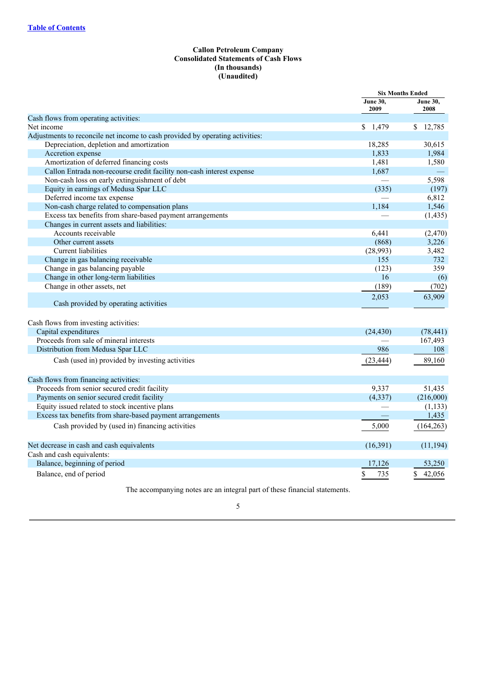#### **Callon Petroleum Company Consolidated Statements of Cash Flows (In thousands) (Unaudited)**

|                                                                               |                         | <b>Six Months Ended</b> |
|-------------------------------------------------------------------------------|-------------------------|-------------------------|
|                                                                               | <b>June 30,</b><br>2009 | <b>June 30,</b><br>2008 |
| Cash flows from operating activities:                                         |                         |                         |
| Net income                                                                    | \$1,479                 | 12,785<br>\$            |
| Adjustments to reconcile net income to cash provided by operating activities: |                         |                         |
| Depreciation, depletion and amortization                                      | 18,285                  | 30,615                  |
| Accretion expense                                                             | 1,833                   | 1,984                   |
| Amortization of deferred financing costs                                      | 1,481                   | 1,580                   |
| Callon Entrada non-recourse credit facility non-cash interest expense         | 1,687                   |                         |
| Non-cash loss on early extinguishment of debt                                 |                         | 5,598                   |
| Equity in earnings of Medusa Spar LLC                                         | (335)                   | (197)                   |
| Deferred income tax expense                                                   |                         | 6,812                   |
| Non-cash charge related to compensation plans                                 | 1,184                   | 1,546                   |
| Excess tax benefits from share-based payment arrangements                     |                         | (1, 435)                |
| Changes in current assets and liabilities:                                    |                         |                         |
| Accounts receivable                                                           | 6,441                   | (2, 470)                |
| Other current assets                                                          | (868)                   | 3,226                   |
| Current liabilities                                                           | (28,993)                | 3,482                   |
| Change in gas balancing receivable                                            | 155                     | 732                     |
| Change in gas balancing payable                                               | (123)                   | 359                     |
| Change in other long-term liabilities                                         | 16                      | (6)                     |
| Change in other assets, net                                                   | (189)                   | (702)                   |
| Cash provided by operating activities                                         | 2,053                   | 63,909                  |
|                                                                               |                         |                         |
| Cash flows from investing activities:                                         |                         |                         |
| Capital expenditures                                                          | (24, 430)               | (78, 441)               |
| Proceeds from sale of mineral interests                                       |                         | 167,493                 |
| Distribution from Medusa Spar LLC                                             | 986                     | 108                     |
| Cash (used in) provided by investing activities                               | (23, 444)               | 89,160                  |
|                                                                               |                         |                         |
| Cash flows from financing activities:                                         |                         |                         |
| Proceeds from senior secured credit facility                                  | 9,337                   | 51,435                  |
| Payments on senior secured credit facility                                    | (4, 337)                | (216,000)               |
| Equity issued related to stock incentive plans                                |                         | (1, 133)                |
| Excess tax benefits from share-based payment arrangements                     |                         | 1,435                   |
| Cash provided by (used in) financing activities                               | 5.000                   | (164, 263)              |
| Net decrease in cash and cash equivalents                                     | (16,391)                | (11, 194)               |
| Cash and cash equivalents:                                                    |                         |                         |
| Balance, beginning of period                                                  | 17.126                  | 53,250                  |
| Balance, end of period                                                        | \$<br>735               | \$<br>42,056            |
|                                                                               |                         |                         |

The accompanying notes are an integral part of these financial statements.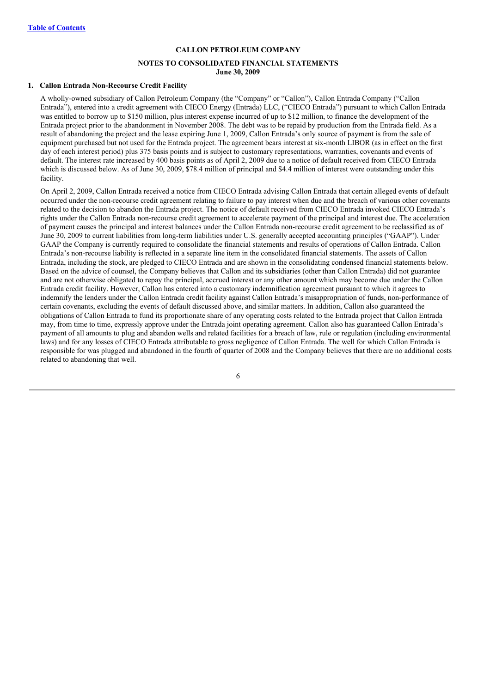#### **CALLON PETROLEUM COMPANY**

#### **NOTES TO CONSOLIDATED FINANCIAL STATEMENTS June 30, 2009**

#### **1. Callon Entrada Non-Recourse Credit Facility**

A wholly-owned subsidiary of Callon Petroleum Company (the "Company" or "Callon"), Callon Entrada Company ("Callon Entrada"), entered into a credit agreement with CIECO Energy (Entrada) LLC, ("CIECO Entrada") pursuant to which Callon Entrada was entitled to borrow up to \$150 million, plus interest expense incurred of up to \$12 million, to finance the development of the Entrada project prior to the abandonment in November 2008. The debt was to be repaid by production from the Entrada field. As a result of abandoning the project and the lease expiring June 1, 2009, Callon Entrada's only source of payment is from the sale of equipment purchased but not used for the Entrada project. The agreement bears interest at six-month LIBOR (as in effect on the first day of each interest period) plus 375 basis points and is subject to customary representations, warranties, covenants and events of default. The interest rate increased by 400 basis points as of April 2, 2009 due to a notice of default received from CIECO Entrada which is discussed below. As of June 30, 2009, \$78.4 million of principal and \$4.4 million of interest were outstanding under this facility.

On April 2, 2009, Callon Entrada received a notice from CIECO Entrada advising Callon Entrada that certain alleged events of default occurred under the non-recourse credit agreement relating to failure to pay interest when due and the breach of various other covenants related to the decision to abandon the Entrada project. The notice of default received from CIECO Entrada invoked CIECO Entrada's rights under the Callon Entrada non-recourse credit agreement to accelerate payment of the principal and interest due. The acceleration of payment causes the principal and interest balances under the Callon Entrada non-recourse credit agreement to be reclassified as of June 30, 2009 to current liabilities from long-term liabilities under U.S. generally accepted accounting principles ("GAAP"). Under GAAP the Company is currently required to consolidate the financial statements and results of operations of Callon Entrada. Callon Entrada's non-recourse liability is reflected in a separate line item in the consolidated financial statements. The assets of Callon Entrada, including the stock, are pledged to CIECO Entrada and are shown in the consolidating condensed financial statements below. Based on the advice of counsel, the Company believes that Callon and its subsidiaries (other than Callon Entrada) did not guarantee and are not otherwise obligated to repay the principal, accrued interest or any other amount which may become due under the Callon Entrada credit facility. However, Callon has entered into a customary indemnification agreement pursuant to which it agrees to indemnify the lenders under the Callon Entrada credit facility against Callon Entrada's misappropriation of funds, non-performance of certain covenants, excluding the events of default discussed above, and similar matters. In addition, Callon also guaranteed the obligations of Callon Entrada to fund its proportionate share of any operating costs related to the Entrada project that Callon Entrada may, from time to time, expressly approve under the Entrada joint operating agreement. Callon also has guaranteed Callon Entrada's payment of all amounts to plug and abandon wells and related facilities for a breach of law, rule or regulation (including environmental laws) and for any losses of CIECO Entrada attributable to gross negligence of Callon Entrada. The well for which Callon Entrada is responsible for was plugged and abandoned in the fourth of quarter of 2008 and the Company believes that there are no additional costs related to abandoning that well.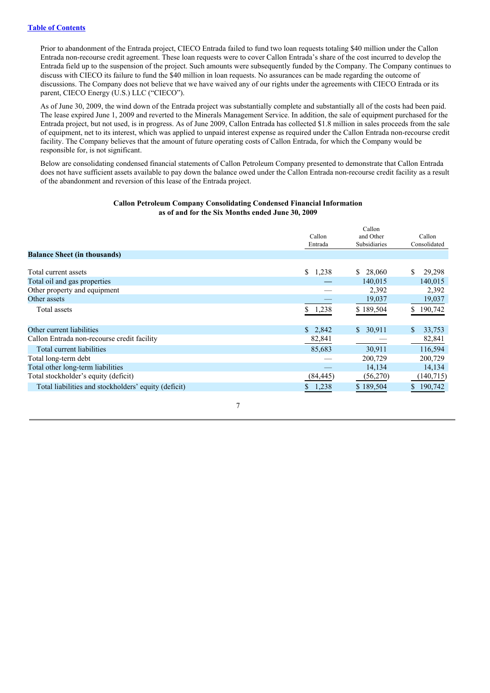Prior to abandonment of the Entrada project, CIECO Entrada failed to fund two loan requests totaling \$40 million under the Callon Entrada non-recourse credit agreement. These loan requests were to cover Callon Entrada's share of the cost incurred to develop the Entrada field up to the suspension of the project. Such amounts were subsequently funded by the Company. The Company continues to discuss with CIECO its failure to fund the \$40 million in loan requests. No assurances can be made regarding the outcome of discussions. The Company does not believe that we have waived any of our rights under the agreements with CIECO Entrada or its parent, CIECO Energy (U.S.) LLC ("CIECO").

As of June 30, 2009, the wind down of the Entrada project was substantially complete and substantially all of the costs had been paid. The lease expired June 1, 2009 and reverted to the Minerals Management Service. In addition, the sale of equipment purchased for the Entrada project, but not used, is in progress. As of June 2009, Callon Entrada has collected \$1.8 million in sales proceeds from the sale of equipment, net to its interest, which was applied to unpaid interest expense as required under the Callon Entrada non-recourse credit facility. The Company believes that the amount of future operating costs of Callon Entrada, for which the Company would be responsible for, is not significant.

Below are consolidating condensed financial statements of Callon Petroleum Company presented to demonstrate that Callon Entrada does not have sufficient assets available to pay down the balance owed under the Callon Entrada non-recourse credit facility as a result of the abandonment and reversion of this lease of the Entrada project.

#### **Callon Petroleum Company Consolidating Condensed Financial Information as of and for the Six Months ended June 30, 2009**

|                                                      |             | Callon       |              |
|------------------------------------------------------|-------------|--------------|--------------|
|                                                      | Callon      | and Other    | Callon       |
|                                                      | Entrada     | Subsidiaries | Consolidated |
| <b>Balance Sheet (in thousands)</b>                  |             |              |              |
|                                                      |             |              |              |
| Total current assets                                 | \$<br>1,238 | \$28,060     | S<br>29,298  |
| Total oil and gas properties                         |             | 140,015      | 140,015      |
| Other property and equipment                         |             | 2,392        | 2,392        |
| Other assets                                         |             | 19,037       | 19,037       |
| Total assets                                         | 1,238       | \$189,504    | \$190,742    |
| Other current liabilities                            | \$2,842     | \$30,911     | \$<br>33,753 |
| Callon Entrada non-recourse credit facility          | 82,841      |              | 82,841       |
| Total current liabilities                            | 85,683      | 30,911       | 116,594      |
| Total long-term debt                                 |             | 200,729      | 200,729      |
| Total other long-term liabilities                    |             | 14,134       | 14,134       |
| Total stockholder's equity (deficit)                 | (84, 445)   | (56,270)     | (140, 715)   |
| Total liabilities and stockholders' equity (deficit) | 1,238<br>\$ | \$189,504    | 190,742      |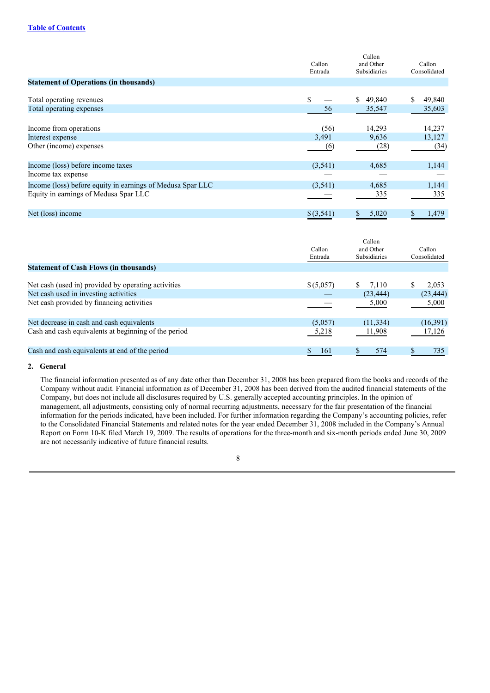|                                                            |               | Callon       |              |
|------------------------------------------------------------|---------------|--------------|--------------|
|                                                            | Callon        | and Other    | Callon       |
|                                                            | Entrada       | Subsidiaries | Consolidated |
| <b>Statement of Operations (in thousands)</b>              |               |              |              |
|                                                            |               |              |              |
| Total operating revenues                                   | \$            | 49,840<br>\$ | \$<br>49,840 |
| Total operating expenses                                   | 56            | 35,547       | 35,603       |
|                                                            |               |              |              |
| Income from operations                                     | (56)          | 14,293       | 14,237       |
| Interest expense                                           | 3,491         | 9,636        | 13,127       |
| Other (income) expenses                                    | (6)           | (28)         | (34)         |
|                                                            |               |              |              |
| Income (loss) before income taxes                          | (3,541)       | 4,685        | 1,144        |
| Income tax expense                                         |               |              |              |
| Income (loss) before equity in earnings of Medusa Spar LLC | (3,541)       | 4,685        | 1,144        |
| Equity in earnings of Medusa Spar LLC                      |               | 335          | 335          |
|                                                            |               |              |              |
| Net (loss) income                                          | $$$ $(3,541)$ | 5,020<br>S   | 1,479<br>\$  |

|                                                                                                                                           | Callon<br>Entrada | Callon<br>and Other<br>Subsidiaries | Callon<br>Consolidated           |
|-------------------------------------------------------------------------------------------------------------------------------------------|-------------------|-------------------------------------|----------------------------------|
| <b>Statement of Cash Flows (in thousands)</b>                                                                                             |                   |                                     |                                  |
| Net cash (used in) provided by operating activities<br>Net cash used in investing activities<br>Net cash provided by financing activities | \$ (5,057)        | 7.110<br>S.<br>(23, 444)<br>5,000   | S<br>2.053<br>(23, 444)<br>5,000 |
| Net decrease in cash and cash equivalents<br>Cash and cash equivalents at beginning of the period                                         | (5,057)<br>5,218  | (11, 334)<br>11,908                 | (16,391)<br>17,126               |
| Cash and cash equivalents at end of the period                                                                                            | 161               | 574                                 | 735                              |

#### **2. General**

The financial information presented as of any date other than December 31, 2008 has been prepared from the books and records of the Company without audit. Financial information as of December 31, 2008 has been derived from the audited financial statements of the Company, but does not include all disclosures required by U.S. generally accepted accounting principles. In the opinion of management, all adjustments, consisting only of normal recurring adjustments, necessary for the fair presentation of the financial information for the periods indicated, have been included. For further information regarding the Company's accounting policies, refer to the Consolidated Financial Statements and related notes for the year ended December 31, 2008 included in the Company's Annual Report on Form 10-K filed March 19, 2009. The results of operations for the three-month and six-month periods ended June 30, 2009 are not necessarily indicative of future financial results.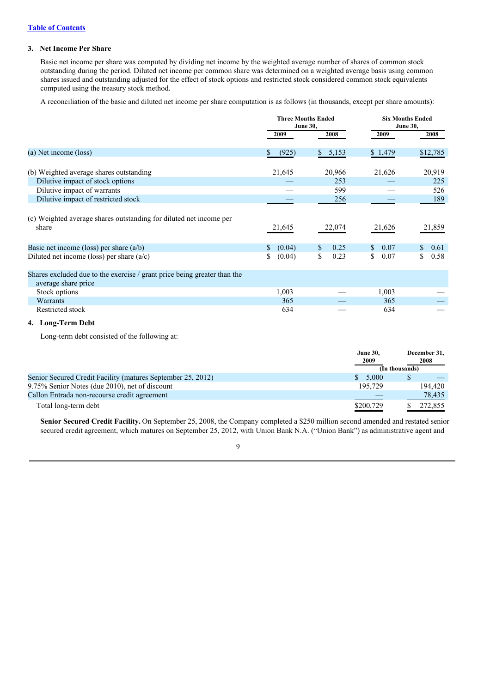#### **3. Net Income Per Share**

Basic net income per share was computed by dividing net income by the weighted average number of shares of common stock outstanding during the period. Diluted net income per common share was determined on a weighted average basis using common shares issued and outstanding adjusted for the effect of stock options and restricted stock considered common stock equivalents computed using the treasury stock method.

A reconciliation of the basic and diluted net income per share computation is as follows (in thousands, except per share amounts):

|                                                                                                 | <b>Three Months Ended</b><br><b>June 30,</b> |             | <b>Six Months Ended</b><br><b>June 30,</b> |            |
|-------------------------------------------------------------------------------------------------|----------------------------------------------|-------------|--------------------------------------------|------------|
|                                                                                                 | 2009                                         | 2008        | 2009                                       | 2008       |
| (a) Net income (loss)                                                                           | (925)<br>S.                                  | 5,153<br>S. | \$1,479                                    | \$12,785   |
| (b) Weighted average shares outstanding                                                         | 21,645                                       | 20,966      | 21,626                                     | 20,919     |
| Dilutive impact of stock options                                                                |                                              | 253         |                                            | 225        |
| Dilutive impact of warrants                                                                     |                                              | 599         |                                            | 526        |
| Dilutive impact of restricted stock                                                             |                                              | 256         |                                            | 189        |
| (c) Weighted average shares outstanding for diluted net income per<br>share                     | 21,645                                       | 22,074      | 21,626                                     | 21,859     |
| Basic net income (loss) per share (a/b)                                                         | (0.04)<br>S.                                 | 0.25<br>S   | 0.07<br>S.                                 | 0.61<br>S. |
| Diluted net income (loss) per share $(a/c)$                                                     | \$<br>(0.04)                                 | \$<br>0.23  | \$<br>0.07                                 | 0.58<br>S. |
| Shares excluded due to the exercise / grant price being greater than the<br>average share price |                                              |             |                                            |            |
| Stock options                                                                                   | 1,003                                        |             | 1,003                                      |            |
| Warrants                                                                                        | 365                                          |             | 365                                        |            |
| Restricted stock                                                                                | 634                                          |             | 634                                        |            |

#### **4. Long-Term Debt**

Long-term debt consisted of the following at:

|                                                             | <b>June 30.</b><br>2009 | December 31,<br>2008 |
|-------------------------------------------------------------|-------------------------|----------------------|
|                                                             |                         | (In thousands)       |
| Senior Secured Credit Facility (matures September 25, 2012) | 5.000                   |                      |
| 9.75% Senior Notes (due 2010), net of discount              | 195,729                 | 194.420              |
| Callon Entrada non-recourse credit agreement                |                         | 78,435               |
| Total long-term debt                                        | \$200,729               | 272,855              |

**Senior Secured Credit Facility.** On September 25, 2008, the Company completed a \$250 million second amended and restated senior secured credit agreement, which matures on September 25, 2012, with Union Bank N.A. ("Union Bank") as administrative agent and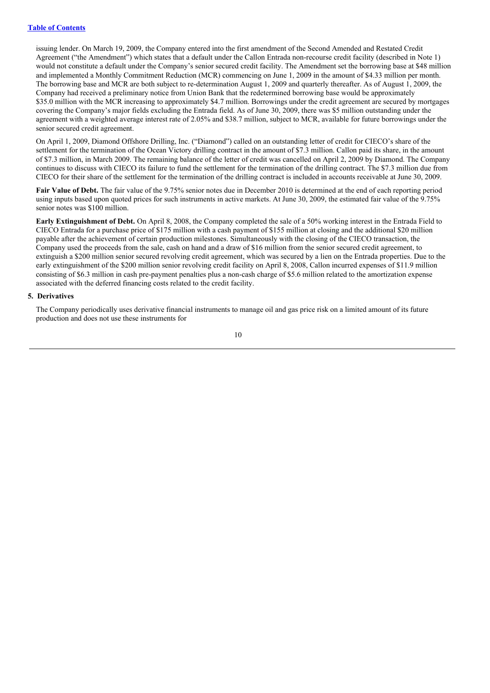issuing lender. On March 19, 2009, the Company entered into the first amendment of the Second Amended and Restated Credit Agreement ("the Amendment") which states that a default under the Callon Entrada non-recourse credit facility (described in Note 1) would not constitute a default under the Company's senior secured credit facility. The Amendment set the borrowing base at \$48 million and implemented a Monthly Commitment Reduction (MCR) commencing on June 1, 2009 in the amount of \$4.33 million per month. The borrowing base and MCR are both subject to re-determination August 1, 2009 and quarterly thereafter. As of August 1, 2009, the Company had received a preliminary notice from Union Bank that the redetermined borrowing base would be approximately \$35.0 million with the MCR increasing to approximately \$4.7 million. Borrowings under the credit agreement are secured by mortgages covering the Company's major fields excluding the Entrada field. As of June 30, 2009, there was \$5 million outstanding under the agreement with a weighted average interest rate of 2.05% and \$38.7 million, subject to MCR, available for future borrowings under the senior secured credit agreement.

On April 1, 2009, Diamond Offshore Drilling, Inc. ("Diamond") called on an outstanding letter of credit for CIECO's share of the settlement for the termination of the Ocean Victory drilling contract in the amount of \$7.3 million. Callon paid its share, in the amount of \$7.3 million, in March 2009. The remaining balance of the letter of credit was cancelled on April 2, 2009 by Diamond. The Company continues to discuss with CIECO its failure to fund the settlement for the termination of the drilling contract. The \$7.3 million due from CIECO for their share of the settlement for the termination of the drilling contract is included in accounts receivable at June 30, 2009.

**Fair Value of Debt.** The fair value of the 9.75% senior notes due in December 2010 is determined at the end of each reporting period using inputs based upon quoted prices for such instruments in active markets. At June 30, 2009, the estimated fair value of the 9.75% senior notes was \$100 million.

**Early Extinguishment of Debt.** On April 8, 2008, the Company completed the sale of a 50% working interest in the Entrada Field to CIECO Entrada for a purchase price of \$175 million with a cash payment of \$155 million at closing and the additional \$20 million payable after the achievement of certain production milestones. Simultaneously with the closing of the CIECO transaction, the Company used the proceeds from the sale, cash on hand and a draw of \$16 million from the senior secured credit agreement, to extinguish a \$200 million senior secured revolving credit agreement, which was secured by a lien on the Entrada properties. Due to the early extinguishment of the \$200 million senior revolving credit facility on April 8, 2008, Callon incurred expenses of \$11.9 million consisting of \$6.3 million in cash pre-payment penalties plus a non-cash charge of \$5.6 million related to the amortization expense associated with the deferred financing costs related to the credit facility.

#### **5. Derivatives**

The Company periodically uses derivative financial instruments to manage oil and gas price risk on a limited amount of its future production and does not use these instruments for

10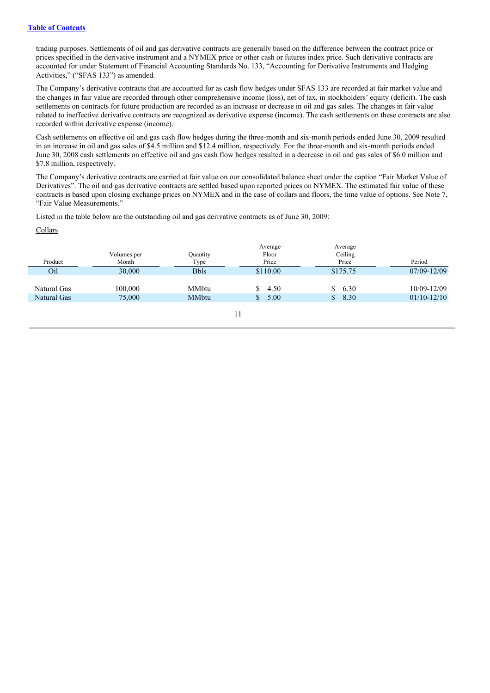trading purposes. Settlements of oil and gas derivative contracts are generally based on the difference between the contract price or prices specified in the derivative instrument and a NYMEX price or other cash or futures index price. Such derivative contracts are accounted for under Statement of Financial Accounting Standards No. 133, "Accounting for Derivative Instruments and Hedging Activities," ("SFAS 133") as amended.

The Company's derivative contracts that are accounted for as cash flow hedges under SFAS 133 are recorded at fair market value and the changes in fair value are recorded through other comprehensive income (loss), net of tax, in stockholders' equity (deficit). The cash settlements on contracts for future production are recorded as an increase or decrease in oil and gas sales. The changes in fair value related to ineffective derivative contracts are recognized as derivative expense (income). The cash settlements on these contracts are also recorded within derivative expense (income).

Cash settlements on effective oil and gas cash flow hedges during the three-month and six-month periods ended June 30, 2009 resulted in an increase in oil and gas sales of \$4.5 million and \$12.4 million, respectively. For the three-month and six-month periods ended June 30, 2008 cash settlements on effective oil and gas cash flow hedges resulted in a decrease in oil and gas sales of \$6.0 million and \$7.8 million, respectively.

The Company's derivative contracts are carried at fair value on our consolidated balance sheet under the caption "Fair Market Value of Derivatives". The oil and gas derivative contracts are settled based upon reported prices on NYMEX. The estimated fair value of these contracts is based upon closing exchange prices on NYMEX and in the case of collars and floors, the time value of options. See Note 7, "Fair Value Measurements."

Listed in the table below are the outstanding oil and gas derivative contracts as of June 30, 2009:

**Collars** 

| Product                    | Volumes per<br>Month | Ouantity<br>Type             | Average<br>Floor<br>Price | Average<br>Ceiling<br>Price | Period                       |
|----------------------------|----------------------|------------------------------|---------------------------|-----------------------------|------------------------------|
| O <sub>il</sub>            | 30,000               | <b>Bbls</b>                  | \$110.00                  | \$175.75                    | 07/09-12/09                  |
| Natural Gas<br>Natural Gas | 100,000<br>75,000    | <b>MMbtu</b><br><b>MMbtu</b> | \$4.50<br>5.00            | \$6.30<br>8.30              | 10/09-12/09<br>$01/10-12/10$ |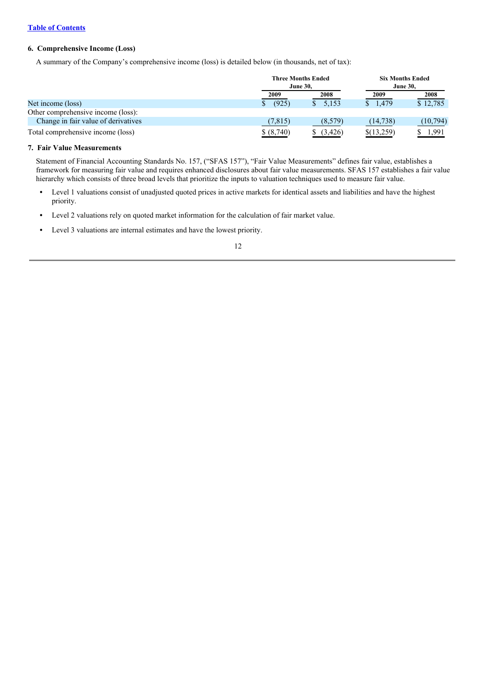## **6. Comprehensive Income (Loss)**

A summary of the Company's comprehensive income (loss) is detailed below (in thousands, net of tax):

|                                     |            | <b>Three Months Ended</b><br><b>June 30.</b> |            | <b>Six Months Ended</b><br><b>June 30.</b> |  |
|-------------------------------------|------------|----------------------------------------------|------------|--------------------------------------------|--|
|                                     | 2009       | 2008                                         | 2009       | 2008                                       |  |
| Net income (loss)                   | (925)      | 5.153                                        | 1.479      | \$12,785                                   |  |
| Other comprehensive income (loss):  |            |                                              |            |                                            |  |
| Change in fair value of derivatives | (7, 815)   | (8,579)                                      | (14, 738)  | (10, 794)                                  |  |
| Total comprehensive income (loss)   | \$ (8,740) | \$ (3,426)                                   | \$(13,259) | 1,991                                      |  |

### **7. Fair Value Measurements**

Statement of Financial Accounting Standards No. 157, ("SFAS 157"), "Fair Value Measurements" defines fair value, establishes a framework for measuring fair value and requires enhanced disclosures about fair value measurements. SFAS 157 establishes a fair value hierarchy which consists of three broad levels that prioritize the inputs to valuation techniques used to measure fair value.

- **•** Level 1 valuations consist of unadjusted quoted prices in active markets for identical assets and liabilities and have the highest priority.
- Level 2 valuations rely on quoted market information for the calculation of fair market value.
- **•** Level 3 valuations are internal estimates and have the lowest priority.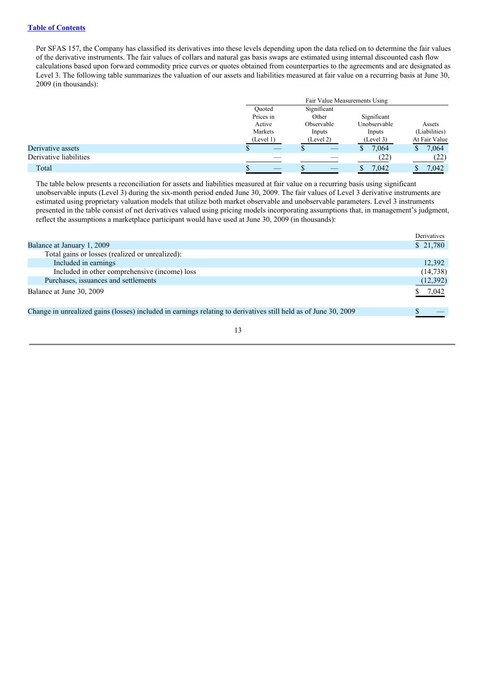Per SFAS 157, the Company has classified its derivatives into these levels depending upon the data relied on to determine the fair values of the derivative instruments. The fair values of collars and natural gas basis swaps are estimated using internal discounted cash flow calculations based upon forward commodity price curves or quotes obtained from counterparties to the agreements and are designated as Level 3. The following table summarizes the valuation of our assets and liabilities measured at fair value on a recurring basis at June 30, 2009 (in thousands):

|                        |           | Fair Value Measurements Using |             |              |               |
|------------------------|-----------|-------------------------------|-------------|--------------|---------------|
|                        | Ouoted    |                               | Significant |              |               |
|                        | Prices in |                               | Other       | Significant  |               |
|                        | Active    |                               | Observable  | Unobservable | Assets        |
|                        | Markets   |                               | Inputs      | Inputs       | (Liabilities) |
|                        | (Level 1) |                               | (Level 2)   | (Level 3)    | At Fair Value |
| Derivative assets      |           |                               |             | 7,064<br>S.  | 7,064         |
| Derivative liabilities |           |                               |             | (22)         | (22)          |
| Total                  |           | __                            | __          | 7.042        | 7.042         |

The table below presents a reconciliation for assets and liabilities measured at fair value on a recurring basis using significant unobservable inputs (Level 3) during the six-month period ended June 30, 2009. The fair values of Level 3 derivative instruments are estimated using proprietary valuation models that utilize both market observable and unobservable parameters. Level 3 instruments presented in the table consist of net derivatives valued using pricing models incorporating assumptions that, in management's judgment, reflect the assumptions a marketplace participant would have used at June 30, 2009 (in thousands):

|                                                                                                                 | Derivatives |
|-----------------------------------------------------------------------------------------------------------------|-------------|
| Balance at January 1, 2009                                                                                      | \$21,780    |
| Total gains or losses (realized or unrealized):                                                                 |             |
| Included in earnings                                                                                            | 12,392      |
| Included in other comprehensive (income) loss                                                                   | (14, 738)   |
| Purchases, issuances and settlements                                                                            | (12, 392)   |
| Balance at June 30, 2009                                                                                        | 7,042       |
| Change in unrealized gains (losses) included in earnings relating to derivatives still held as of June 30, 2009 |             |
|                                                                                                                 |             |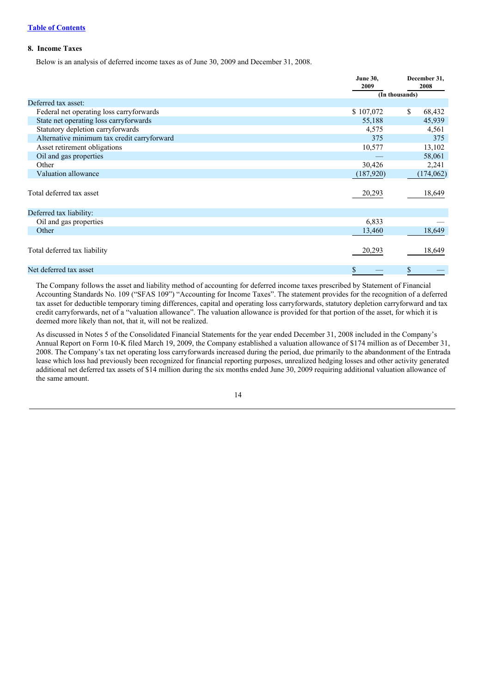#### **8. Income Taxes**

Below is an analysis of deferred income taxes as of June 30, 2009 and December 31, 2008.

|                                             | <b>June 30,</b><br>2009 | December 31,<br>2008 |
|---------------------------------------------|-------------------------|----------------------|
|                                             |                         | (In thousands)       |
| Deferred tax asset:                         |                         |                      |
| Federal net operating loss carryforwards    | \$107,072               | \$<br>68,432         |
| State net operating loss carryforwards      | 55,188                  | 45,939               |
| Statutory depletion carryforwards           | 4,575                   | 4,561                |
| Alternative minimum tax credit carryforward | 375                     | 375                  |
| Asset retirement obligations                | 10,577                  | 13,102               |
| Oil and gas properties                      |                         | 58,061               |
| Other                                       | 30,426                  | 2,241                |
| Valuation allowance                         | (187,920)               | (174, 062)           |
| Total deferred tax asset                    | 20,293                  | 18,649               |
| Deferred tax liability:                     |                         |                      |
| Oil and gas properties                      | 6,833                   |                      |
| Other                                       | 13,460                  | 18,649               |
| Total deferred tax liability                | 20,293                  | 18,649               |
| Net deferred tax asset                      | \$                      | \$                   |

The Company follows the asset and liability method of accounting for deferred income taxes prescribed by Statement of Financial Accounting Standards No. 109 ("SFAS 109") "Accounting for Income Taxes". The statement provides for the recognition of a deferred tax asset for deductible temporary timing differences, capital and operating loss carryforwards, statutory depletion carryforward and tax credit carryforwards, net of a "valuation allowance". The valuation allowance is provided for that portion of the asset, for which it is deemed more likely than not, that it, will not be realized.

As discussed in Notes 5 of the Consolidated Financial Statements for the year ended December 31, 2008 included in the Company's Annual Report on Form 10-K filed March 19, 2009, the Company established a valuation allowance of \$174 million as of December 31, 2008. The Company's tax net operating loss carryforwards increased during the period, due primarily to the abandonment of the Entrada lease which loss had previously been recognized for financial reporting purposes, unrealized hedging losses and other activity generated additional net deferred tax assets of \$14 million during the six months ended June 30, 2009 requiring additional valuation allowance of the same amount.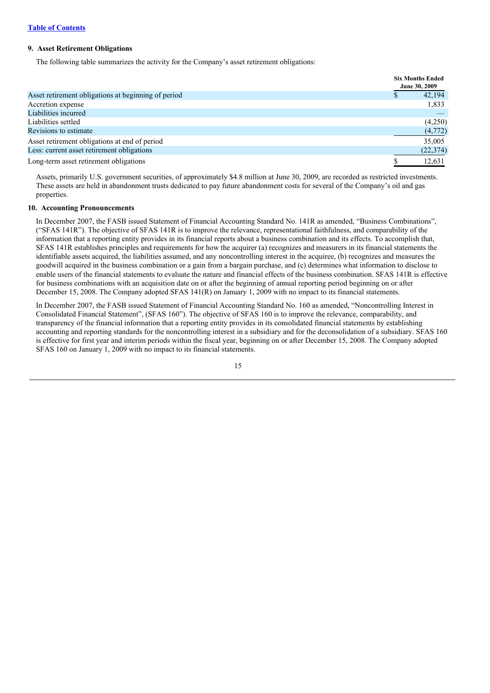#### **9. Asset Retirement Obligations**

The following table summarizes the activity for the Company's asset retirement obligations:

|                                                     | <b>Six Months Ended</b><br><b>June 30, 2009</b> |
|-----------------------------------------------------|-------------------------------------------------|
| Asset retirement obligations at beginning of period | 42,194                                          |
| Accretion expense                                   | 1,833                                           |
| Liabilities incurred                                |                                                 |
| Liabilities settled                                 | (4,250)                                         |
| Revisions to estimate                               | (4,772)                                         |
| Asset retirement obligations at end of period       | 35,005                                          |
| Less: current asset retirement obligations          | (22, 374)                                       |
| Long-term asset retirement obligations              | 12,631                                          |

Assets, primarily U.S. government securities, of approximately \$4.8 million at June 30, 2009, are recorded as restricted investments. These assets are held in abandonment trusts dedicated to pay future abandonment costs for several of the Company's oil and gas properties.

#### **10. Accounting Pronouncements**

In December 2007, the FASB issued Statement of Financial Accounting Standard No. 141R as amended, "Business Combinations", ("SFAS 141R"). The objective of SFAS 141R is to improve the relevance, representational faithfulness, and comparability of the information that a reporting entity provides in its financial reports about a business combination and its effects. To accomplish that, SFAS 141R establishes principles and requirements for how the acquirer (a) recognizes and measurers in its financial statements the identifiable assets acquired, the liabilities assumed, and any noncontrolling interest in the acquiree, (b) recognizes and measures the goodwill acquired in the business combination or a gain from a bargain purchase, and (c) determines what information to disclose to enable users of the financial statements to evaluate the nature and financial effects of the business combination. SFAS 141R is effective for business combinations with an acquisition date on or after the beginning of annual reporting period beginning on or after December 15, 2008. The Company adopted SFAS 141(R) on January 1, 2009 with no impact to its financial statements.

In December 2007, the FASB issued Statement of Financial Accounting Standard No. 160 as amended, "Noncontrolling Interest in Consolidated Financial Statement", (SFAS 160"). The objective of SFAS 160 is to improve the relevance, comparability, and transparency of the financial information that a reporting entity provides in its consolidated financial statements by establishing accounting and reporting standards for the noncontrolling interest in a subsidiary and for the deconsolidation of a subsidiary. SFAS 160 is effective for first year and interim periods within the fiscal year, beginning on or after December 15, 2008. The Company adopted SFAS 160 on January 1, 2009 with no impact to its financial statements.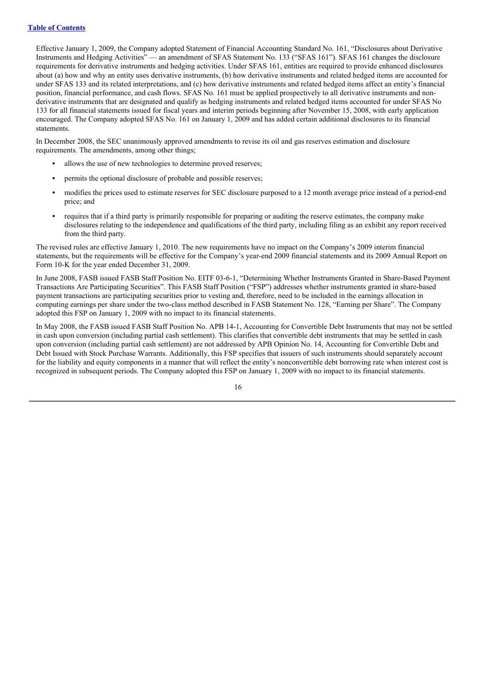Effective January 1, 2009, the Company adopted Statement of Financial Accounting Standard No. 161, "Disclosures about Derivative Instruments and Hedging Activities" — an amendment of SFAS Statement No. 133 ("SFAS 161"). SFAS 161 changes the disclosure requirements for derivative instruments and hedging activities. Under SFAS 161, entities are required to provide enhanced disclosures about (a) how and why an entity uses derivative instruments, (b) how derivative instruments and related hedged items are accounted for under SFAS 133 and its related interpretations, and (c) how derivative instruments and related hedged items affect an entity's financial position, financial performance, and cash flows. SFAS No. 161 must be applied prospectively to all derivative instruments and nonderivative instruments that are designated and qualify as hedging instruments and related hedged items accounted for under SFAS No 133 for all financial statements issued for fiscal years and interim periods beginning after November 15, 2008, with early application encouraged. The Company adopted SFAS No. 161 on January 1, 2009 and has added certain additional disclosures to its financial statements.

In December 2008, the SEC unanimously approved amendments to revise its oil and gas reserves estimation and disclosure requirements. The amendments, among other things;

- **•** allows the use of new technologies to determine proved reserves;
- **•** permits the optional disclosure of probable and possible reserves;
- **•** modifies the prices used to estimate reserves for SEC disclosure purposed to a 12 month average price instead of a period-end price; and
- **•** requires that if a third party is primarily responsible for preparing or auditing the reserve estimates, the company make disclosures relating to the independence and qualifications of the third party, including filing as an exhibit any report received from the third party.

The revised rules are effective January 1, 2010. The new requirements have no impact on the Company's 2009 interim financial statements, but the requirements will be effective for the Company's year-end 2009 financial statements and its 2009 Annual Report on Form 10-K for the year ended December 31, 2009.

In June 2008, FASB issued FASB Staff Position No. EITF 03-6-1, "Determining Whether Instruments Granted in Share-Based Payment Transactions Are Participating Securities". This FASB Staff Position ("FSP") addresses whether instruments granted in share-based payment transactions are participating securities prior to vesting and, therefore, need to be included in the earnings allocation in computing earnings per share under the two-class method described in FASB Statement No. 128, "Earning per Share". The Company adopted this FSP on January 1, 2009 with no impact to its financial statements.

In May 2008, the FASB issued FASB Staff Position No. APB 14-1, Accounting for Convertible Debt Instruments that may not be settled in cash upon conversion (including partial cash settlement). This clarifies that convertible debt instruments that may be settled in cash upon conversion (including partial cash settlement) are not addressed by APB Opinion No. 14, Accounting for Convertible Debt and Debt Issued with Stock Purchase Warrants. Additionally, this FSP specifies that issuers of such instruments should separately account for the liability and equity components in a manner that will reflect the entity's nonconvertible debt borrowing rate when interest cost is recognized in subsequent periods. The Company adopted this FSP on January 1, 2009 with no impact to its financial statements.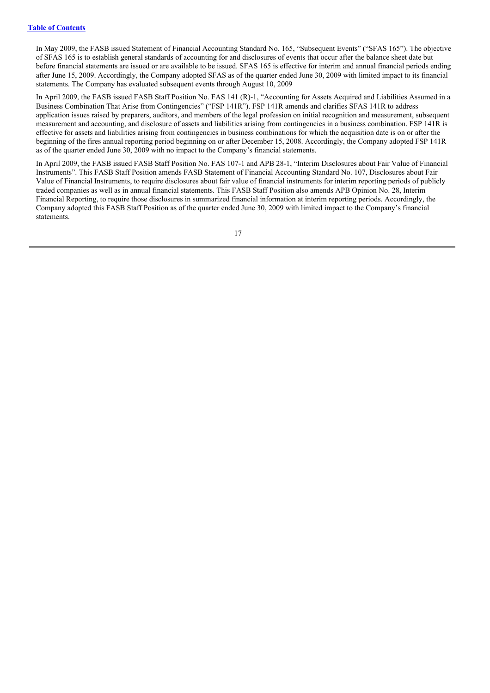In May 2009, the FASB issued Statement of Financial Accounting Standard No. 165, "Subsequent Events" ("SFAS 165"). The objective of SFAS 165 is to establish general standards of accounting for and disclosures of events that occur after the balance sheet date but before financial statements are issued or are available to be issued. SFAS 165 is effective for interim and annual financial periods ending after June 15, 2009. Accordingly, the Company adopted SFAS as of the quarter ended June 30, 2009 with limited impact to its financial statements. The Company has evaluated subsequent events through August 10, 2009

In April 2009, the FASB issued FASB Staff Position No. FAS 141 (R)-1, "Accounting for Assets Acquired and Liabilities Assumed in a Business Combination That Arise from Contingencies" ("FSP 141R"). FSP 141R amends and clarifies SFAS 141R to address application issues raised by preparers, auditors, and members of the legal profession on initial recognition and measurement, subsequent measurement and accounting, and disclosure of assets and liabilities arising from contingencies in a business combination. FSP 141R is effective for assets and liabilities arising from contingencies in business combinations for which the acquisition date is on or after the beginning of the fires annual reporting period beginning on or after December 15, 2008. Accordingly, the Company adopted FSP 141R as of the quarter ended June 30, 2009 with no impact to the Company's financial statements.

In April 2009, the FASB issued FASB Staff Position No. FAS 107-1 and APB 28-1, "Interim Disclosures about Fair Value of Financial Instruments". This FASB Staff Position amends FASB Statement of Financial Accounting Standard No. 107, Disclosures about Fair Value of Financial Instruments, to require disclosures about fair value of financial instruments for interim reporting periods of publicly traded companies as well as in annual financial statements. This FASB Staff Position also amends APB Opinion No. 28, Interim Financial Reporting, to require those disclosures in summarized financial information at interim reporting periods. Accordingly, the Company adopted this FASB Staff Position as of the quarter ended June 30, 2009 with limited impact to the Company's financial statements.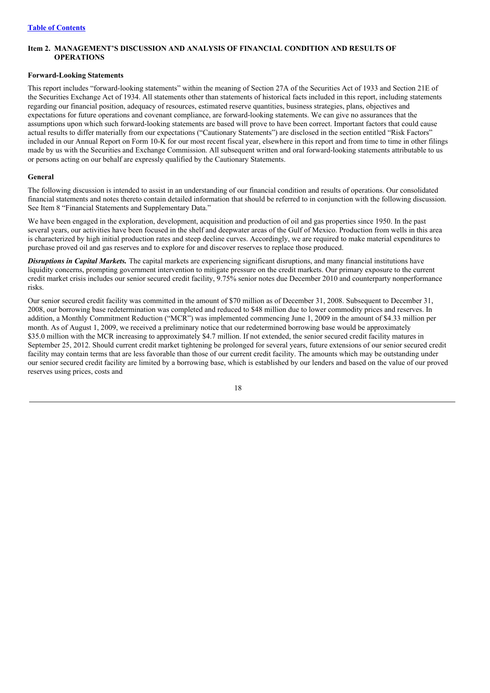#### **Item 2. MANAGEMENT'S DISCUSSION AND ANALYSIS OF FINANCIAL CONDITION AND RESULTS OF OPERATIONS**

#### **Forward-Looking Statements**

This report includes "forward-looking statements" within the meaning of Section 27A of the Securities Act of 1933 and Section 21E of the Securities Exchange Act of 1934. All statements other than statements of historical facts included in this report, including statements regarding our financial position, adequacy of resources, estimated reserve quantities, business strategies, plans, objectives and expectations for future operations and covenant compliance, are forward-looking statements. We can give no assurances that the assumptions upon which such forward-looking statements are based will prove to have been correct. Important factors that could cause actual results to differ materially from our expectations ("Cautionary Statements") are disclosed in the section entitled "Risk Factors" included in our Annual Report on Form 10-K for our most recent fiscal year, elsewhere in this report and from time to time in other filings made by us with the Securities and Exchange Commission. All subsequent written and oral forward-looking statements attributable to us or persons acting on our behalf are expressly qualified by the Cautionary Statements.

#### **General**

The following discussion is intended to assist in an understanding of our financial condition and results of operations. Our consolidated financial statements and notes thereto contain detailed information that should be referred to in conjunction with the following discussion. See Item 8 "Financial Statements and Supplementary Data."

We have been engaged in the exploration, development, acquisition and production of oil and gas properties since 1950. In the past several years, our activities have been focused in the shelf and deepwater areas of the Gulf of Mexico. Production from wells in this area is characterized by high initial production rates and steep decline curves. Accordingly, we are required to make material expenditures to purchase proved oil and gas reserves and to explore for and discover reserves to replace those produced.

*Disruptions in Capital Markets.* The capital markets are experiencing significant disruptions, and many financial institutions have liquidity concerns, prompting government intervention to mitigate pressure on the credit markets. Our primary exposure to the current credit market crisis includes our senior secured credit facility, 9.75% senior notes due December 2010 and counterparty nonperformance risks.

Our senior secured credit facility was committed in the amount of \$70 million as of December 31, 2008. Subsequent to December 31, 2008, our borrowing base redetermination was completed and reduced to \$48 million due to lower commodity prices and reserves. In addition, a Monthly Commitment Reduction ("MCR") was implemented commencing June 1, 2009 in the amount of \$4.33 million per month. As of August 1, 2009, we received a preliminary notice that our redetermined borrowing base would be approximately \$35.0 million with the MCR increasing to approximately \$4.7 million. If not extended, the senior secured credit facility matures in September 25, 2012. Should current credit market tightening be prolonged for several years, future extensions of our senior secured credit facility may contain terms that are less favorable than those of our current credit facility. The amounts which may be outstanding under our senior secured credit facility are limited by a borrowing base, which is established by our lenders and based on the value of our proved reserves using prices, costs and

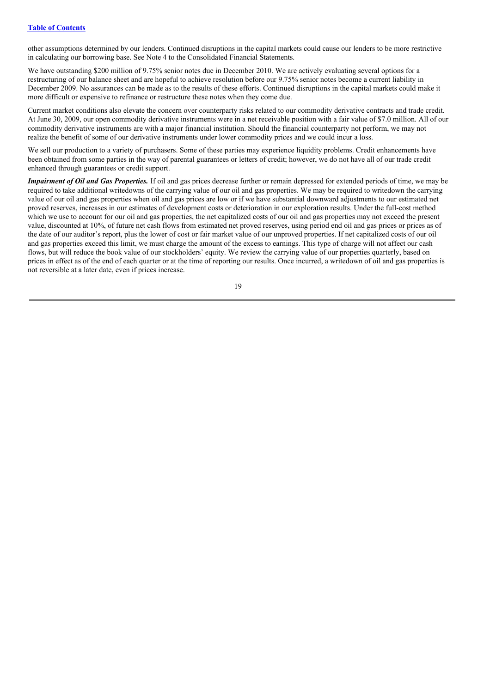other assumptions determined by our lenders. Continued disruptions in the capital markets could cause our lenders to be more restrictive in calculating our borrowing base. See Note 4 to the Consolidated Financial Statements.

We have outstanding \$200 million of 9.75% senior notes due in December 2010. We are actively evaluating several options for a restructuring of our balance sheet and are hopeful to achieve resolution before our 9.75% senior notes become a current liability in December 2009. No assurances can be made as to the results of these efforts. Continued disruptions in the capital markets could make it more difficult or expensive to refinance or restructure these notes when they come due.

Current market conditions also elevate the concern over counterparty risks related to our commodity derivative contracts and trade credit. At June 30, 2009, our open commodity derivative instruments were in a net receivable position with a fair value of \$7.0 million. All of our commodity derivative instruments are with a major financial institution. Should the financial counterparty not perform, we may not realize the benefit of some of our derivative instruments under lower commodity prices and we could incur a loss.

We sell our production to a variety of purchasers. Some of these parties may experience liquidity problems. Credit enhancements have been obtained from some parties in the way of parental guarantees or letters of credit; however, we do not have all of our trade credit enhanced through guarantees or credit support.

*Impairment of Oil and Gas Properties.* If oil and gas prices decrease further or remain depressed for extended periods of time, we may be required to take additional writedowns of the carrying value of our oil and gas properties. We may be required to writedown the carrying value of our oil and gas properties when oil and gas prices are low or if we have substantial downward adjustments to our estimated net proved reserves, increases in our estimates of development costs or deterioration in our exploration results. Under the full-cost method which we use to account for our oil and gas properties, the net capitalized costs of our oil and gas properties may not exceed the present value, discounted at 10%, of future net cash flows from estimated net proved reserves, using period end oil and gas prices or prices as of the date of our auditor's report, plus the lower of cost or fair market value of our unproved properties. If net capitalized costs of our oil and gas properties exceed this limit, we must charge the amount of the excess to earnings. This type of charge will not affect our cash flows, but will reduce the book value of our stockholders' equity. We review the carrying value of our properties quarterly, based on prices in effect as of the end of each quarter or at the time of reporting our results. Once incurred, a writedown of oil and gas properties is not reversible at a later date, even if prices increase.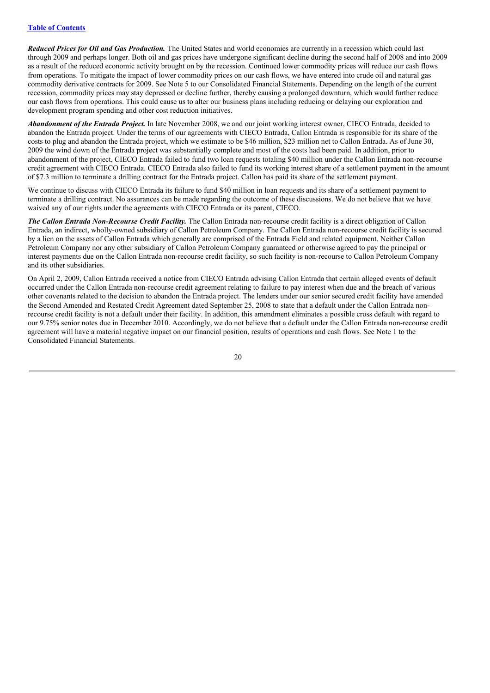*Reduced Prices for Oil and Gas Production.* The United States and world economies are currently in a recession which could last through 2009 and perhaps longer. Both oil and gas prices have undergone significant decline during the second half of 2008 and into 2009 as a result of the reduced economic activity brought on by the recession. Continued lower commodity prices will reduce our cash flows from operations. To mitigate the impact of lower commodity prices on our cash flows, we have entered into crude oil and natural gas commodity derivative contracts for 2009. See Note 5 to our Consolidated Financial Statements. Depending on the length of the current recession, commodity prices may stay depressed or decline further, thereby causing a prolonged downturn, which would further reduce our cash flows from operations. This could cause us to alter our business plans including reducing or delaying our exploration and development program spending and other cost reduction initiatives.

*Abandonment of the Entrada Project.* In late November 2008, we and our joint working interest owner, CIECO Entrada, decided to abandon the Entrada project. Under the terms of our agreements with CIECO Entrada, Callon Entrada is responsible for its share of the costs to plug and abandon the Entrada project, which we estimate to be \$46 million, \$23 million net to Callon Entrada. As of June 30, 2009 the wind down of the Entrada project was substantially complete and most of the costs had been paid. In addition, prior to abandonment of the project, CIECO Entrada failed to fund two loan requests totaling \$40 million under the Callon Entrada non-recourse credit agreement with CIECO Entrada. CIECO Entrada also failed to fund its working interest share of a settlement payment in the amount of \$7.3 million to terminate a drilling contract for the Entrada project. Callon has paid its share of the settlement payment.

We continue to discuss with CIECO Entrada its failure to fund \$40 million in loan requests and its share of a settlement payment to terminate a drilling contract. No assurances can be made regarding the outcome of these discussions. We do not believe that we have waived any of our rights under the agreements with CIECO Entrada or its parent, CIECO.

*The Callon Entrada Non-Recourse Credit Facility.* The Callon Entrada non-recourse credit facility is a direct obligation of Callon Entrada, an indirect, wholly-owned subsidiary of Callon Petroleum Company. The Callon Entrada non-recourse credit facility is secured by a lien on the assets of Callon Entrada which generally are comprised of the Entrada Field and related equipment. Neither Callon Petroleum Company nor any other subsidiary of Callon Petroleum Company guaranteed or otherwise agreed to pay the principal or interest payments due on the Callon Entrada non-recourse credit facility, so such facility is non-recourse to Callon Petroleum Company and its other subsidiaries.

On April 2, 2009, Callon Entrada received a notice from CIECO Entrada advising Callon Entrada that certain alleged events of default occurred under the Callon Entrada non-recourse credit agreement relating to failure to pay interest when due and the breach of various other covenants related to the decision to abandon the Entrada project. The lenders under our senior secured credit facility have amended the Second Amended and Restated Credit Agreement dated September 25, 2008 to state that a default under the Callon Entrada nonrecourse credit facility is not a default under their facility. In addition, this amendment eliminates a possible cross default with regard to our 9.75% senior notes due in December 2010. Accordingly, we do not believe that a default under the Callon Entrada non-recourse credit agreement will have a material negative impact on our financial position, results of operations and cash flows. See Note 1 to the Consolidated Financial Statements.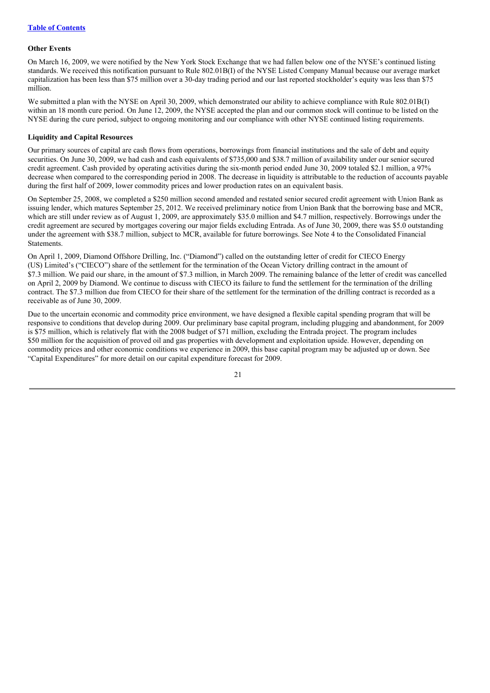#### **Other Events**

On March 16, 2009, we were notified by the New York Stock Exchange that we had fallen below one of the NYSE's continued listing standards. We received this notification pursuant to Rule 802.01B(I) of the NYSE Listed Company Manual because our average market capitalization has been less than \$75 million over a 30-day trading period and our last reported stockholder's equity was less than \$75 million.

We submitted a plan with the NYSE on April 30, 2009, which demonstrated our ability to achieve compliance with Rule 802.01B(I) within an 18 month cure period. On June 12, 2009, the NYSE accepted the plan and our common stock will continue to be listed on the NYSE during the cure period, subject to ongoing monitoring and our compliance with other NYSE continued listing requirements.

#### **Liquidity and Capital Resources**

Our primary sources of capital are cash flows from operations, borrowings from financial institutions and the sale of debt and equity securities. On June 30, 2009, we had cash and cash equivalents of \$735,000 and \$38.7 million of availability under our senior secured credit agreement. Cash provided by operating activities during the six-month period ended June 30, 2009 totaled \$2.1 million, a 97% decrease when compared to the corresponding period in 2008. The decrease in liquidity is attributable to the reduction of accounts payable during the first half of 2009, lower commodity prices and lower production rates on an equivalent basis.

On September 25, 2008, we completed a \$250 million second amended and restated senior secured credit agreement with Union Bank as issuing lender, which matures September 25, 2012. We received preliminary notice from Union Bank that the borrowing base and MCR, which are still under review as of August 1, 2009, are approximately \$35.0 million and \$4.7 million, respectively. Borrowings under the credit agreement are secured by mortgages covering our major fields excluding Entrada. As of June 30, 2009, there was \$5.0 outstanding under the agreement with \$38.7 million, subject to MCR, available for future borrowings. See Note 4 to the Consolidated Financial Statements.

On April 1, 2009, Diamond Offshore Drilling, Inc. ("Diamond") called on the outstanding letter of credit for CIECO Energy (US) Limited's ("CIECO") share of the settlement for the termination of the Ocean Victory drilling contract in the amount of \$7.3 million. We paid our share, in the amount of \$7.3 million, in March 2009. The remaining balance of the letter of credit was cancelled on April 2, 2009 by Diamond. We continue to discuss with CIECO its failure to fund the settlement for the termination of the drilling contract. The \$7.3 million due from CIECO for their share of the settlement for the termination of the drilling contract is recorded as a receivable as of June 30, 2009.

Due to the uncertain economic and commodity price environment, we have designed a flexible capital spending program that will be responsive to conditions that develop during 2009. Our preliminary base capital program, including plugging and abandonment, for 2009 is \$75 million, which is relatively flat with the 2008 budget of \$71 million, excluding the Entrada project. The program includes \$50 million for the acquisition of proved oil and gas properties with development and exploitation upside. However, depending on commodity prices and other economic conditions we experience in 2009, this base capital program may be adjusted up or down. See "Capital Expenditures" for more detail on our capital expenditure forecast for 2009.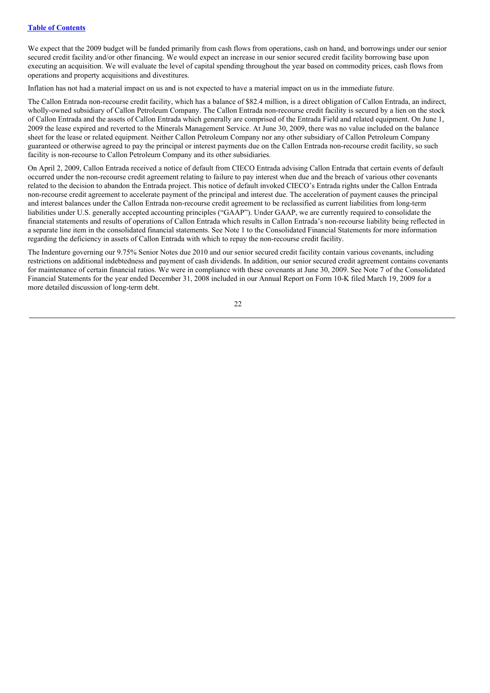We expect that the 2009 budget will be funded primarily from cash flows from operations, cash on hand, and borrowings under our senior secured credit facility and/or other financing. We would expect an increase in our senior secured credit facility borrowing base upon executing an acquisition. We will evaluate the level of capital spending throughout the year based on commodity prices, cash flows from operations and property acquisitions and divestitures.

Inflation has not had a material impact on us and is not expected to have a material impact on us in the immediate future.

The Callon Entrada non-recourse credit facility, which has a balance of \$82.4 million, is a direct obligation of Callon Entrada, an indirect, wholly-owned subsidiary of Callon Petroleum Company. The Callon Entrada non-recourse credit facility is secured by a lien on the stock of Callon Entrada and the assets of Callon Entrada which generally are comprised of the Entrada Field and related equipment. On June 1, 2009 the lease expired and reverted to the Minerals Management Service. At June 30, 2009, there was no value included on the balance sheet for the lease or related equipment. Neither Callon Petroleum Company nor any other subsidiary of Callon Petroleum Company guaranteed or otherwise agreed to pay the principal or interest payments due on the Callon Entrada non-recourse credit facility, so such facility is non-recourse to Callon Petroleum Company and its other subsidiaries.

On April 2, 2009, Callon Entrada received a notice of default from CIECO Entrada advising Callon Entrada that certain events of default occurred under the non-recourse credit agreement relating to failure to pay interest when due and the breach of various other covenants related to the decision to abandon the Entrada project. This notice of default invoked CIECO's Entrada rights under the Callon Entrada non-recourse credit agreement to accelerate payment of the principal and interest due. The acceleration of payment causes the principal and interest balances under the Callon Entrada non-recourse credit agreement to be reclassified as current liabilities from long-term liabilities under U.S. generally accepted accounting principles ("GAAP"). Under GAAP, we are currently required to consolidate the financial statements and results of operations of Callon Entrada which results in Callon Entrada's non-recourse liability being reflected in a separate line item in the consolidated financial statements. See Note 1 to the Consolidated Financial Statements for more information regarding the deficiency in assets of Callon Entrada with which to repay the non-recourse credit facility.

The Indenture governing our 9.75% Senior Notes due 2010 and our senior secured credit facility contain various covenants, including restrictions on additional indebtedness and payment of cash dividends. In addition, our senior secured credit agreement contains covenants for maintenance of certain financial ratios. We were in compliance with these covenants at June 30, 2009. See Note 7 of the Consolidated Financial Statements for the year ended December 31, 2008 included in our Annual Report on Form 10-K filed March 19, 2009 for a more detailed discussion of long-term debt.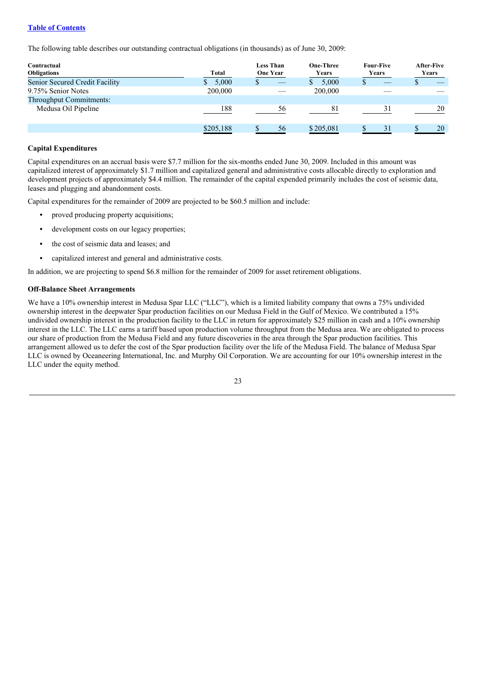The following table describes our outstanding contractual obligations (in thousands) as of June 30, 2009:

| Contractual<br><b>Obligations</b> | Total     | <b>Less Than</b><br><b>One Year</b> | One-Three<br>Years | <b>Four-Five</b><br>Years | <b>After-Five</b><br>Years |
|-----------------------------------|-----------|-------------------------------------|--------------------|---------------------------|----------------------------|
| Senior Secured Credit Facility    | \$5,000   |                                     | 5.000              | __                        |                            |
| 9.75% Senior Notes                | 200,000   |                                     | 200,000            |                           |                            |
| Throughput Commitments:           |           |                                     |                    |                           |                            |
| Medusa Oil Pipeline               | 188       | 56                                  | 81                 | 31                        | 20                         |
|                                   | \$205,188 | 56                                  | \$205,081          | 31                        | 20                         |

#### **Capital Expenditures**

Capital expenditures on an accrual basis were \$7.7 million for the six-months ended June 30, 2009. Included in this amount was capitalized interest of approximately \$1.7 million and capitalized general and administrative costs allocable directly to exploration and development projects of approximately \$4.4 million. The remainder of the capital expended primarily includes the cost of seismic data, leases and plugging and abandonment costs.

Capital expenditures for the remainder of 2009 are projected to be \$60.5 million and include:

- **•** proved producing property acquisitions;
- **•** development costs on our legacy properties;
- **•** the cost of seismic data and leases; and
- **•** capitalized interest and general and administrative costs.

In addition, we are projecting to spend \$6.8 million for the remainder of 2009 for asset retirement obligations.

#### **Off-Balance Sheet Arrangements**

We have a 10% ownership interest in Medusa Spar LLC ("LLC"), which is a limited liability company that owns a 75% undivided ownership interest in the deepwater Spar production facilities on our Medusa Field in the Gulf of Mexico. We contributed a 15% undivided ownership interest in the production facility to the LLC in return for approximately \$25 million in cash and a 10% ownership interest in the LLC. The LLC earns a tariff based upon production volume throughput from the Medusa area. We are obligated to process our share of production from the Medusa Field and any future discoveries in the area through the Spar production facilities. This arrangement allowed us to defer the cost of the Spar production facility over the life of the Medusa Field. The balance of Medusa Spar LLC is owned by Oceaneering International, Inc. and Murphy Oil Corporation. We are accounting for our 10% ownership interest in the LLC under the equity method.

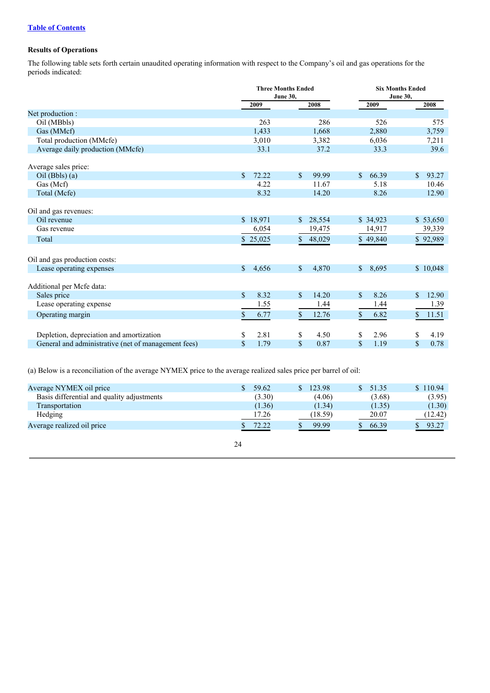# **Results of Operations**

The following table sets forth certain unaudited operating information with respect to the Company's oil and gas operations for the periods indicated:

|                                                     |                       | <b>Three Months Ended</b><br><b>June 30,</b> | <b>Six Months Ended</b><br><b>June 30,</b> |             |  |
|-----------------------------------------------------|-----------------------|----------------------------------------------|--------------------------------------------|-------------|--|
|                                                     | 2009                  | 2008                                         | 2009                                       | 2008        |  |
| Net production:                                     |                       |                                              |                                            |             |  |
| Oil (MBbls)                                         | 263                   | 286                                          | 526                                        | 575         |  |
| Gas (MMcf)                                          | 1,433                 | 1,668                                        | 2,880                                      | 3,759       |  |
| Total production (MMcfe)                            | 3,010                 | 3,382                                        | 6,036                                      | 7,211       |  |
| Average daily production (MMcfe)                    | 33.1                  | 37.2                                         | 33.3                                       | 39.6        |  |
| Average sales price:                                |                       |                                              |                                            |             |  |
| $Oil$ (Bbls) (a)                                    | 72.22<br>\$           | 99.99<br>\$                                  | \$<br>66.39                                | 93.27<br>\$ |  |
| Gas (Mcf)                                           | 4.22                  | 11.67                                        | 5.18                                       | 10.46       |  |
| Total (Mcfe)                                        | 8.32                  | 14.20                                        | 8.26                                       | 12.90       |  |
| Oil and gas revenues:                               |                       |                                              |                                            |             |  |
| Oil revenue                                         | \$18,971              | 28,554<br>\$                                 | \$34,923                                   | \$53,650    |  |
| Gas revenue                                         | 6,054                 | 19,475                                       | 14,917                                     | 39,339      |  |
| Total                                               | \$25,025              | \$<br>48,029                                 | \$49,840                                   | \$92,989    |  |
| Oil and gas production costs:                       |                       |                                              |                                            |             |  |
| Lease operating expenses                            | $\mathbb{S}$<br>4,656 | $\mathbf S$<br>4,870                         | $\mathbb{S}$<br>8,695                      | \$10,048    |  |
|                                                     |                       |                                              |                                            |             |  |
| Additional per Mcfe data:                           |                       |                                              |                                            |             |  |
| Sales price                                         | $\mathbf S$<br>8.32   | \$<br>14.20                                  | 8.26<br>\$                                 | 12.90<br>\$ |  |
| Lease operating expense                             | 1.55                  | 1.44                                         | 1.44                                       | 1.39        |  |
| Operating margin                                    | \$<br>6.77            | 12.76<br>\$                                  | 6.82<br>S                                  | 11.51<br>\$ |  |
|                                                     |                       |                                              |                                            |             |  |
| Depletion, depreciation and amortization            | 2.81<br>\$            | \$<br>4.50                                   | 2.96<br>S                                  | 4.19<br>S   |  |
| General and administrative (net of management fees) | \$<br>1.79            | \$<br>0.87                                   | $\mathbf{s}$<br>1.19                       | \$<br>0.78  |  |

(a) Below is a reconciliation of the average NYMEX price to the average realized sales price per barrel of oil:

| Average NYMEX oil price                    | 59.62  | 123.98  | 51.35  | \$110.94 |
|--------------------------------------------|--------|---------|--------|----------|
| Basis differential and quality adjustments | (3.30) | (4.06)  | (3.68) | (3.95)   |
| Transportation                             | (1.36) | (1.34)  | (1.35) | (1.30)   |
| Hedging                                    | 17.26  | (18.59) | 20.07  | (12.42)  |
| Average realized oil price                 | 72.22  | 99.99   | 66.39  | 93.27    |
|                                            |        |         |        |          |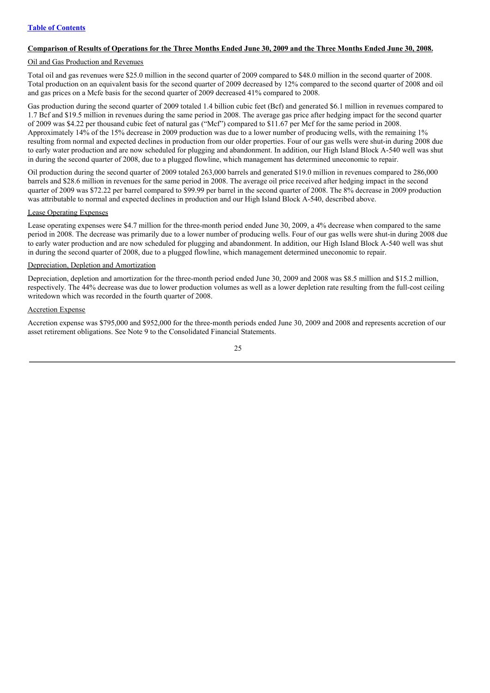#### Comparison of Results of Operations for the Three Months Ended June 30, 2009 and the Three Months Ended June 30, 2008.

#### Oil and Gas Production and Revenues

Total oil and gas revenues were \$25.0 million in the second quarter of 2009 compared to \$48.0 million in the second quarter of 2008. Total production on an equivalent basis for the second quarter of 2009 decreased by 12% compared to the second quarter of 2008 and oil and gas prices on a Mcfe basis for the second quarter of 2009 decreased 41% compared to 2008.

Gas production during the second quarter of 2009 totaled 1.4 billion cubic feet (Bcf) and generated \$6.1 million in revenues compared to 1.7 Bcf and \$19.5 million in revenues during the same period in 2008. The average gas price after hedging impact for the second quarter of 2009 was \$4.22 per thousand cubic feet of natural gas ("Mcf") compared to \$11.67 per Mcf for the same period in 2008. Approximately 14% of the 15% decrease in 2009 production was due to a lower number of producing wells, with the remaining 1% resulting from normal and expected declines in production from our older properties. Four of our gas wells were shut-in during 2008 due to early water production and are now scheduled for plugging and abandonment. In addition, our High Island Block A-540 well was shut in during the second quarter of 2008, due to a plugged flowline, which management has determined uneconomic to repair.

Oil production during the second quarter of 2009 totaled 263,000 barrels and generated \$19.0 million in revenues compared to 286,000 barrels and \$28.6 million in revenues for the same period in 2008. The average oil price received after hedging impact in the second quarter of 2009 was \$72.22 per barrel compared to \$99.99 per barrel in the second quarter of 2008. The 8% decrease in 2009 production was attributable to normal and expected declines in production and our High Island Block A-540, described above.

#### Lease Operating Expenses

Lease operating expenses were \$4.7 million for the three-month period ended June 30, 2009, a 4% decrease when compared to the same period in 2008. The decrease was primarily due to a lower number of producing wells. Four of our gas wells were shut-in during 2008 due to early water production and are now scheduled for plugging and abandonment. In addition, our High Island Block A-540 well was shut in during the second quarter of 2008, due to a plugged flowline, which management determined uneconomic to repair.

### Depreciation, Depletion and Amortization

Depreciation, depletion and amortization for the three-month period ended June 30, 2009 and 2008 was \$8.5 million and \$15.2 million, respectively. The 44% decrease was due to lower production volumes as well as a lower depletion rate resulting from the full-cost ceiling writedown which was recorded in the fourth quarter of 2008.

#### Accretion Expense

Accretion expense was \$795,000 and \$952,000 for the three-month periods ended June 30, 2009 and 2008 and represents accretion of our asset retirement obligations. See Note 9 to the Consolidated Financial Statements.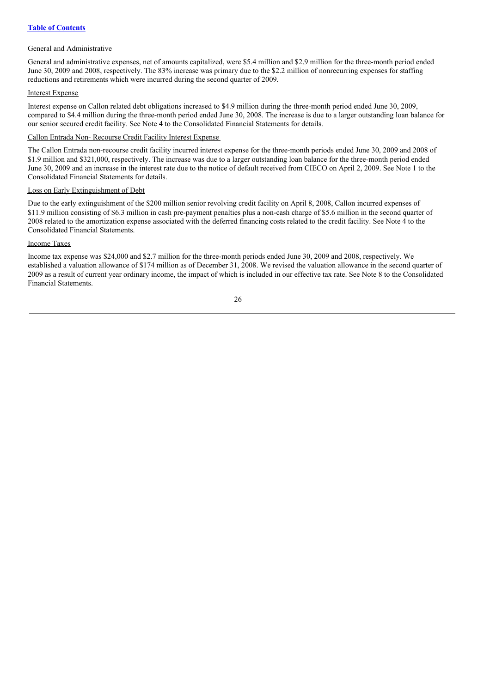#### General and Administrative

General and administrative expenses, net of amounts capitalized, were \$5.4 million and \$2.9 million for the three-month period ended June 30, 2009 and 2008, respectively. The 83% increase was primary due to the \$2.2 million of nonrecurring expenses for staffing reductions and retirements which were incurred during the second quarter of 2009.

#### Interest Expense

Interest expense on Callon related debt obligations increased to \$4.9 million during the three-month period ended June 30, 2009, compared to \$4.4 million during the three-month period ended June 30, 2008. The increase is due to a larger outstanding loan balance for our senior secured credit facility. See Note 4 to the Consolidated Financial Statements for details.

#### Callon Entrada Non- Recourse Credit Facility Interest Expense

The Callon Entrada non-recourse credit facility incurred interest expense for the three-month periods ended June 30, 2009 and 2008 of \$1.9 million and \$321,000, respectively. The increase was due to a larger outstanding loan balance for the three-month period ended June 30, 2009 and an increase in the interest rate due to the notice of default received from CIECO on April 2, 2009. See Note 1 to the Consolidated Financial Statements for details.

#### Loss on Early Extinguishment of Debt

Due to the early extinguishment of the \$200 million senior revolving credit facility on April 8, 2008, Callon incurred expenses of \$11.9 million consisting of \$6.3 million in cash pre-payment penalties plus a non-cash charge of \$5.6 million in the second quarter of 2008 related to the amortization expense associated with the deferred financing costs related to the credit facility. See Note 4 to the Consolidated Financial Statements.

#### Income Taxes

Income tax expense was \$24,000 and \$2.7 million for the three-month periods ended June 30, 2009 and 2008, respectively. We established a valuation allowance of \$174 million as of December 31, 2008. We revised the valuation allowance in the second quarter of 2009 as a result of current year ordinary income, the impact of which is included in our effective tax rate. See Note 8 to the Consolidated Financial Statements.

26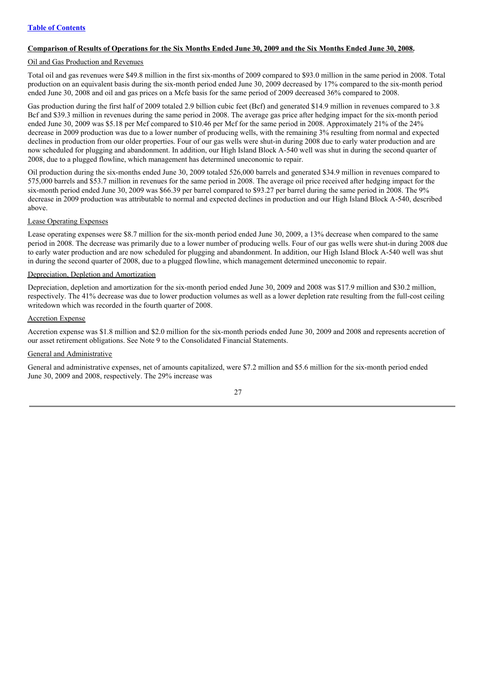## Comparison of Results of Operations for the Six Months Ended June 30, 2009 and the Six Months Ended June 30, 2008.

#### Oil and Gas Production and Revenues

Total oil and gas revenues were \$49.8 million in the first six-months of 2009 compared to \$93.0 million in the same period in 2008. Total production on an equivalent basis during the six-month period ended June 30, 2009 decreased by 17% compared to the six-month period ended June 30, 2008 and oil and gas prices on a Mcfe basis for the same period of 2009 decreased 36% compared to 2008.

Gas production during the first half of 2009 totaled 2.9 billion cubic feet (Bcf) and generated \$14.9 million in revenues compared to 3.8 Bcf and \$39.3 million in revenues during the same period in 2008. The average gas price after hedging impact for the six-month period ended June 30, 2009 was \$5.18 per Mcf compared to \$10.46 per Mcf for the same period in 2008. Approximately 21% of the 24% decrease in 2009 production was due to a lower number of producing wells, with the remaining 3% resulting from normal and expected declines in production from our older properties. Four of our gas wells were shut-in during 2008 due to early water production and are now scheduled for plugging and abandonment. In addition, our High Island Block A-540 well was shut in during the second quarter of 2008, due to a plugged flowline, which management has determined uneconomic to repair.

Oil production during the six-months ended June 30, 2009 totaled 526,000 barrels and generated \$34.9 million in revenues compared to 575,000 barrels and \$53.7 million in revenues for the same period in 2008. The average oil price received after hedging impact for the six-month period ended June 30, 2009 was \$66.39 per barrel compared to \$93.27 per barrel during the same period in 2008. The 9% decrease in 2009 production was attributable to normal and expected declines in production and our High Island Block A-540, described above.

#### Lease Operating Expenses

Lease operating expenses were \$8.7 million for the six-month period ended June 30, 2009, a 13% decrease when compared to the same period in 2008. The decrease was primarily due to a lower number of producing wells. Four of our gas wells were shut-in during 2008 due to early water production and are now scheduled for plugging and abandonment. In addition, our High Island Block A-540 well was shut in during the second quarter of 2008, due to a plugged flowline, which management determined uneconomic to repair.

#### Depreciation, Depletion and Amortization

Depreciation, depletion and amortization for the six-month period ended June 30, 2009 and 2008 was \$17.9 million and \$30.2 million, respectively. The 41% decrease was due to lower production volumes as well as a lower depletion rate resulting from the full-cost ceiling writedown which was recorded in the fourth quarter of 2008.

#### Accretion Expense

Accretion expense was \$1.8 million and \$2.0 million for the six-month periods ended June 30, 2009 and 2008 and represents accretion of our asset retirement obligations. See Note 9 to the Consolidated Financial Statements.

#### General and Administrative

General and administrative expenses, net of amounts capitalized, were \$7.2 million and \$5.6 million for the six-month period ended June 30, 2009 and 2008, respectively. The 29% increase was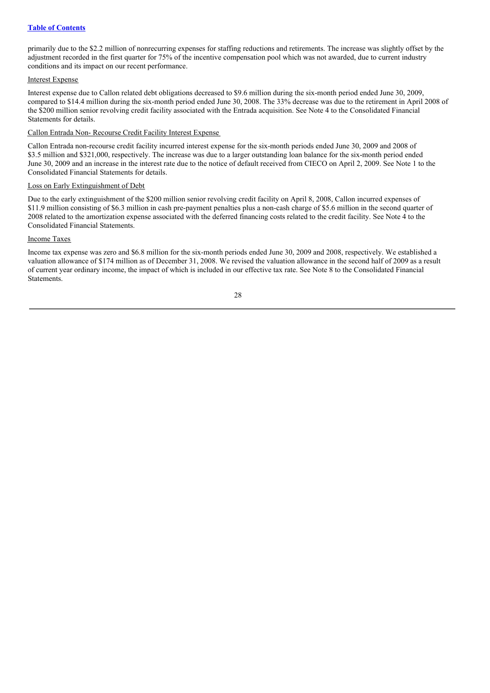primarily due to the \$2.2 million of nonrecurring expenses for staffing reductions and retirements. The increase was slightly offset by the adjustment recorded in the first quarter for 75% of the incentive compensation pool which was not awarded, due to current industry conditions and its impact on our recent performance.

#### Interest Expense

Interest expense due to Callon related debt obligations decreased to \$9.6 million during the six-month period ended June 30, 2009, compared to \$14.4 million during the six-month period ended June 30, 2008. The 33% decrease was due to the retirement in April 2008 of the \$200 million senior revolving credit facility associated with the Entrada acquisition. See Note 4 to the Consolidated Financial Statements for details.

# Callon Entrada Non- Recourse Credit Facility Interest Expense

Callon Entrada non-recourse credit facility incurred interest expense for the six-month periods ended June 30, 2009 and 2008 of \$3.5 million and \$321,000, respectively. The increase was due to a larger outstanding loan balance for the six-month period ended June 30, 2009 and an increase in the interest rate due to the notice of default received from CIECO on April 2, 2009. See Note 1 to the Consolidated Financial Statements for details.

#### Loss on Early Extinguishment of Debt

Due to the early extinguishment of the \$200 million senior revolving credit facility on April 8, 2008, Callon incurred expenses of \$11.9 million consisting of \$6.3 million in cash pre-payment penalties plus a non-cash charge of \$5.6 million in the second quarter of 2008 related to the amortization expense associated with the deferred financing costs related to the credit facility. See Note 4 to the Consolidated Financial Statements.

#### Income Taxes

Income tax expense was zero and \$6.8 million for the six-month periods ended June 30, 2009 and 2008, respectively. We established a valuation allowance of \$174 million as of December 31, 2008. We revised the valuation allowance in the second half of 2009 as a result of current year ordinary income, the impact of which is included in our effective tax rate. See Note 8 to the Consolidated Financial Statements.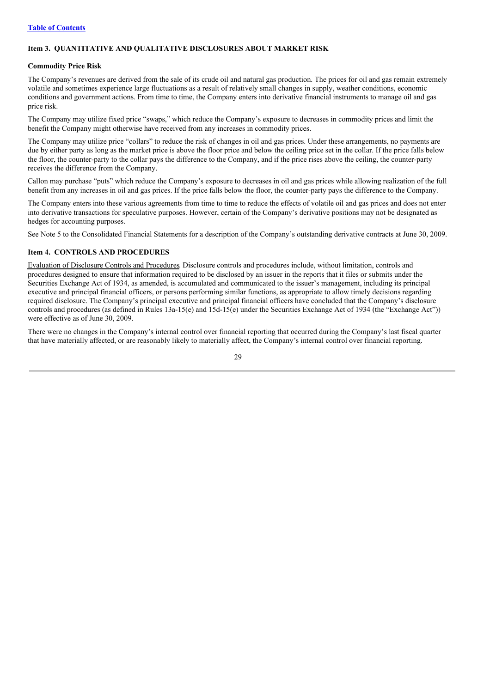### **Item 3. QUANTITATIVE AND QUALITATIVE DISCLOSURES ABOUT MARKET RISK**

#### **Commodity Price Risk**

The Company's revenues are derived from the sale of its crude oil and natural gas production. The prices for oil and gas remain extremely volatile and sometimes experience large fluctuations as a result of relatively small changes in supply, weather conditions, economic conditions and government actions. From time to time, the Company enters into derivative financial instruments to manage oil and gas price risk.

The Company may utilize fixed price "swaps," which reduce the Company's exposure to decreases in commodity prices and limit the benefit the Company might otherwise have received from any increases in commodity prices.

The Company may utilize price "collars" to reduce the risk of changes in oil and gas prices. Under these arrangements, no payments are due by either party as long as the market price is above the floor price and below the ceiling price set in the collar. If the price falls below the floor, the counter-party to the collar pays the difference to the Company, and if the price rises above the ceiling, the counter-party receives the difference from the Company.

Callon may purchase "puts" which reduce the Company's exposure to decreases in oil and gas prices while allowing realization of the full benefit from any increases in oil and gas prices. If the price falls below the floor, the counter-party pays the difference to the Company.

The Company enters into these various agreements from time to time to reduce the effects of volatile oil and gas prices and does not enter into derivative transactions for speculative purposes. However, certain of the Company's derivative positions may not be designated as hedges for accounting purposes.

See Note 5 to the Consolidated Financial Statements for a description of the Company's outstanding derivative contracts at June 30, 2009.

#### **Item 4. CONTROLS AND PROCEDURES**

Evaluation of Disclosure Controls and Procedures. Disclosure controls and procedures include, without limitation, controls and procedures designed to ensure that information required to be disclosed by an issuer in the reports that it files or submits under the Securities Exchange Act of 1934, as amended, is accumulated and communicated to the issuer's management, including its principal executive and principal financial officers, or persons performing similar functions, as appropriate to allow timely decisions regarding required disclosure. The Company's principal executive and principal financial officers have concluded that the Company's disclosure controls and procedures (as defined in Rules 13a-15(e) and 15d-15(e) under the Securities Exchange Act of 1934 (the "Exchange Act")) were effective as of June 30, 2009.

There were no changes in the Company's internal control over financial reporting that occurred during the Company's last fiscal quarter that have materially affected, or are reasonably likely to materially affect, the Company's internal control over financial reporting.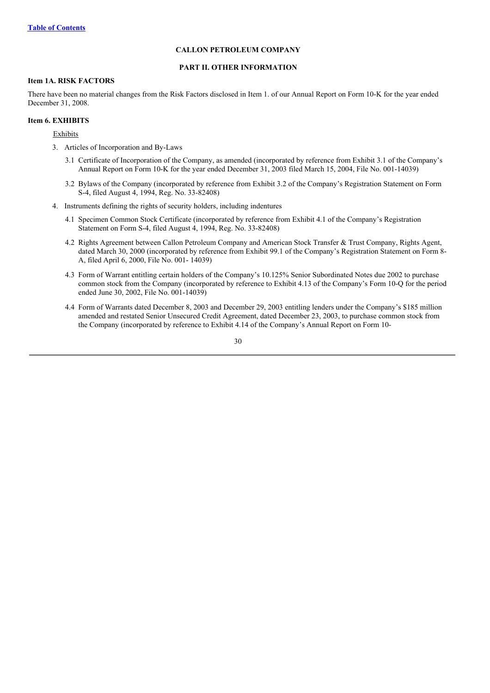#### **CALLON PETROLEUM COMPANY**

#### **PART II. OTHER INFORMATION**

#### **Item 1A. RISK FACTORS**

There have been no material changes from the Risk Factors disclosed in Item 1. of our Annual Report on Form 10-K for the year ended December 31, 2008.

#### **Item 6. EXHIBITS**

Exhibits

- 3. Articles of Incorporation and By-Laws
	- 3.1 Certificate of Incorporation of the Company, as amended (incorporated by reference from Exhibit 3.1 of the Company's Annual Report on Form 10-K for the year ended December 31, 2003 filed March 15, 2004, File No. 001-14039)
	- 3.2 Bylaws of the Company (incorporated by reference from Exhibit 3.2 of the Company's Registration Statement on Form S-4, filed August 4, 1994, Reg. No. 33-82408)
- 4. Instruments defining the rights of security holders, including indentures
	- 4.1 Specimen Common Stock Certificate (incorporated by reference from Exhibit 4.1 of the Company's Registration Statement on Form S-4, filed August 4, 1994, Reg. No. 33-82408)
	- 4.2 Rights Agreement between Callon Petroleum Company and American Stock Transfer & Trust Company, Rights Agent, dated March 30, 2000 (incorporated by reference from Exhibit 99.1 of the Company's Registration Statement on Form 8-A, filed April 6, 2000, File No. 001- 14039)
	- 4.3 Form of Warrant entitling certain holders of the Company's 10.125% Senior Subordinated Notes due 2002 to purchase common stock from the Company (incorporated by reference to Exhibit 4.13 of the Company's Form 10-Q for the period ended June 30, 2002, File No. 001-14039)
	- 4.4 Form of Warrants dated December 8, 2003 and December 29, 2003 entitling lenders under the Company's \$185 million amended and restated Senior Unsecured Credit Agreement, dated December 23, 2003, to purchase common stock from the Company (incorporated by reference to Exhibit 4.14 of the Company's Annual Report on Form 10-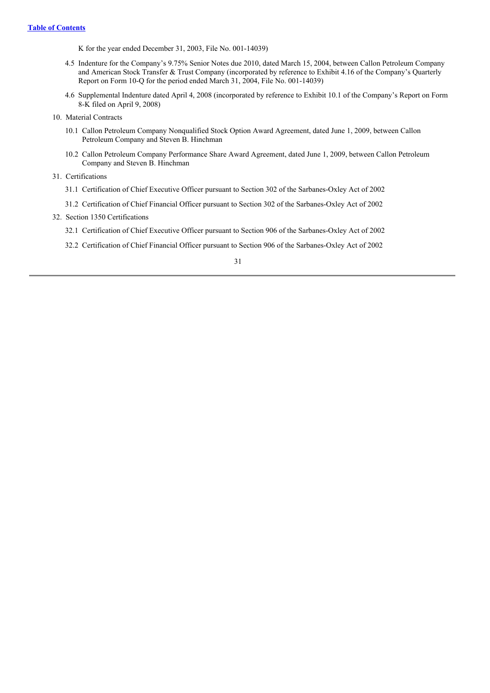K for the year ended December 31, 2003, File No. 001-14039)

- 4.5 Indenture for the Company's 9.75% Senior Notes due 2010, dated March 15, 2004, between Callon Petroleum Company and American Stock Transfer & Trust Company (incorporated by reference to Exhibit 4.16 of the Company's Quarterly Report on Form 10-Q for the period ended March 31, 2004, File No. 001-14039)
- 4.6 Supplemental Indenture dated April 4, 2008 (incorporated by reference to Exhibit 10.1 of the Company's Report on Form 8-K filed on April 9, 2008)
- 10. Material Contracts
	- 10.1 Callon Petroleum Company Nonqualified Stock Option Award Agreement, dated June 1, 2009, between Callon Petroleum Company and Steven B. Hinchman
	- 10.2 Callon Petroleum Company Performance Share Award Agreement, dated June 1, 2009, between Callon Petroleum Company and Steven B. Hinchman
- 31. Certifications
	- 31.1 Certification of Chief Executive Officer pursuant to Section 302 of the Sarbanes-Oxley Act of 2002
	- 31.2 Certification of Chief Financial Officer pursuant to Section 302 of the Sarbanes-Oxley Act of 2002
- 32. Section 1350 Certifications
	- 32.1 Certification of Chief Executive Officer pursuant to Section 906 of the Sarbanes-Oxley Act of 2002
	- 32.2 Certification of Chief Financial Officer pursuant to Section 906 of the Sarbanes-Oxley Act of 2002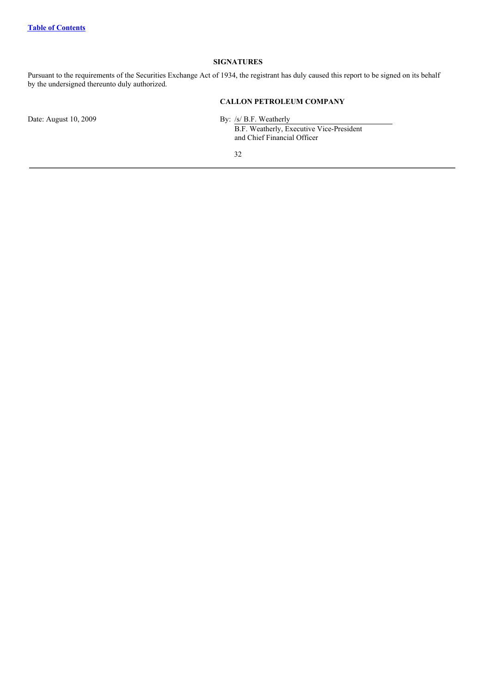#### **SIGNATURES**

Pursuant to the requirements of the Securities Exchange Act of 1934, the registrant has duly caused this report to be signed on its behalf by the undersigned thereunto duly authorized.

#### **CALLON PETROLEUM COMPANY**

Date: August 10, 2009 By: /s/ B.F. Weatherly

B.F. Weatherly, Executive Vice-President and Chief Financial Officer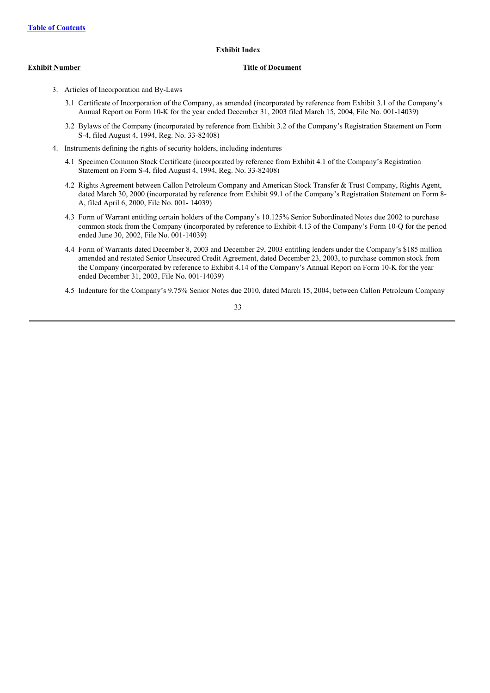#### **Exhibit Index**

#### **Exhibit Number Title of Document**

- 3. Articles of Incorporation and By-Laws
	- 3.1 Certificate of Incorporation of the Company, as amended (incorporated by reference from Exhibit 3.1 of the Company's Annual Report on Form 10-K for the year ended December 31, 2003 filed March 15, 2004, File No. 001-14039)
	- 3.2 Bylaws of the Company (incorporated by reference from Exhibit 3.2 of the Company's Registration Statement on Form S-4, filed August 4, 1994, Reg. No. 33-82408)
- 4. Instruments defining the rights of security holders, including indentures
	- 4.1 Specimen Common Stock Certificate (incorporated by reference from Exhibit 4.1 of the Company's Registration Statement on Form S-4, filed August 4, 1994, Reg. No. 33-82408)
	- 4.2 Rights Agreement between Callon Petroleum Company and American Stock Transfer & Trust Company, Rights Agent, dated March 30, 2000 (incorporated by reference from Exhibit 99.1 of the Company's Registration Statement on Form 8-A, filed April 6, 2000, File No. 001- 14039)
	- 4.3 Form of Warrant entitling certain holders of the Company's 10.125% Senior Subordinated Notes due 2002 to purchase common stock from the Company (incorporated by reference to Exhibit 4.13 of the Company's Form 10-Q for the period ended June 30, 2002, File No. 001-14039)
	- 4.4 Form of Warrants dated December 8, 2003 and December 29, 2003 entitling lenders under the Company's \$185 million amended and restated Senior Unsecured Credit Agreement, dated December 23, 2003, to purchase common stock from the Company (incorporated by reference to Exhibit 4.14 of the Company's Annual Report on Form 10-K for the year ended December 31, 2003, File No. 001-14039)
	- 4.5 Indenture for the Company's 9.75% Senior Notes due 2010, dated March 15, 2004, between Callon Petroleum Company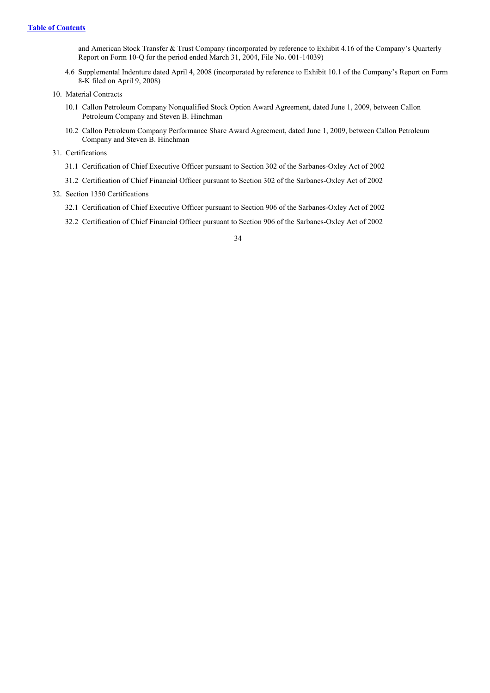and American Stock Transfer & Trust Company (incorporated by reference to Exhibit 4.16 of the Company's Quarterly Report on Form 10-Q for the period ended March 31, 2004, File No. 001-14039)

- 4.6 Supplemental Indenture dated April 4, 2008 (incorporated by reference to Exhibit 10.1 of the Company's Report on Form 8-K filed on April 9, 2008)
- 10. Material Contracts
	- 10.1 Callon Petroleum Company Nonqualified Stock Option Award Agreement, dated June 1, 2009, between Callon Petroleum Company and Steven B. Hinchman
	- 10.2 Callon Petroleum Company Performance Share Award Agreement, dated June 1, 2009, between Callon Petroleum Company and Steven B. Hinchman
- 31. Certifications
	- 31.1 Certification of Chief Executive Officer pursuant to Section 302 of the Sarbanes-Oxley Act of 2002
	- 31.2 Certification of Chief Financial Officer pursuant to Section 302 of the Sarbanes-Oxley Act of 2002

#### 32. Section 1350 Certifications

- 32.1 Certification of Chief Executive Officer pursuant to Section 906 of the Sarbanes-Oxley Act of 2002
- 32.2 Certification of Chief Financial Officer pursuant to Section 906 of the Sarbanes-Oxley Act of 2002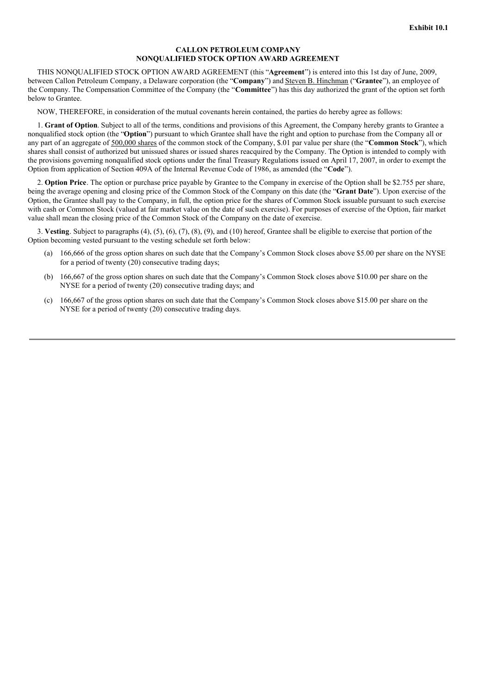#### **CALLON PETROLEUM COMPANY NONQUALIFIED STOCK OPTION AWARD AGREEMENT**

THIS NONQUALIFIED STOCK OPTION AWARD AGREEMENT (this "**Agreement**") is entered into this 1st day of June, 2009, between Callon Petroleum Company, a Delaware corporation (the "**Company**") and Steven B. Hinchman ("**Grantee**"), an employee of the Company. The Compensation Committee of the Company (the "**Committee**") has this day authorized the grant of the option set forth below to Grantee.

NOW, THEREFORE, in consideration of the mutual covenants herein contained, the parties do hereby agree as follows:

1. **Grant of Option**. Subject to all of the terms, conditions and provisions of this Agreement, the Company hereby grants to Grantee a nonqualified stock option (the "**Option**") pursuant to which Grantee shall have the right and option to purchase from the Company all or any part of an aggregate of 500,000 shares of the common stock of the Company, \$.01 par value per share (the "**Common Stock**"), which shares shall consist of authorized but unissued shares or issued shares reacquired by the Company. The Option is intended to comply with the provisions governing nonqualified stock options under the final Treasury Regulations issued on April 17, 2007, in order to exempt the Option from application of Section 409A of the Internal Revenue Code of 1986, as amended (the "**Code**").

2. **Option Price**. The option or purchase price payable by Grantee to the Company in exercise of the Option shall be \$2.755 per share, being the average opening and closing price of the Common Stock of the Company on this date (the "**Grant Date**"). Upon exercise of the Option, the Grantee shall pay to the Company, in full, the option price for the shares of Common Stock issuable pursuant to such exercise with cash or Common Stock (valued at fair market value on the date of such exercise). For purposes of exercise of the Option, fair market value shall mean the closing price of the Common Stock of the Company on the date of exercise.

3. **Vesting**. Subject to paragraphs (4), (5), (6), (7), (8), (9), and (10) hereof, Grantee shall be eligible to exercise that portion of the Option becoming vested pursuant to the vesting schedule set forth below:

- (a) 166,666 of the gross option shares on such date that the Company's Common Stock closes above \$5.00 per share on the NYSE for a period of twenty (20) consecutive trading days;
- (b) 166,667 of the gross option shares on such date that the Company's Common Stock closes above \$10.00 per share on the NYSE for a period of twenty (20) consecutive trading days; and
- (c) 166,667 of the gross option shares on such date that the Company's Common Stock closes above \$15.00 per share on the NYSE for a period of twenty (20) consecutive trading days.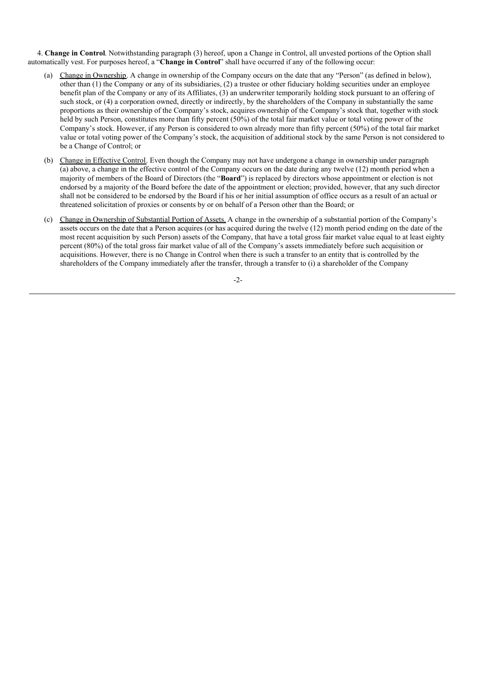4. **Change in Control**. Notwithstanding paragraph (3) hereof, upon a Change in Control, all unvested portions of the Option shall automatically vest. For purposes hereof, a "**Change in Control**" shall have occurred if any of the following occur:

- (a) Change in Ownership. A change in ownership of the Company occurs on the date that any "Person" (as defined in below), other than (1) the Company or any of its subsidiaries, (2) a trustee or other fiduciary holding securities under an employee benefit plan of the Company or any of its Affiliates, (3) an underwriter temporarily holding stock pursuant to an offering of such stock, or (4) a corporation owned, directly or indirectly, by the shareholders of the Company in substantially the same proportions as their ownership of the Company's stock, acquires ownership of the Company's stock that, together with stock held by such Person, constitutes more than fifty percent (50%) of the total fair market value or total voting power of the Company's stock. However, if any Person is considered to own already more than fifty percent (50%) of the total fair market value or total voting power of the Company's stock, the acquisition of additional stock by the same Person is not considered to be a Change of Control; or
- (b) Change in Effective Control. Even though the Company may not have undergone a change in ownership under paragraph (a) above, a change in the effective control of the Company occurs on the date during any twelve (12) month period when a majority of members of the Board of Directors (the "**Board**") is replaced by directors whose appointment or election is not endorsed by a majority of the Board before the date of the appointment or election; provided, however, that any such director shall not be considered to be endorsed by the Board if his or her initial assumption of office occurs as a result of an actual or threatened solicitation of proxies or consents by or on behalf of a Person other than the Board; or
- (c) Change in Ownership of Substantial Portion of Assets. A change in the ownership of a substantial portion of the Company's assets occurs on the date that a Person acquires (or has acquired during the twelve (12) month period ending on the date of the most recent acquisition by such Person) assets of the Company, that have a total gross fair market value equal to at least eighty percent (80%) of the total gross fair market value of all of the Company's assets immediately before such acquisition or acquisitions. However, there is no Change in Control when there is such a transfer to an entity that is controlled by the shareholders of the Company immediately after the transfer, through a transfer to (i) a shareholder of the Company

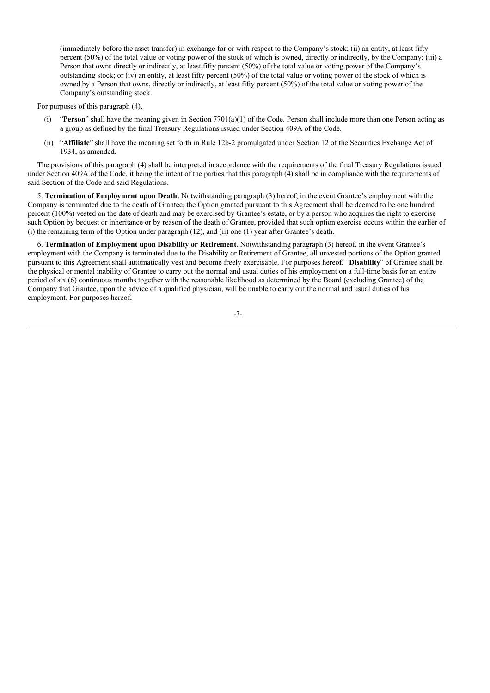(immediately before the asset transfer) in exchange for or with respect to the Company's stock; (ii) an entity, at least fifty percent (50%) of the total value or voting power of the stock of which is owned, directly or indirectly, by the Company; (iii) a Person that owns directly or indirectly, at least fifty percent (50%) of the total value or voting power of the Company's outstanding stock; or (iv) an entity, at least fifty percent (50%) of the total value or voting power of the stock of which is owned by a Person that owns, directly or indirectly, at least fifty percent (50%) of the total value or voting power of the Company's outstanding stock.

For purposes of this paragraph (4),

- "**Person**" shall have the meaning given in Section  $7701(a)(1)$  of the Code. Person shall include more than one Person acting as a group as defined by the final Treasury Regulations issued under Section 409A of the Code.
- (ii) "**Affiliate**" shall have the meaning set forth in Rule 12b-2 promulgated under Section 12 of the Securities Exchange Act of 1934, as amended.

The provisions of this paragraph (4) shall be interpreted in accordance with the requirements of the final Treasury Regulations issued under Section 409A of the Code, it being the intent of the parties that this paragraph (4) shall be in compliance with the requirements of said Section of the Code and said Regulations.

5. **Termination of Employment upon Death**. Notwithstanding paragraph (3) hereof, in the event Grantee's employment with the Company is terminated due to the death of Grantee, the Option granted pursuant to this Agreement shall be deemed to be one hundred percent (100%) vested on the date of death and may be exercised by Grantee's estate, or by a person who acquires the right to exercise such Option by bequest or inheritance or by reason of the death of Grantee, provided that such option exercise occurs within the earlier of (i) the remaining term of the Option under paragraph (12), and (ii) one (1) year after Grantee's death.

6. **Termination of Employment upon Disability or Retirement**. Notwithstanding paragraph (3) hereof, in the event Grantee's employment with the Company is terminated due to the Disability or Retirement of Grantee, all unvested portions of the Option granted pursuant to this Agreement shall automatically vest and become freely exercisable. For purposes hereof, "**Disability**" of Grantee shall be the physical or mental inability of Grantee to carry out the normal and usual duties of his employment on a full-time basis for an entire period of six (6) continuous months together with the reasonable likelihood as determined by the Board (excluding Grantee) of the Company that Grantee, upon the advice of a qualified physician, will be unable to carry out the normal and usual duties of his employment. For purposes hereof,

-3-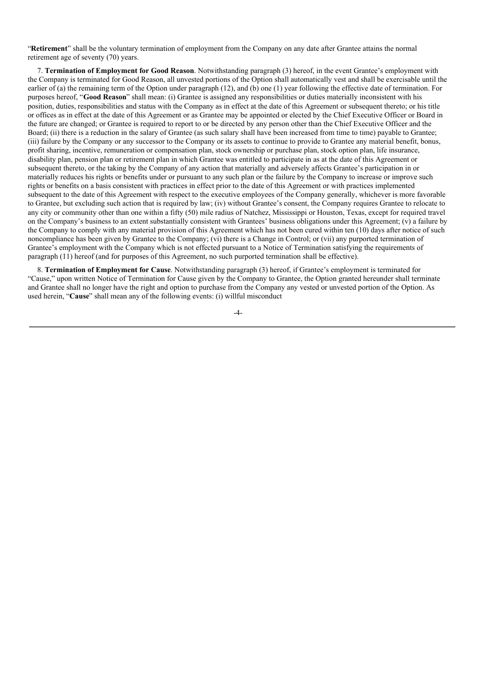"**Retirement**" shall be the voluntary termination of employment from the Company on any date after Grantee attains the normal retirement age of seventy (70) years.

7. **Termination of Employment for Good Reason**. Notwithstanding paragraph (3) hereof, in the event Grantee's employment with the Company is terminated for Good Reason, all unvested portions of the Option shall automatically vest and shall be exercisable until the earlier of (a) the remaining term of the Option under paragraph (12), and (b) one (1) year following the effective date of termination. For purposes hereof, "**Good Reason**" shall mean: (i) Grantee is assigned any responsibilities or duties materially inconsistent with his position, duties, responsibilities and status with the Company as in effect at the date of this Agreement or subsequent thereto; or his title or offices as in effect at the date of this Agreement or as Grantee may be appointed or elected by the Chief Executive Officer or Board in the future are changed; or Grantee is required to report to or be directed by any person other than the Chief Executive Officer and the Board; (ii) there is a reduction in the salary of Grantee (as such salary shall have been increased from time to time) payable to Grantee; (iii) failure by the Company or any successor to the Company or its assets to continue to provide to Grantee any material benefit, bonus, profit sharing, incentive, remuneration or compensation plan, stock ownership or purchase plan, stock option plan, life insurance, disability plan, pension plan or retirement plan in which Grantee was entitled to participate in as at the date of this Agreement or subsequent thereto, or the taking by the Company of any action that materially and adversely affects Grantee's participation in or materially reduces his rights or benefits under or pursuant to any such plan or the failure by the Company to increase or improve such rights or benefits on a basis consistent with practices in effect prior to the date of this Agreement or with practices implemented subsequent to the date of this Agreement with respect to the executive employees of the Company generally, whichever is more favorable to Grantee, but excluding such action that is required by law; (iv) without Grantee's consent, the Company requires Grantee to relocate to any city or community other than one within a fifty (50) mile radius of Natchez, Mississippi or Houston, Texas, except for required travel on the Company's business to an extent substantially consistent with Grantees' business obligations under this Agreement;  $(v)$  a failure by the Company to comply with any material provision of this Agreement which has not been cured within ten (10) days after notice of such noncompliance has been given by Grantee to the Company; (vi) there is a Change in Control; or (vii) any purported termination of Grantee's employment with the Company which is not effected pursuant to a Notice of Termination satisfying the requirements of paragraph (11) hereof (and for purposes of this Agreement, no such purported termination shall be effective).

8. **Termination of Employment for Cause**. Notwithstanding paragraph (3) hereof, if Grantee's employment is terminated for "Cause," upon written Notice of Termination for Cause given by the Company to Grantee, the Option granted hereunder shall terminate and Grantee shall no longer have the right and option to purchase from the Company any vested or unvested portion of the Option. As used herein, "**Cause**" shall mean any of the following events: (i) willful misconduct

 $-4-$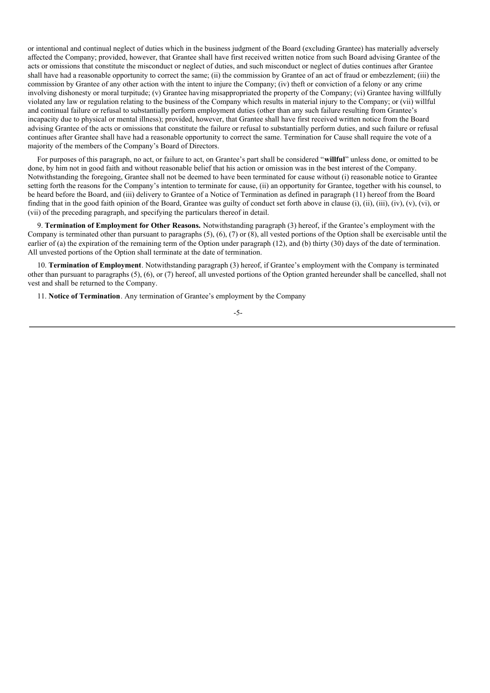or intentional and continual neglect of duties which in the business judgment of the Board (excluding Grantee) has materially adversely affected the Company; provided, however, that Grantee shall have first received written notice from such Board advising Grantee of the acts or omissions that constitute the misconduct or neglect of duties, and such misconduct or neglect of duties continues after Grantee shall have had a reasonable opportunity to correct the same; (ii) the commission by Grantee of an act of fraud or embezzlement; (iii) the commission by Grantee of any other action with the intent to injure the Company; (iv) theft or conviction of a felony or any crime involving dishonesty or moral turpitude; (v) Grantee having misappropriated the property of the Company; (vi) Grantee having willfully violated any law or regulation relating to the business of the Company which results in material injury to the Company; or (vii) willful and continual failure or refusal to substantially perform employment duties (other than any such failure resulting from Grantee's incapacity due to physical or mental illness); provided, however, that Grantee shall have first received written notice from the Board advising Grantee of the acts or omissions that constitute the failure or refusal to substantially perform duties, and such failure or refusal continues after Grantee shall have had a reasonable opportunity to correct the same. Termination for Cause shall require the vote of a majority of the members of the Company's Board of Directors.

For purposes of this paragraph, no act, or failure to act, on Grantee's part shall be considered "**willful**" unless done, or omitted to be done, by him not in good faith and without reasonable belief that his action or omission was in the best interest of the Company. Notwithstanding the foregoing, Grantee shall not be deemed to have been terminated for cause without (i) reasonable notice to Grantee setting forth the reasons for the Company's intention to terminate for cause, (ii) an opportunity for Grantee, together with his counsel, to be heard before the Board, and (iii) delivery to Grantee of a Notice of Termination as defined in paragraph (11) hereof from the Board finding that in the good faith opinion of the Board, Grantee was guilty of conduct set forth above in clause (i), (ii), (iii), (iv), (v), (vi), or (vii) of the preceding paragraph, and specifying the particulars thereof in detail.

9. **Termination of Employment for Other Reasons.** Notwithstanding paragraph (3) hereof, if the Grantee's employment with the Company is terminated other than pursuant to paragraphs (5), (6), (7) or (8), all vested portions of the Option shall be exercisable until the earlier of (a) the expiration of the remaining term of the Option under paragraph (12), and (b) thirty (30) days of the date of termination. All unvested portions of the Option shall terminate at the date of termination.

10. **Termination of Employment**. Notwithstanding paragraph (3) hereof, if Grantee's employment with the Company is terminated other than pursuant to paragraphs (5), (6), or (7) hereof, all unvested portions of the Option granted hereunder shall be cancelled, shall not vest and shall be returned to the Company.

11. **Notice of Termination**. Any termination of Grantee's employment by the Company

-5-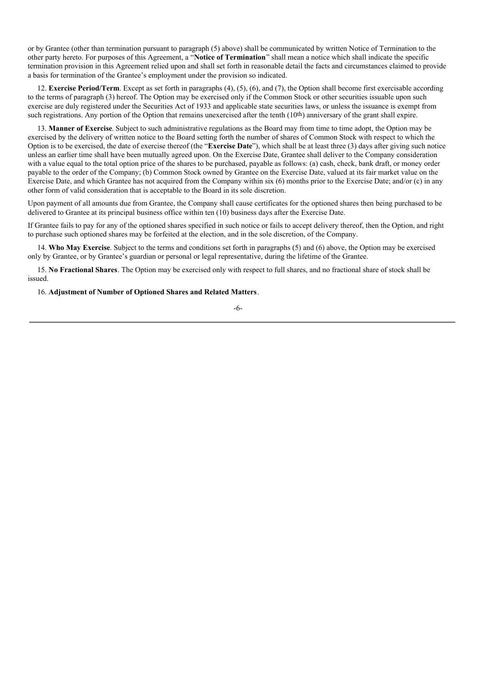<span id="page-39-0"></span>or by Grantee (other than termination pursuant to paragraph (5) above) shall be communicated by written Notice of Termination to the other party hereto. For purposes of this Agreement, a "**Notice of Termination**" shall mean a notice which shall indicate the specific termination provision in this Agreement relied upon and shall set forth in reasonable detail the facts and circumstances claimed to provide a basis for termination of the Grantee's employment under the provision so indicated.

12. **Exercise Period/Term**. Except as set forth in paragraphs (4), (5), (6), and (7), the Option shall become first exercisable according to the terms of paragraph (3) hereof. The Option may be exercised only if the Common Stock or other securities issuable upon such exercise are duly registered under the Securities Act of 1933 and applicable state securities laws, or unless the issuance is exempt from such registrations. Any portion of the Option that remains unexercised after the tenth  $(10<sup>th</sup>)$  anniversary of the grant shall expire.

13. **Manner of Exercise**. Subject to such administrative regulations as the Board may from time to time adopt, the Option may be exercised by the delivery of written notice to the Board setting forth the number of shares of Common Stock with respect to which the Option is to be exercised, the date of exercise thereof (the "**Exercise Date**"), which shall be at least three (3) days after giving such notice unless an earlier time shall have been mutually agreed upon. On the Exercise Date, Grantee shall deliver to the Company consideration with a value equal to the total option price of the shares to be purchased, payable as follows: (a) cash, check, bank draft, or money order payable to the order of the Company; (b) Common Stock owned by Grantee on the Exercise Date, valued at its fair market value on the Exercise Date, and which Grantee has not acquired from the Company within six (6) months prior to the Exercise Date; and/or (c) in any other form of valid consideration that is acceptable to the Board in its sole discretion.

Upon payment of all amounts due from Grantee, the Company shall cause certificates for the optioned shares then being purchased to be delivered to Grantee at its principal business office within ten (10) business days after the Exercise Date.

If Grantee fails to pay for any of the optioned shares specified in such notice or fails to accept delivery thereof, then the Option, and right to purchase such optioned shares may be forfeited at the election, and in the sole discretion, of the Company.

14. **Who May Exercise**. Subject to the terms and conditions set forth in paragraphs (5) and (6) above, the Option may be exercised only by Grantee, or by Grantee's guardian or personal or legal representative, during the lifetime of the Grantee.

15. **No Fractional Shares**. The Option may be exercised only with respect to full shares, and no fractional share of stock shall be issued.

16. **Adjustment of Number of Optioned Shares and Related Matters**.

#### -6-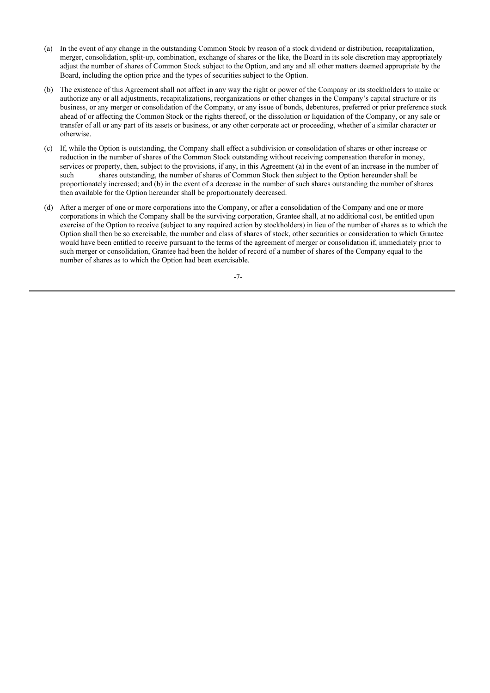- (a) In the event of any change in the outstanding Common Stock by reason of a stock dividend or distribution, recapitalization, merger, consolidation, split-up, combination, exchange of shares or the like, the Board in its sole discretion may appropriately adjust the number of shares of Common Stock subject to the Option, and any and all other matters deemed appropriate by the Board, including the option price and the types of securities subject to the Option.
- (b) The existence of this Agreement shall not affect in any way the right or power of the Company or its stockholders to make or authorize any or all adjustments, recapitalizations, reorganizations or other changes in the Company's capital structure or its business, or any merger or consolidation of the Company, or any issue of bonds, debentures, preferred or prior preference stock ahead of or affecting the Common Stock or the rights thereof, or the dissolution or liquidation of the Company, or any sale or transfer of all or any part of its assets or business, or any other corporate act or proceeding, whether of a similar character or otherwise.
- (c) If, while the Option is outstanding, the Company shall effect a subdivision or consolidation of shares or other increase or reduction in the number of shares of the Common Stock outstanding without receiving compensation therefor in money, services or property, then, subject to the provisions, if any, in this Agreement (a) in the event of an increase in the number of such shares outstanding, the number of shares of Common Stock then subject to the Option hereunder shall be proportionately increased; and (b) in the event of a decrease in the number of such shares outstanding the number of shares then available for the Option hereunder shall be proportionately decreased.
- (d) After a merger of one or more corporations into the Company, or after a consolidation of the Company and one or more corporations in which the Company shall be the surviving corporation, Grantee shall, at no additional cost, be entitled upon exercise of the Option to receive (subject to any required action by stockholders) in lieu of the number of shares as to which the Option shall then be so exercisable, the number and class of shares of stock, other securities or consideration to which Grantee would have been entitled to receive pursuant to the terms of the agreement of merger or consolidation if, immediately prior to such merger or consolidation, Grantee had been the holder of record of a number of shares of the Company equal to the number of shares as to which the Option had been exercisable.

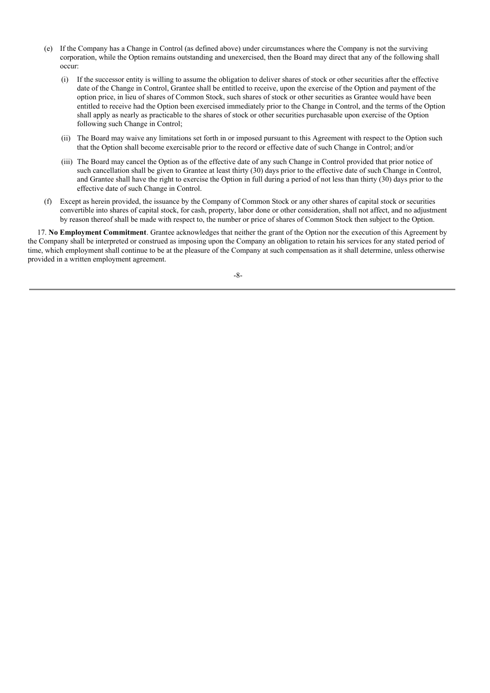- (e) If the Company has a Change in Control (as defined above) under circumstances where the Company is not the surviving corporation, while the Option remains outstanding and unexercised, then the Board may direct that any of the following shall occur:
	- (i) If the successor entity is willing to assume the obligation to deliver shares of stock or other securities after the effective date of the Change in Control, Grantee shall be entitled to receive, upon the exercise of the Option and payment of the option price, in lieu of shares of Common Stock, such shares of stock or other securities as Grantee would have been entitled to receive had the Option been exercised immediately prior to the Change in Control, and the terms of the Option shall apply as nearly as practicable to the shares of stock or other securities purchasable upon exercise of the Option following such Change in Control;
	- (ii) The Board may waive any limitations set forth in or imposed pursuant to this Agreement with respect to the Option such that the Option shall become exercisable prior to the record or effective date of such Change in Control; and/or
	- (iii) The Board may cancel the Option as of the effective date of any such Change in Control provided that prior notice of such cancellation shall be given to Grantee at least thirty (30) days prior to the effective date of such Change in Control, and Grantee shall have the right to exercise the Option in full during a period of not less than thirty (30) days prior to the effective date of such Change in Control.
- (f) Except as herein provided, the issuance by the Company of Common Stock or any other shares of capital stock or securities convertible into shares of capital stock, for cash, property, labor done or other consideration, shall not affect, and no adjustment by reason thereof shall be made with respect to, the number or price of shares of Common Stock then subject to the Option.

17. **No Employment Commitment**. Grantee acknowledges that neither the grant of the Option nor the execution of this Agreement by the Company shall be interpreted or construed as imposing upon the Company an obligation to retain his services for any stated period of time, which employment shall continue to be at the pleasure of the Company at such compensation as it shall determine, unless otherwise provided in a written employment agreement.

-8-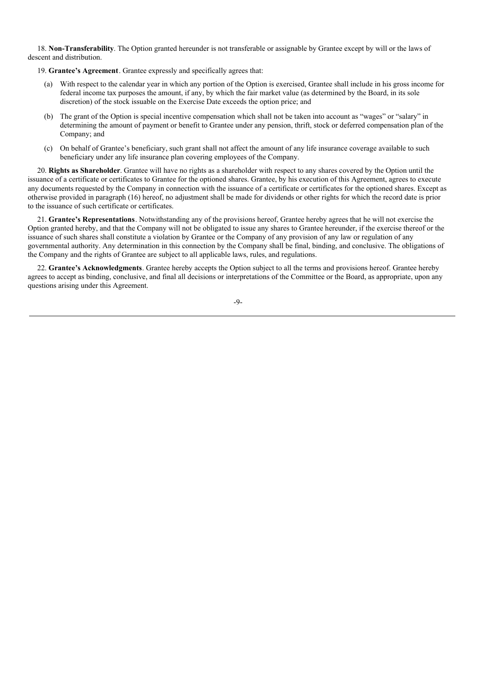18. **Non-Transferability**. The Option granted hereunder is not transferable or assignable by Grantee except by will or the laws of descent and distribution.

19. **Grantee's Agreement**. Grantee expressly and specifically agrees that:

- (a) With respect to the calendar year in which any portion of the Option is exercised, Grantee shall include in his gross income for federal income tax purposes the amount, if any, by which the fair market value (as determined by the Board, in its sole discretion) of the stock issuable on the Exercise Date exceeds the option price; and
- (b) The grant of the Option is special incentive compensation which shall not be taken into account as "wages" or "salary" in determining the amount of payment or benefit to Grantee under any pension, thrift, stock or deferred compensation plan of the Company; and
- (c) On behalf of Grantee's beneficiary, such grant shall not affect the amount of any life insurance coverage available to such beneficiary under any life insurance plan covering employees of the Company.

20. **Rights as Shareholder**. Grantee will have no rights as a shareholder with respect to any shares covered by the Option until the issuance of a certificate or certificates to Grantee for the optioned shares. Grantee, by his execution of this Agreement, agrees to execute any documents requested by the Company in connection with the issuance of a certificate or certificates for the optioned shares. Except as otherwise provided in paragraph (16) hereof, no adjustment shall be made for dividends or other rights for which the record date is prior to the issuance of such certificate or certificates.

21. **Grantee's Representations**. Notwithstanding any of the provisions hereof, Grantee hereby agrees that he will not exercise the Option granted hereby, and that the Company will not be obligated to issue any shares to Grantee hereunder, if the exercise thereof or the issuance of such shares shall constitute a violation by Grantee or the Company of any provision of any law or regulation of any governmental authority. Any determination in this connection by the Company shall be final, binding, and conclusive. The obligations of the Company and the rights of Grantee are subject to all applicable laws, rules, and regulations.

22. **Grantee's Acknowledgments**. Grantee hereby accepts the Option subject to all the terms and provisions hereof. Grantee hereby agrees to accept as binding, conclusive, and final all decisions or interpretations of the Committee or the Board, as appropriate, upon any questions arising under this Agreement.

 $-9-$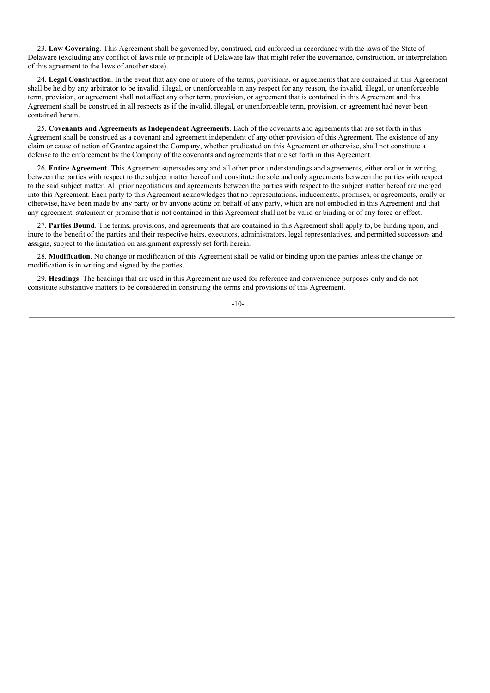23. **Law Governing**. This Agreement shall be governed by, construed, and enforced in accordance with the laws of the State of Delaware (excluding any conflict of laws rule or principle of Delaware law that might refer the governance, construction, or interpretation of this agreement to the laws of another state).

24. **Legal Construction**. In the event that any one or more of the terms, provisions, or agreements that are contained in this Agreement shall be held by any arbitrator to be invalid, illegal, or unenforceable in any respect for any reason, the invalid, illegal, or unenforceable term, provision, or agreement shall not affect any other term, provision, or agreement that is contained in this Agreement and this Agreement shall be construed in all respects as if the invalid, illegal, or unenforceable term, provision, or agreement had never been contained herein.

25. **Covenants and Agreements as Independent Agreements**. Each of the covenants and agreements that are set forth in this Agreement shall be construed as a covenant and agreement independent of any other provision of this Agreement. The existence of any claim or cause of action of Grantee against the Company, whether predicated on this Agreement or otherwise, shall not constitute a defense to the enforcement by the Company of the covenants and agreements that are set forth in this Agreement.

26. **Entire Agreement**. This Agreement supersedes any and all other prior understandings and agreements, either oral or in writing, between the parties with respect to the subject matter hereof and constitute the sole and only agreements between the parties with respect to the said subject matter. All prior negotiations and agreements between the parties with respect to the subject matter hereof are merged into this Agreement. Each party to this Agreement acknowledges that no representations, inducements, promises, or agreements, orally or otherwise, have been made by any party or by anyone acting on behalf of any party, which are not embodied in this Agreement and that any agreement, statement or promise that is not contained in this Agreement shall not be valid or binding or of any force or effect.

27. **Parties Bound**. The terms, provisions, and agreements that are contained in this Agreement shall apply to, be binding upon, and inure to the benefit of the parties and their respective heirs, executors, administrators, legal representatives, and permitted successors and assigns, subject to the limitation on assignment expressly set forth herein.

28. **Modification**. No change or modification of this Agreement shall be valid or binding upon the parties unless the change or modification is in writing and signed by the parties.

29. **Headings**. The headings that are used in this Agreement are used for reference and convenience purposes only and do not constitute substantive matters to be considered in construing the terms and provisions of this Agreement.

-10-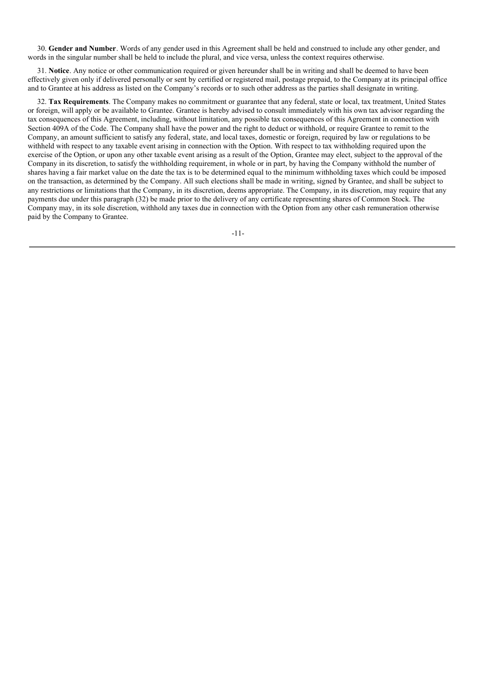30. **Gender and Number**. Words of any gender used in this Agreement shall be held and construed to include any other gender, and words in the singular number shall be held to include the plural, and vice versa, unless the context requires otherwise.

31. **Notice**. Any notice or other communication required or given hereunder shall be in writing and shall be deemed to have been effectively given only if delivered personally or sent by certified or registered mail, postage prepaid, to the Company at its principal office and to Grantee at his address as listed on the Company's records or to such other address as the parties shall designate in writing.

32. **Tax Requirements**. The Company makes no commitment or guarantee that any federal, state or local, tax treatment, United States or foreign, will apply or be available to Grantee. Grantee is hereby advised to consult immediately with his own tax advisor regarding the tax consequences of this Agreement, including, without limitation, any possible tax consequences of this Agreement in connection with Section 409A of the Code. The Company shall have the power and the right to deduct or withhold, or require Grantee to remit to the Company, an amount sufficient to satisfy any federal, state, and local taxes, domestic or foreign, required by law or regulations to be withheld with respect to any taxable event arising in connection with the Option. With respect to tax withholding required upon the exercise of the Option, or upon any other taxable event arising as a result of the Option, Grantee may elect, subject to the approval of the Company in its discretion, to satisfy the withholding requirement, in whole or in part, by having the Company withhold the number of shares having a fair market value on the date the tax is to be determined equal to the minimum withholding taxes which could be imposed on the transaction, as determined by the Company. All such elections shall be made in writing, signed by Grantee, and shall be subject to any restrictions or limitations that the Company, in its discretion, deems appropriate. The Company, in its discretion, may require that any payments due under this paragraph (32) be made prior to the delivery of any certificate representing shares of Common Stock. The Company may, in its sole discretion, withhold any taxes due in connection with the Option from any other cash remuneration otherwise paid by the Company to Grantee.

-11-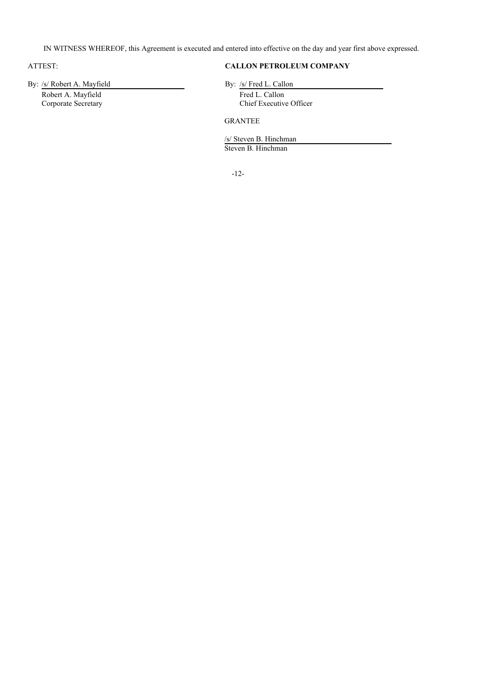IN WITNESS WHEREOF, this Agreement is executed and entered into effective on the day and year first above expressed.

By: /s/ Robert A. Mayfield By: /s/ Fred L. Callon

Robert A. Mayfield<br>
Corporate Secretary<br>
Chief Executive<br>
Chief Executive

# ATTEST: **CALLON PETROLEUM COMPANY**

Chief Executive Officer

GRANTEE

/s/ Steven B. Hinchman Steven B. Hinchman

-12-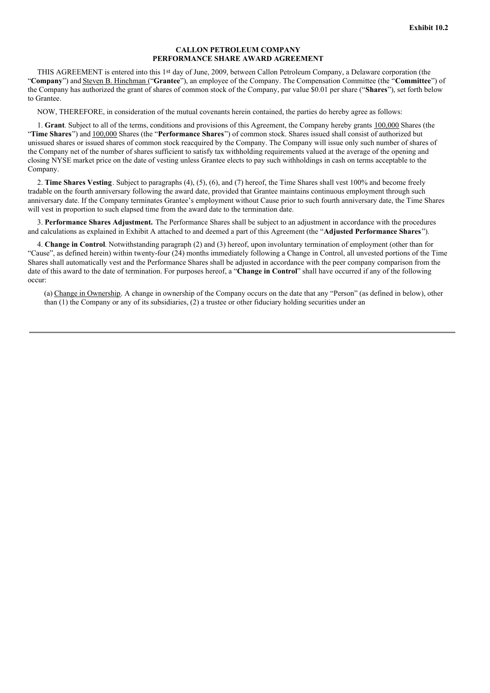#### **CALLON PETROLEUM COMPANY PERFORMANCE SHARE AWARD AGREEMENT**

THIS AGREEMENT is entered into this 1st day of June, 2009, between Callon Petroleum Company, a Delaware corporation (the "**Company**") and Steven B. Hinchman ("**Grantee**"), an employee of the Company. The Compensation Committee (the "**Committee**") of the Company has authorized the grant of shares of common stock of the Company, par value \$0.01 per share ("**Shares**"), set forth below to Grantee.

NOW, THEREFORE, in consideration of the mutual covenants herein contained, the parties do hereby agree as follows:

1. **Grant**. Subject to all of the terms, conditions and provisions of this Agreement, the Company hereby grants 100,000 Shares (the "**Time Shares**") and 100,000 Shares (the "**Performance Shares**") of common stock. Shares issued shall consist of authorized but unissued shares or issued shares of common stock reacquired by the Company. The Company will issue only such number of shares of the Company net of the number of shares sufficient to satisfy tax withholding requirements valued at the average of the opening and closing NYSE market price on the date of vesting unless Grantee elects to pay such withholdings in cash on terms acceptable to the Company.

2. **Time Shares Vesting**. Subject to paragraphs (4), (5), (6), and (7) hereof, the Time Shares shall vest 100% and become freely tradable on the fourth anniversary following the award date, provided that Grantee maintains continuous employment through such anniversary date. If the Company terminates Grantee's employment without Cause prior to such fourth anniversary date, the Time Shares will vest in proportion to such elapsed time from the award date to the termination date.

3. **Performance Shares Adjustment.** The Performance Shares shall be subject to an adjustment in accordance with the procedures and calculations as explained in Exhibit A attached to and deemed a part of this Agreement (the "**Adjusted Performance Shares**").

4. **Change in Control**. Notwithstanding paragraph (2) and (3) hereof, upon involuntary termination of employment (other than for "Cause", as defined herein) within twenty-four (24) months immediately following a Change in Control, all unvested portions of the Time Shares shall automatically vest and the Performance Shares shall be adjusted in accordance with the peer company comparison from the date of this award to the date of termination. For purposes hereof, a "**Change in Control**" shall have occurred if any of the following occur:

(a) Change in Ownership. A change in ownership of the Company occurs on the date that any "Person" (as defined in below), other than (1) the Company or any of its subsidiaries, (2) a trustee or other fiduciary holding securities under an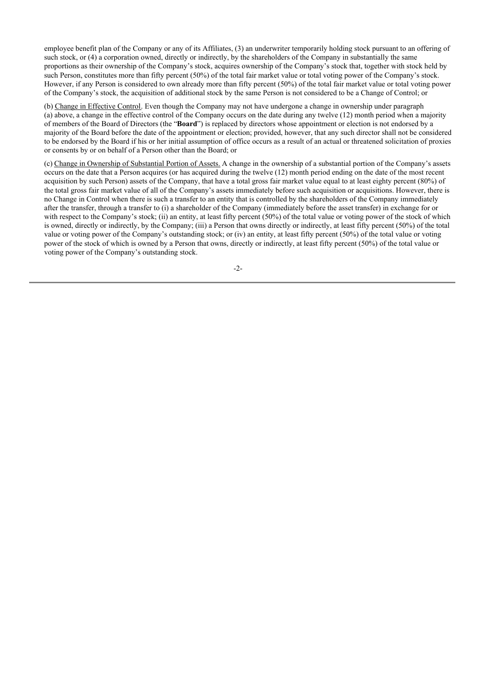employee benefit plan of the Company or any of its Affiliates, (3) an underwriter temporarily holding stock pursuant to an offering of such stock, or (4) a corporation owned, directly or indirectly, by the shareholders of the Company in substantially the same proportions as their ownership of the Company's stock, acquires ownership of the Company's stock that, together with stock held by such Person, constitutes more than fifty percent (50%) of the total fair market value or total voting power of the Company's stock. However, if any Person is considered to own already more than fifty percent (50%) of the total fair market value or total voting power of the Company's stock, the acquisition of additional stock by the same Person is not considered to be a Change of Control; or

(b) Change in Effective Control. Even though the Company may not have undergone a change in ownership under paragraph (a) above, a change in the effective control of the Company occurs on the date during any twelve (12) month period when a majority of members of the Board of Directors (the "**Board**") is replaced by directors whose appointment or election is not endorsed by a majority of the Board before the date of the appointment or election; provided, however, that any such director shall not be considered to be endorsed by the Board if his or her initial assumption of office occurs as a result of an actual or threatened solicitation of proxies or consents by or on behalf of a Person other than the Board; or

(c) Change in Ownership of Substantial Portion of Assets. A change in the ownership of a substantial portion of the Company's assets occurs on the date that a Person acquires (or has acquired during the twelve (12) month period ending on the date of the most recent acquisition by such Person) assets of the Company, that have a total gross fair market value equal to at least eighty percent (80%) of the total gross fair market value of all of the Company's assets immediately before such acquisition or acquisitions. However, there is no Change in Control when there is such a transfer to an entity that is controlled by the shareholders of the Company immediately after the transfer, through a transfer to (i) a shareholder of the Company (immediately before the asset transfer) in exchange for or with respect to the Company's stock; (ii) an entity, at least fifty percent (50%) of the total value or voting power of the stock of which is owned, directly or indirectly, by the Company; (iii) a Person that owns directly or indirectly, at least fifty percent (50%) of the total value or voting power of the Company's outstanding stock; or (iv) an entity, at least fifty percent (50%) of the total value or voting power of the stock of which is owned by a Person that owns, directly or indirectly, at least fifty percent (50%) of the total value or voting power of the Company's outstanding stock.

-2-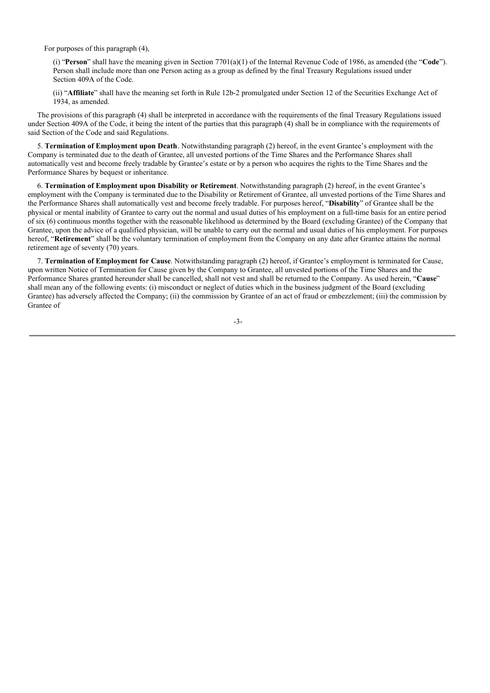For purposes of this paragraph (4),

(i) "**Person**" shall have the meaning given in Section 7701(a)(1) of the Internal Revenue Code of 1986, as amended (the "**Code**"). Person shall include more than one Person acting as a group as defined by the final Treasury Regulations issued under Section 409A of the Code.

(ii) "**Affiliate**" shall have the meaning set forth in Rule 12b-2 promulgated under Section 12 of the Securities Exchange Act of 1934, as amended.

The provisions of this paragraph (4) shall be interpreted in accordance with the requirements of the final Treasury Regulations issued under Section 409A of the Code, it being the intent of the parties that this paragraph (4) shall be in compliance with the requirements of said Section of the Code and said Regulations.

5. **Termination of Employment upon Death**. Notwithstanding paragraph (2) hereof, in the event Grantee's employment with the Company is terminated due to the death of Grantee, all unvested portions of the Time Shares and the Performance Shares shall automatically vest and become freely tradable by Grantee's estate or by a person who acquires the rights to the Time Shares and the Performance Shares by bequest or inheritance.

6. **Termination of Employment upon Disability or Retirement**. Notwithstanding paragraph (2) hereof, in the event Grantee's employment with the Company is terminated due to the Disability or Retirement of Grantee, all unvested portions of the Time Shares and the Performance Shares shall automatically vest and become freely tradable. For purposes hereof, "**Disability**" of Grantee shall be the physical or mental inability of Grantee to carry out the normal and usual duties of his employment on a full-time basis for an entire period of six (6) continuous months together with the reasonable likelihood as determined by the Board (excluding Grantee) of the Company that Grantee, upon the advice of a qualified physician, will be unable to carry out the normal and usual duties of his employment. For purposes hereof, "**Retirement**" shall be the voluntary termination of employment from the Company on any date after Grantee attains the normal retirement age of seventy (70) years.

7. **Termination of Employment for Cause**. Notwithstanding paragraph (2) hereof, if Grantee's employment is terminated for Cause, upon written Notice of Termination for Cause given by the Company to Grantee, all unvested portions of the Time Shares and the Performance Shares granted hereunder shall be cancelled, shall not vest and shall be returned to the Company. As used herein, "**Cause**" shall mean any of the following events: (i) misconduct or neglect of duties which in the business judgment of the Board (excluding Grantee) has adversely affected the Company; (ii) the commission by Grantee of an act of fraud or embezzlement; (iii) the commission by Grantee of

$$
-3-
$$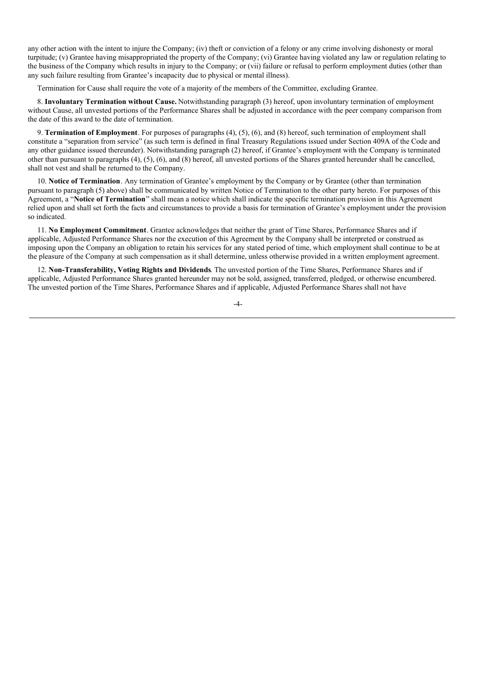any other action with the intent to injure the Company; (iv) theft or conviction of a felony or any crime involving dishonesty or moral turpitude; (v) Grantee having misappropriated the property of the Company; (vi) Grantee having violated any law or regulation relating to the business of the Company which results in injury to the Company; or (vii) failure or refusal to perform employment duties (other than any such failure resulting from Grantee's incapacity due to physical or mental illness).

Termination for Cause shall require the vote of a majority of the members of the Committee, excluding Grantee.

8. **Involuntary Termination without Cause.** Notwithstanding paragraph (3) hereof, upon involuntary termination of employment without Cause, all unvested portions of the Performance Shares shall be adjusted in accordance with the peer company comparison from the date of this award to the date of termination.

9. **Termination of Employment**. For purposes of paragraphs (4), (5), (6), and (8) hereof, such termination of employment shall constitute a "separation from service" (as such term is defined in final Treasury Regulations issued under Section 409A of the Code and any other guidance issued thereunder). Notwithstanding paragraph (2) hereof, if Grantee's employment with the Company is terminated other than pursuant to paragraphs (4), (5), (6), and (8) hereof, all unvested portions of the Shares granted hereunder shall be cancelled, shall not vest and shall be returned to the Company.

10. **Notice of Termination**. Any termination of Grantee's employment by the Company or by Grantee (other than termination pursuant to paragraph (5) above) shall be communicated by written Notice of Termination to the other party hereto. For purposes of this Agreement, a "**Notice of Termination**" shall mean a notice which shall indicate the specific termination provision in this Agreement relied upon and shall set forth the facts and circumstances to provide a basis for termination of Grantee's employment under the provision so indicated.

11. **No Employment Commitment**. Grantee acknowledges that neither the grant of Time Shares, Performance Shares and if applicable, Adjusted Performance Shares nor the execution of this Agreement by the Company shall be interpreted or construed as imposing upon the Company an obligation to retain his services for any stated period of time, which employment shall continue to be at the pleasure of the Company at such compensation as it shall determine, unless otherwise provided in a written employment agreement.

12. **Non-Transferability, Voting Rights and Dividends**. The unvested portion of the Time Shares, Performance Shares and if applicable, Adjusted Performance Shares granted hereunder may not be sold, assigned, transferred, pledged, or otherwise encumbered. The unvested portion of the Time Shares, Performance Shares and if applicable, Adjusted Performance Shares shall not have

 $-4-$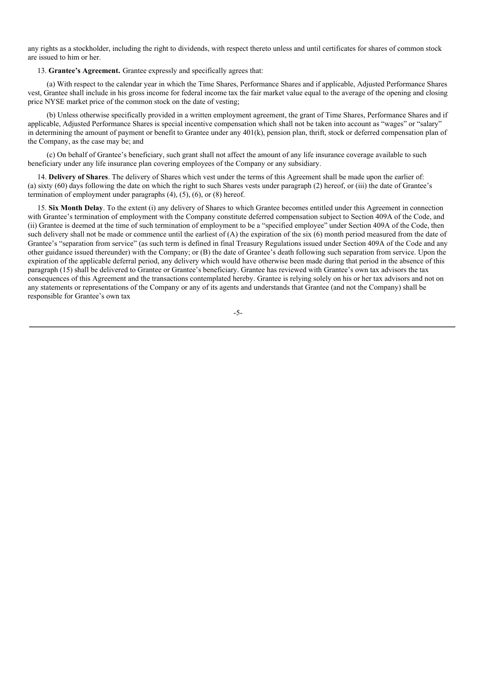any rights as a stockholder, including the right to dividends, with respect thereto unless and until certificates for shares of common stock are issued to him or her.

13. **Grantee's Agreement.** Grantee expressly and specifically agrees that:

(a) With respect to the calendar year in which the Time Shares, Performance Shares and if applicable, Adjusted Performance Shares vest, Grantee shall include in his gross income for federal income tax the fair market value equal to the average of the opening and closing price NYSE market price of the common stock on the date of vesting;

(b) Unless otherwise specifically provided in a written employment agreement, the grant of Time Shares, Performance Shares and if applicable, Adjusted Performance Shares is special incentive compensation which shall not be taken into account as "wages" or "salary" in determining the amount of payment or benefit to Grantee under any 401(k), pension plan, thrift, stock or deferred compensation plan of the Company, as the case may be; and

(c) On behalf of Grantee's beneficiary, such grant shall not affect the amount of any life insurance coverage available to such beneficiary under any life insurance plan covering employees of the Company or any subsidiary.

14. **Delivery of Shares**. The delivery of Shares which vest under the terms of this Agreement shall be made upon the earlier of: (a) sixty (60) days following the date on which the right to such Shares vests under paragraph (2) hereof, or (iii) the date of Grantee's termination of employment under paragraphs  $(4)$ ,  $(5)$ ,  $(6)$ , or  $(8)$  hereof.

15. **Six Month Delay**. To the extent (i) any delivery of Shares to which Grantee becomes entitled under this Agreement in connection with Grantee's termination of employment with the Company constitute deferred compensation subject to Section 409A of the Code, and (ii) Grantee is deemed at the time of such termination of employment to be a "specified employee" under Section 409A of the Code, then such delivery shall not be made or commence until the earliest of (A) the expiration of the six (6) month period measured from the date of Grantee's "separation from service" (as such term is defined in final Treasury Regulations issued under Section 409A of the Code and any other guidance issued thereunder) with the Company; or (B) the date of Grantee's death following such separation from service. Upon the expiration of the applicable deferral period, any delivery which would have otherwise been made during that period in the absence of this paragraph (15) shall be delivered to Grantee or Grantee's beneficiary. Grantee has reviewed with Grantee's own tax advisors the tax consequences of this Agreement and the transactions contemplated hereby. Grantee is relying solely on his or her tax advisors and not on any statements or representations of the Company or any of its agents and understands that Grantee (and not the Company) shall be responsible for Grantee's own tax

-5-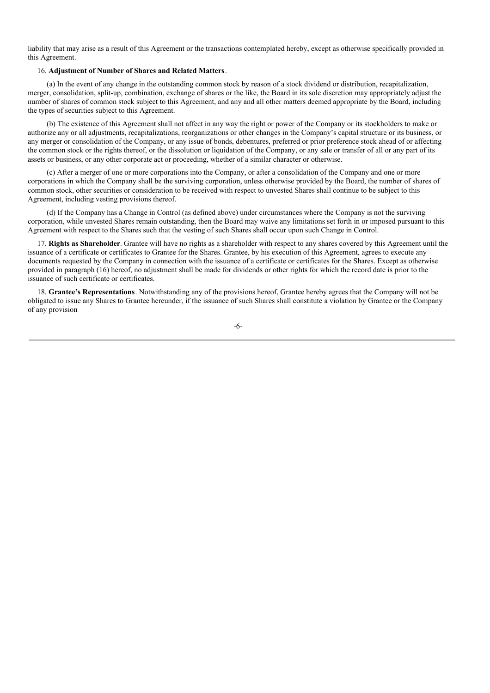<span id="page-51-0"></span>liability that may arise as a result of this Agreement or the transactions contemplated hereby, except as otherwise specifically provided in this Agreement.

#### 16. **Adjustment of Number of Shares and Related Matters**.

(a) In the event of any change in the outstanding common stock by reason of a stock dividend or distribution, recapitalization, merger, consolidation, split-up, combination, exchange of shares or the like, the Board in its sole discretion may appropriately adjust the number of shares of common stock subject to this Agreement, and any and all other matters deemed appropriate by the Board, including the types of securities subject to this Agreement.

(b) The existence of this Agreement shall not affect in any way the right or power of the Company or its stockholders to make or authorize any or all adjustments, recapitalizations, reorganizations or other changes in the Company's capital structure or its business, or any merger or consolidation of the Company, or any issue of bonds, debentures, preferred or prior preference stock ahead of or affecting the common stock or the rights thereof, or the dissolution or liquidation of the Company, or any sale or transfer of all or any part of its assets or business, or any other corporate act or proceeding, whether of a similar character or otherwise.

(c) After a merger of one or more corporations into the Company, or after a consolidation of the Company and one or more corporations in which the Company shall be the surviving corporation, unless otherwise provided by the Board, the number of shares of common stock, other securities or consideration to be received with respect to unvested Shares shall continue to be subject to this Agreement, including vesting provisions thereof.

(d) If the Company has a Change in Control (as defined above) under circumstances where the Company is not the surviving corporation, while unvested Shares remain outstanding, then the Board may waive any limitations set forth in or imposed pursuant to this Agreement with respect to the Shares such that the vesting of such Shares shall occur upon such Change in Control.

17. **Rights as Shareholder**. Grantee will have no rights as a shareholder with respect to any shares covered by this Agreement until the issuance of a certificate or certificates to Grantee for the Shares. Grantee, by his execution of this Agreement, agrees to execute any documents requested by the Company in connection with the issuance of a certificate or certificates for the Shares. Except as otherwise provided in paragraph (16) hereof, no adjustment shall be made for dividends or other rights for which the record date is prior to the issuance of such certificate or certificates.

18. **Grantee's Representations**. Notwithstanding any of the provisions hereof, Grantee hereby agrees that the Company will not be obligated to issue any Shares to Grantee hereunder, if the issuance of such Shares shall constitute a violation by Grantee or the Company of any provision

-6-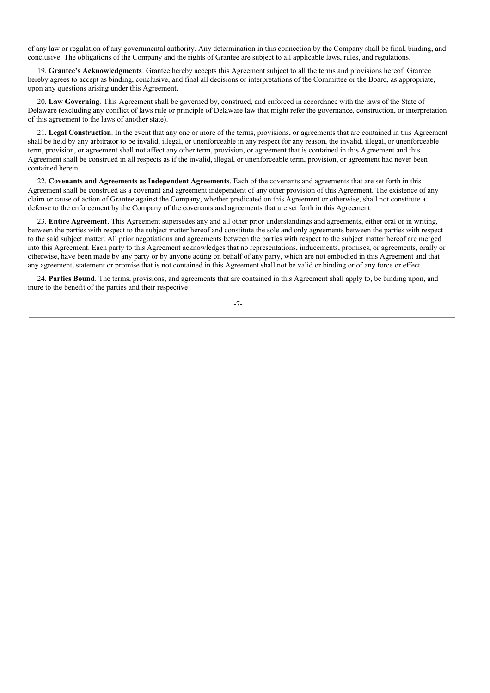of any law or regulation of any governmental authority. Any determination in this connection by the Company shall be final, binding, and conclusive. The obligations of the Company and the rights of Grantee are subject to all applicable laws, rules, and regulations.

19. **Grantee's Acknowledgments**. Grantee hereby accepts this Agreement subject to all the terms and provisions hereof. Grantee hereby agrees to accept as binding, conclusive, and final all decisions or interpretations of the Committee or the Board, as appropriate, upon any questions arising under this Agreement.

20. **Law Governing**. This Agreement shall be governed by, construed, and enforced in accordance with the laws of the State of Delaware (excluding any conflict of laws rule or principle of Delaware law that might refer the governance, construction, or interpretation of this agreement to the laws of another state).

21. **Legal Construction**. In the event that any one or more of the terms, provisions, or agreements that are contained in this Agreement shall be held by any arbitrator to be invalid, illegal, or unenforceable in any respect for any reason, the invalid, illegal, or unenforceable term, provision, or agreement shall not affect any other term, provision, or agreement that is contained in this Agreement and this Agreement shall be construed in all respects as if the invalid, illegal, or unenforceable term, provision, or agreement had never been contained herein.

22. **Covenants and Agreements as Independent Agreements**. Each of the covenants and agreements that are set forth in this Agreement shall be construed as a covenant and agreement independent of any other provision of this Agreement. The existence of any claim or cause of action of Grantee against the Company, whether predicated on this Agreement or otherwise, shall not constitute a defense to the enforcement by the Company of the covenants and agreements that are set forth in this Agreement.

23. **Entire Agreement**. This Agreement supersedes any and all other prior understandings and agreements, either oral or in writing, between the parties with respect to the subject matter hereof and constitute the sole and only agreements between the parties with respect to the said subject matter. All prior negotiations and agreements between the parties with respect to the subject matter hereof are merged into this Agreement. Each party to this Agreement acknowledges that no representations, inducements, promises, or agreements, orally or otherwise, have been made by any party or by anyone acting on behalf of any party, which are not embodied in this Agreement and that any agreement, statement or promise that is not contained in this Agreement shall not be valid or binding or of any force or effect.

24. **Parties Bound**. The terms, provisions, and agreements that are contained in this Agreement shall apply to, be binding upon, and inure to the benefit of the parties and their respective

-7-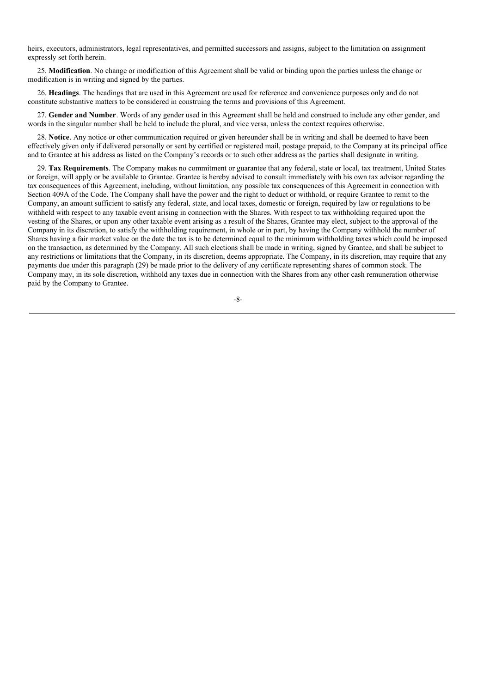heirs, executors, administrators, legal representatives, and permitted successors and assigns, subject to the limitation on assignment expressly set forth herein.

25. **Modification**. No change or modification of this Agreement shall be valid or binding upon the parties unless the change or modification is in writing and signed by the parties.

26. **Headings**. The headings that are used in this Agreement are used for reference and convenience purposes only and do not constitute substantive matters to be considered in construing the terms and provisions of this Agreement.

27. **Gender and Number**. Words of any gender used in this Agreement shall be held and construed to include any other gender, and words in the singular number shall be held to include the plural, and vice versa, unless the context requires otherwise.

28. **Notice**. Any notice or other communication required or given hereunder shall be in writing and shall be deemed to have been effectively given only if delivered personally or sent by certified or registered mail, postage prepaid, to the Company at its principal office and to Grantee at his address as listed on the Company's records or to such other address as the parties shall designate in writing.

29. **Tax Requirements**. The Company makes no commitment or guarantee that any federal, state or local, tax treatment, United States or foreign, will apply or be available to Grantee. Grantee is hereby advised to consult immediately with his own tax advisor regarding the tax consequences of this Agreement, including, without limitation, any possible tax consequences of this Agreement in connection with Section 409A of the Code. The Company shall have the power and the right to deduct or withhold, or require Grantee to remit to the Company, an amount sufficient to satisfy any federal, state, and local taxes, domestic or foreign, required by law or regulations to be withheld with respect to any taxable event arising in connection with the Shares. With respect to tax withholding required upon the vesting of the Shares, or upon any other taxable event arising as a result of the Shares, Grantee may elect, subject to the approval of the Company in its discretion, to satisfy the withholding requirement, in whole or in part, by having the Company withhold the number of Shares having a fair market value on the date the tax is to be determined equal to the minimum withholding taxes which could be imposed on the transaction, as determined by the Company. All such elections shall be made in writing, signed by Grantee, and shall be subject to any restrictions or limitations that the Company, in its discretion, deems appropriate. The Company, in its discretion, may require that any payments due under this paragraph (29) be made prior to the delivery of any certificate representing shares of common stock. The Company may, in its sole discretion, withhold any taxes due in connection with the Shares from any other cash remuneration otherwise paid by the Company to Grantee.

-8-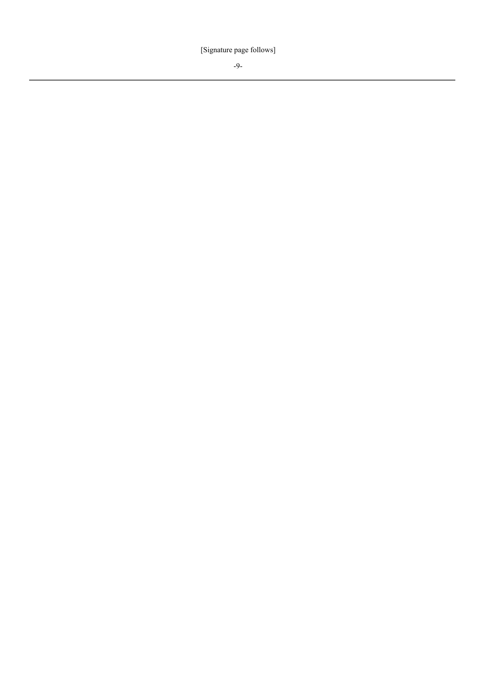[Signature page follows]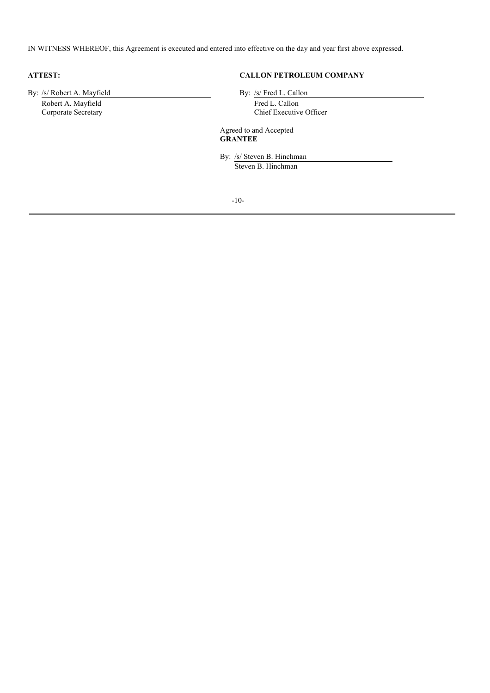IN WITNESS WHEREOF, this Agreement is executed and entered into effective on the day and year first above expressed.

By: /s/ Robert A. Mayfield By: /s/ Fred L. Callon

Robert A. Mayfield Corporate Secretary

# **ATTEST: CALLON PETROLEUM COMPANY**

Fred L. Callon Chief Executive Officer

Agreed to and Accepted **GRANTEE**

By: /s/ Steven B. Hinchman Steven B. Hinchman

-10-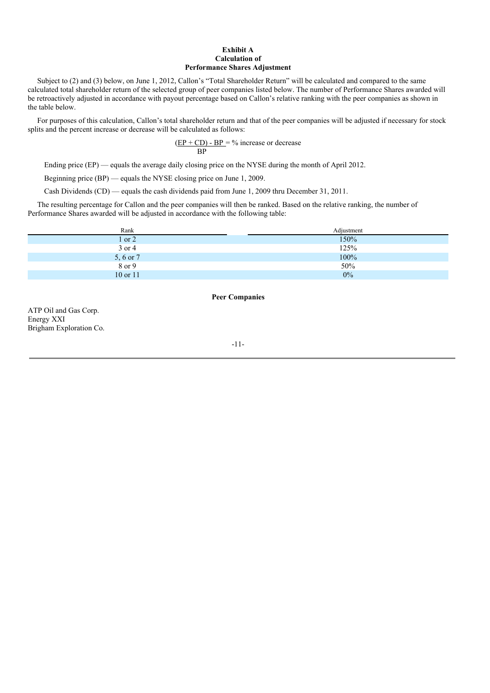#### **Exhibit A Calculation of Performance Shares Adjustment**

Subject to (2) and (3) below, on June 1, 2012, Callon's "Total Shareholder Return" will be calculated and compared to the same calculated total shareholder return of the selected group of peer companies listed below. The number of Performance Shares awarded will be retroactively adjusted in accordance with payout percentage based on Callon's relative ranking with the peer companies as shown in the table below.

For purposes of this calculation, Callon's total shareholder return and that of the peer companies will be adjusted if necessary for stock splits and the percent increase or decrease will be calculated as follows:

$$
\frac{(EP + CD) - BP}{BP} = \frac{9}{6}
$$
 increase or decrease

Ending price (EP) — equals the average daily closing price on the NYSE during the month of April 2012.

Beginning price (BP) — equals the NYSE closing price on June 1, 2009.

Cash Dividends (CD) — equals the cash dividends paid from June 1, 2009 thru December 31, 2011.

The resulting percentage for Callon and the peer companies will then be ranked. Based on the relative ranking, the number of Performance Shares awarded will be adjusted in accordance with the following table:

| Adjustment |
|------------|
| 150%       |
| 125%       |
| 100%       |
| 50%        |
| 0%         |
|            |

#### **Peer Companies**

ATP Oil and Gas Corp. Energy XXI Brigham Exploration Co.

-11-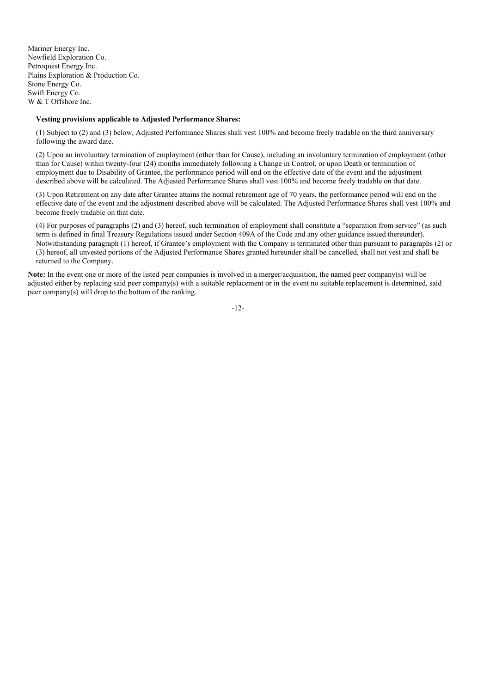Mariner Energy Inc. Newfield Exploration Co. Petroquest Energy Inc. Plains Exploration & Production Co. Stone Energy Co. Swift Energy Co. W & T Offshore Inc.

#### **Vesting provisions applicable to Adjusted Performance Shares:**

(1) Subject to (2) and (3) below, Adjusted Performance Shares shall vest 100% and become freely tradable on the third anniversary following the award date.

(2) Upon an involuntary termination of employment (other than for Cause), including an involuntary termination of employment (other than for Cause) within twenty-four (24) months immediately following a Change in Control, or upon Death or termination of employment due to Disability of Grantee, the performance period will end on the effective date of the event and the adjustment described above will be calculated. The Adjusted Performance Shares shall vest 100% and become freely tradable on that date.

(3) Upon Retirement on any date after Grantee attains the normal retirement age of 70 years, the performance period will end on the effective date of the event and the adjustment described above will be calculated. The Adjusted Performance Shares shall vest 100% and become freely tradable on that date.

(4) For purposes of paragraphs (2) and (3) hereof, such termination of employment shall constitute a "separation from service" (as such term is defined in final Treasury Regulations issued under Section 409A of the Code and any other guidance issued thereunder). Notwithstanding paragraph (1) hereof, if Grantee's employment with the Company is terminated other than pursuant to paragraphs (2) or (3) hereof, all unvested portions of the Adjusted Performance Shares granted hereunder shall be cancelled, shall not vest and shall be returned to the Company.

**Note:** In the event one or more of the listed peer companies is involved in a merger/acquisition, the named peer company(s) will be adjusted either by replacing said peer company(s) with a suitable replacement or in the event no suitable replacement is determined, said peer company(s) will drop to the bottom of the ranking.

-12-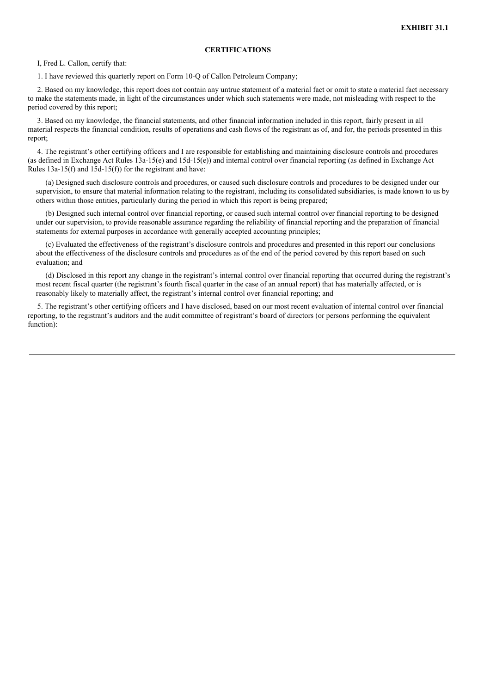#### **CERTIFICATIONS**

<span id="page-58-0"></span>I, Fred L. Callon, certify that:

1. I have reviewed this quarterly report on Form 10-Q of Callon Petroleum Company;

2. Based on my knowledge, this report does not contain any untrue statement of a material fact or omit to state a material fact necessary to make the statements made, in light of the circumstances under which such statements were made, not misleading with respect to the period covered by this report;

3. Based on my knowledge, the financial statements, and other financial information included in this report, fairly present in all material respects the financial condition, results of operations and cash flows of the registrant as of, and for, the periods presented in this report;

4. The registrant's other certifying officers and I are responsible for establishing and maintaining disclosure controls and procedures (as defined in Exchange Act Rules 13a-15(e) and 15d-15(e)) and internal control over financial reporting (as defined in Exchange Act Rules 13a-15(f) and 15d-15(f)) for the registrant and have:

(a) Designed such disclosure controls and procedures, or caused such disclosure controls and procedures to be designed under our supervision, to ensure that material information relating to the registrant, including its consolidated subsidiaries, is made known to us by others within those entities, particularly during the period in which this report is being prepared;

(b) Designed such internal control over financial reporting, or caused such internal control over financial reporting to be designed under our supervision, to provide reasonable assurance regarding the reliability of financial reporting and the preparation of financial statements for external purposes in accordance with generally accepted accounting principles;

(c) Evaluated the effectiveness of the registrant's disclosure controls and procedures and presented in this report our conclusions about the effectiveness of the disclosure controls and procedures as of the end of the period covered by this report based on such evaluation; and

(d) Disclosed in this report any change in the registrant's internal control over financial reporting that occurred during the registrant's most recent fiscal quarter (the registrant's fourth fiscal quarter in the case of an annual report) that has materially affected, or is reasonably likely to materially affect, the registrant's internal control over financial reporting; and

5. The registrant's other certifying officers and I have disclosed, based on our most recent evaluation of internal control over financial reporting, to the registrant's auditors and the audit committee of registrant's board of directors (or persons performing the equivalent function):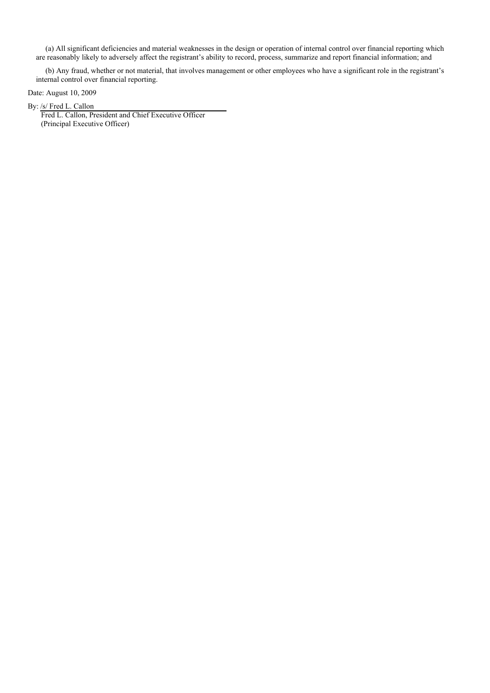(a) All significant deficiencies and material weaknesses in the design or operation of internal control over financial reporting which are reasonably likely to adversely affect the registrant's ability to record, process, summarize and report financial information; and

(b) Any fraud, whether or not material, that involves management or other employees who have a significant role in the registrant's internal control over financial reporting.

Date: August 10, 2009

By: /s/ Fred L. Callon

Fred L. Callon, President and Chief Executive Officer (Principal Executive Officer)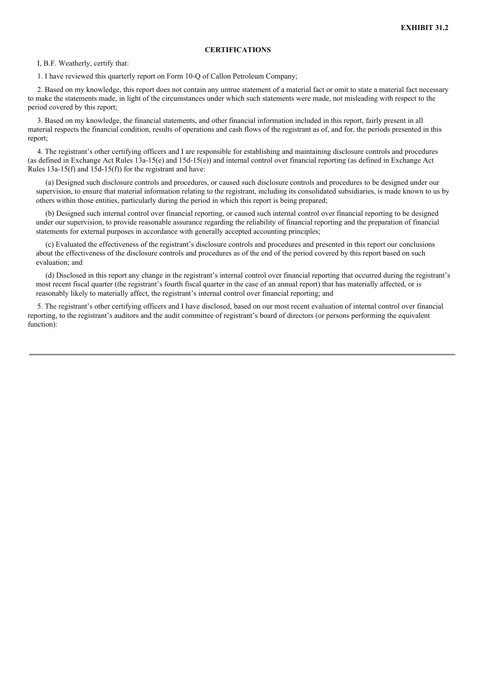#### **CERTIFICATIONS**

#### <span id="page-60-0"></span>I, B.F. Weatherly, certify that:

1. I have reviewed this quarterly report on Form 10-Q of Callon Petroleum Company;

2. Based on my knowledge, this report does not contain any untrue statement of a material fact or omit to state a material fact necessary to make the statements made, in light of the circumstances under which such statements were made, not misleading with respect to the period covered by this report;

3. Based on my knowledge, the financial statements, and other financial information included in this report, fairly present in all material respects the financial condition, results of operations and cash flows of the registrant as of, and for, the periods presented in this report;

4. The registrant's other certifying officers and I are responsible for establishing and maintaining disclosure controls and procedures (as defined in Exchange Act Rules 13a-15(e) and 15d-15(e)) and internal control over financial reporting (as defined in Exchange Act Rules 13a-15(f) and 15d-15(f)) for the registrant and have:

(a) Designed such disclosure controls and procedures, or caused such disclosure controls and procedures to be designed under our supervision, to ensure that material information relating to the registrant, including its consolidated subsidiaries, is made known to us by others within those entities, particularly during the period in which this report is being prepared;

(b) Designed such internal control over financial reporting, or caused such internal control over financial reporting to be designed under our supervision, to provide reasonable assurance regarding the reliability of financial reporting and the preparation of financial statements for external purposes in accordance with generally accepted accounting principles;

(c) Evaluated the effectiveness of the registrant's disclosure controls and procedures and presented in this report our conclusions about the effectiveness of the disclosure controls and procedures as of the end of the period covered by this report based on such evaluation; and

(d) Disclosed in this report any change in the registrant's internal control over financial reporting that occurred during the registrant's most recent fiscal quarter (the registrant's fourth fiscal quarter in the case of an annual report) that has materially affected, or is reasonably likely to materially affect, the registrant's internal control over financial reporting; and

5. The registrant's other certifying officers and I have disclosed, based on our most recent evaluation of internal control over financial reporting, to the registrant's auditors and the audit committee of registrant's board of directors (or persons performing the equivalent function):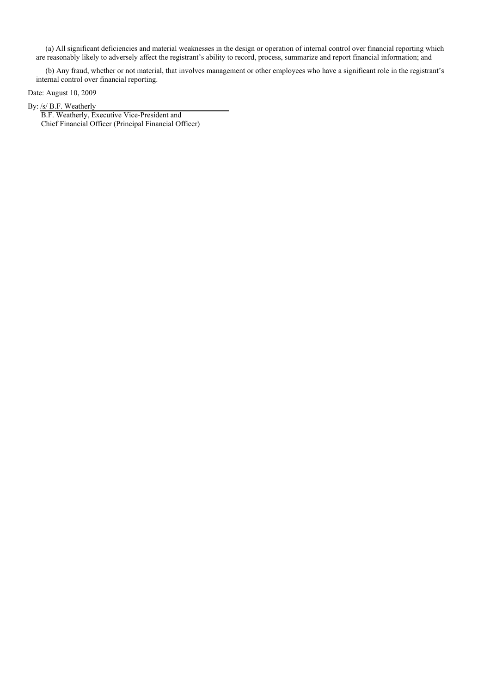(a) All significant deficiencies and material weaknesses in the design or operation of internal control over financial reporting which are reasonably likely to adversely affect the registrant's ability to record, process, summarize and report financial information; and

(b) Any fraud, whether or not material, that involves management or other employees who have a significant role in the registrant's internal control over financial reporting.

Date: August 10, 2009

By: /s/ B.F. Weatherly

B.F. Weatherly, Executive Vice-President and Chief Financial Officer (Principal Financial Officer)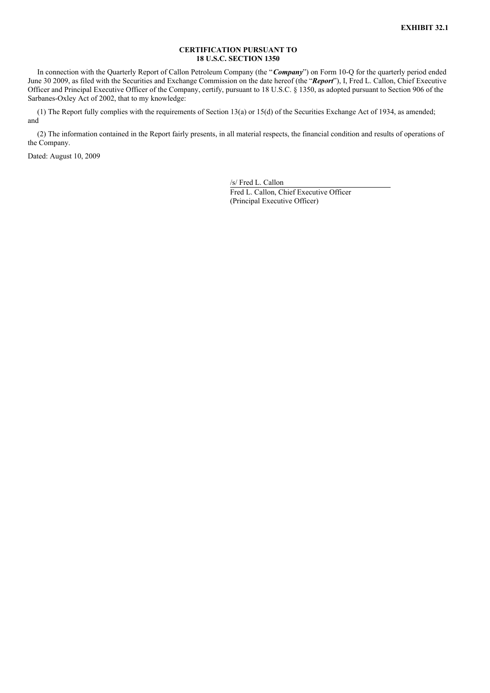#### **CERTIFICATION PURSUANT TO 18 U.S.C. SECTION 1350**

<span id="page-62-0"></span>In connection with the Quarterly Report of Callon Petroleum Company (the "*Company*") on Form 10-Q for the quarterly period ended June 30 2009, as filed with the Securities and Exchange Commission on the date hereof (the "*Report*"), I, Fred L. Callon, Chief Executive Officer and Principal Executive Officer of the Company, certify, pursuant to 18 U.S.C. § 1350, as adopted pursuant to Section 906 of the Sarbanes-Oxley Act of 2002, that to my knowledge:

(1) The Report fully complies with the requirements of Section 13(a) or 15(d) of the Securities Exchange Act of 1934, as amended; and

(2) The information contained in the Report fairly presents, in all material respects, the financial condition and results of operations of the Company.

Dated: August 10, 2009

/s/ Fred L. Callon

Fred L. Callon, Chief Executive Officer (Principal Executive Officer)